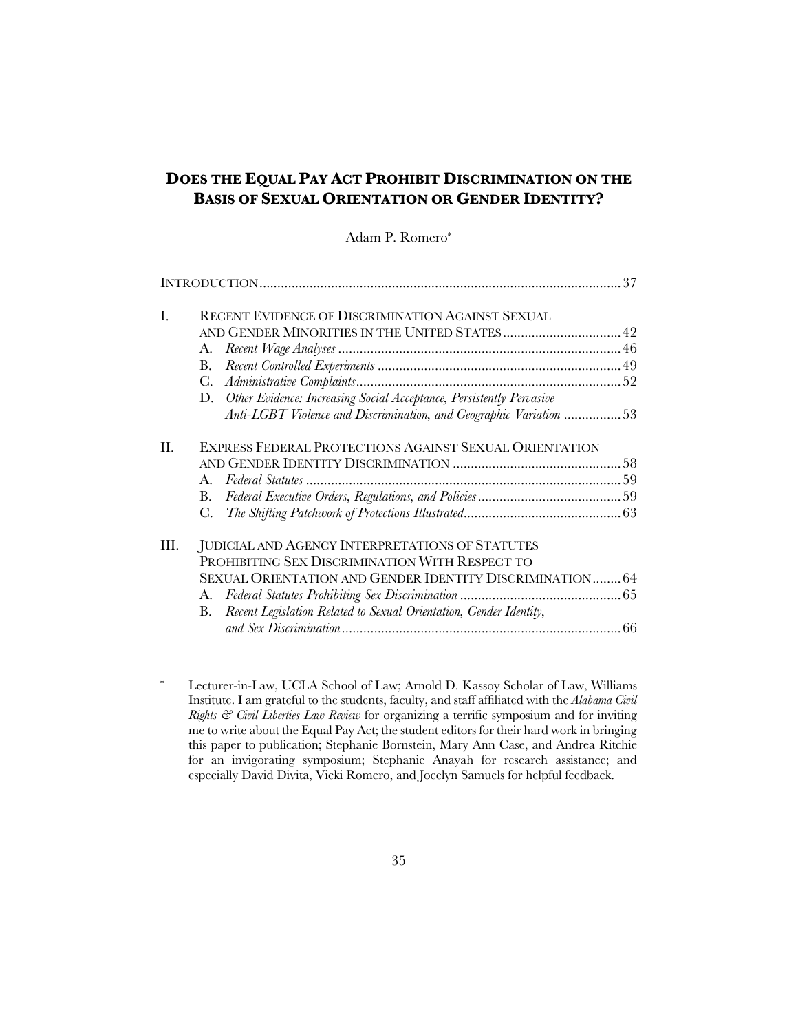# **DOES THE EQUAL PAY ACT PROHIBIT DISCRIMINATION ON THE BASIS OF SEXUAL ORIENTATION OR GENDER IDENTITY?**

# Adam P. Romero\*

| L  | RECENT EVIDENCE OF DISCRIMINATION AGAINST SEXUAL                         |    |  |
|----|--------------------------------------------------------------------------|----|--|
|    |                                                                          |    |  |
|    | A.                                                                       |    |  |
|    | В.                                                                       |    |  |
|    | C.                                                                       |    |  |
|    | D. Other Evidence: Increasing Social Acceptance, Persistently Pervasive  |    |  |
|    | Anti-LGBT Violence and Discrimination, and Geographic Variation 53       |    |  |
| П. | EXPRESS FEDERAL PROTECTIONS AGAINST SEXUAL ORIENTATION                   |    |  |
|    |                                                                          |    |  |
|    | A.                                                                       |    |  |
|    | B.                                                                       |    |  |
|    | C.                                                                       |    |  |
| Ш. | JUDICIAL AND AGENCY INTERPRETATIONS OF STATUTES                          |    |  |
|    | PROHIBITING SEX DISCRIMINATION WITH RESPECT TO                           |    |  |
|    | SEXUAL ORIENTATION AND GENDER IDENTITY DISCRIMINATION 64                 |    |  |
|    | A.                                                                       |    |  |
|    | Recent Legislation Related to Sexual Orientation, Gender Identity,<br>B. |    |  |
|    |                                                                          | 66 |  |
|    |                                                                          |    |  |

<sup>\*</sup> Lecturer-in-Law, UCLA School of Law; Arnold D. Kassoy Scholar of Law, Williams Institute. I am grateful to the students, faculty, and staff affiliated with the *Alabama Civil Rights & Civil Liberties Law Review* for organizing a terrific symposium and for inviting me to write about the Equal Pay Act; the student editors for their hard work in bringing this paper to publication; Stephanie Bornstein, Mary Ann Case, and Andrea Ritchie for an invigorating symposium; Stephanie Anayah for research assistance; and especially David Divita, Vicki Romero, and Jocelyn Samuels for helpful feedback.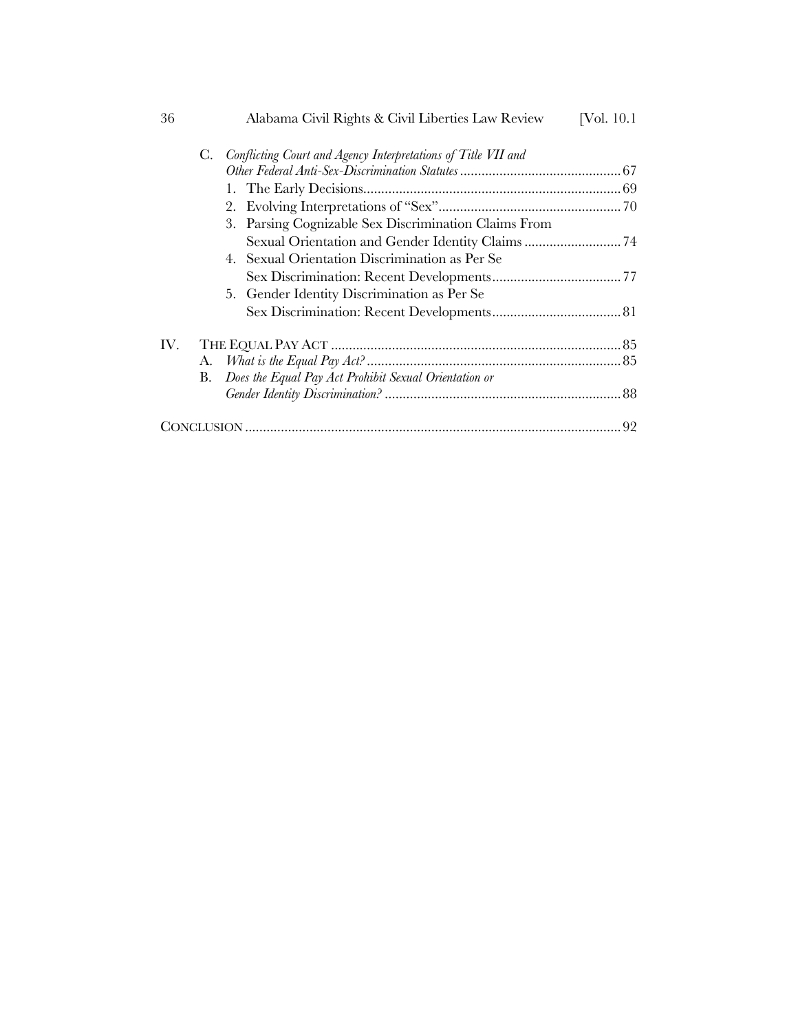| 36  | Alabama Civil Rights & Civil Liberties Law Review                   | [Vol. $10.1$ ] |
|-----|---------------------------------------------------------------------|----------------|
|     | Conflicting Court and Agency Interpretations of Title VII and<br>C. |                |
|     |                                                                     |                |
|     |                                                                     |                |
|     |                                                                     |                |
|     | 3. Parsing Cognizable Sex Discrimination Claims From                |                |
|     |                                                                     |                |
|     | 4. Sexual Orientation Discrimination as Per Se                      |                |
|     |                                                                     |                |
|     | 5. Gender Identity Discrimination as Per Se                         |                |
|     |                                                                     |                |
| IV. |                                                                     |                |
|     |                                                                     |                |
|     | Does the Equal Pay Act Prohibit Sexual Orientation or<br>В.         |                |
|     |                                                                     |                |
|     |                                                                     |                |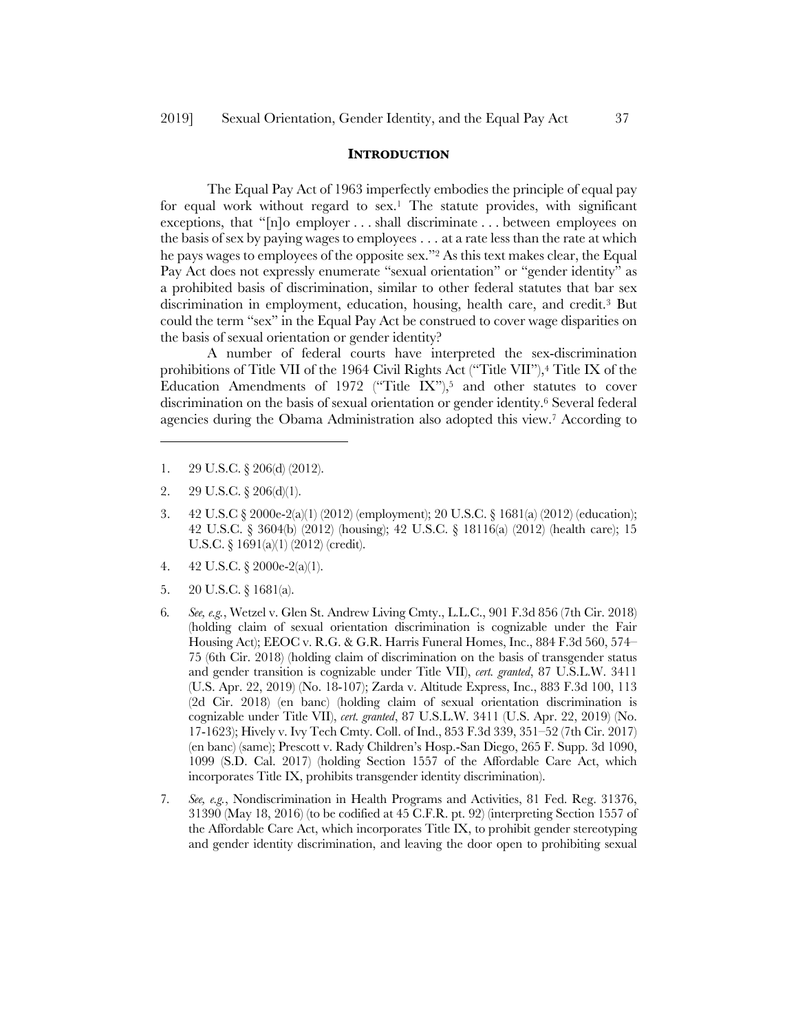#### **INTRODUCTION**

The Equal Pay Act of 1963 imperfectly embodies the principle of equal pay for equal work without regard to  $sex$ .<sup>1</sup> The statute provides, with significant exceptions, that "[n]o employer . . . shall discriminate . . . between employees on the basis of sex by paying wages to employees . . . at a rate less than the rate at which he pays wages to employees of the opposite sex."2 As this text makes clear, the Equal Pay Act does not expressly enumerate "sexual orientation" or "gender identity" as a prohibited basis of discrimination, similar to other federal statutes that bar sex discrimination in employment, education, housing, health care, and credit.3 But could the term "sex" in the Equal Pay Act be construed to cover wage disparities on the basis of sexual orientation or gender identity?

A number of federal courts have interpreted the sex-discrimination prohibitions of Title VII of the 1964 Civil Rights Act ("Title VII"),4 Title IX of the Education Amendments of 1972 ("Title IX"),<sup>5</sup> and other statutes to cover discrimination on the basis of sexual orientation or gender identity.6 Several federal agencies during the Obama Administration also adopted this view.7 According to

- 1. 29 U.S.C. § 206(d) (2012).
- 2.  $29 \text{ U.S.C.} \S 206(d)(1)$ .

- 3. 42 U.S.C § 2000e-2(a)(1) (2012) (employment); 20 U.S.C. § 1681(a) (2012) (education); 42 U.S.C. § 3604(b) (2012) (housing); 42 U.S.C. § 18116(a) (2012) (health care); 15 U.S.C. § 1691(a)(1) (2012) (credit).
- 4. 42 U.S.C. § 2000e-2(a)(1).
- 5. 20 U.S.C. § 1681(a).
- 6*. See, e.g.*, Wetzel v. Glen St. Andrew Living Cmty., L.L.C., 901 F.3d 856 (7th Cir. 2018) (holding claim of sexual orientation discrimination is cognizable under the Fair Housing Act); EEOC v. R.G. & G.R. Harris Funeral Homes, Inc., 884 F.3d 560, 574– 75 (6th Cir. 2018) (holding claim of discrimination on the basis of transgender status and gender transition is cognizable under Title VII), *cert. granted*, 87 U.S.L.W. 3411 (U.S. Apr. 22, 2019) (No. 18-107); Zarda v. Altitude Express, Inc., 883 F.3d 100, 113 (2d Cir. 2018) (en banc) (holding claim of sexual orientation discrimination is cognizable under Title VII), *cert. granted*, 87 U.S.L.W. 3411 (U.S. Apr. 22, 2019) (No. 17-1623); Hively v. Ivy Tech Cmty. Coll. of Ind., 853 F.3d 339, 351–52 (7th Cir. 2017) (en banc) (same); Prescott v. Rady Children's Hosp.-San Diego, 265 F. Supp. 3d 1090, 1099 (S.D. Cal. 2017) (holding Section 1557 of the Affordable Care Act, which incorporates Title IX, prohibits transgender identity discrimination).
- 7*. See, e.g.*, Nondiscrimination in Health Programs and Activities, 81 Fed. Reg. 31376, 31390 (May 18, 2016) (to be codified at 45 C.F.R. pt. 92) (interpreting Section 1557 of the Affordable Care Act, which incorporates Title IX, to prohibit gender stereotyping and gender identity discrimination, and leaving the door open to prohibiting sexual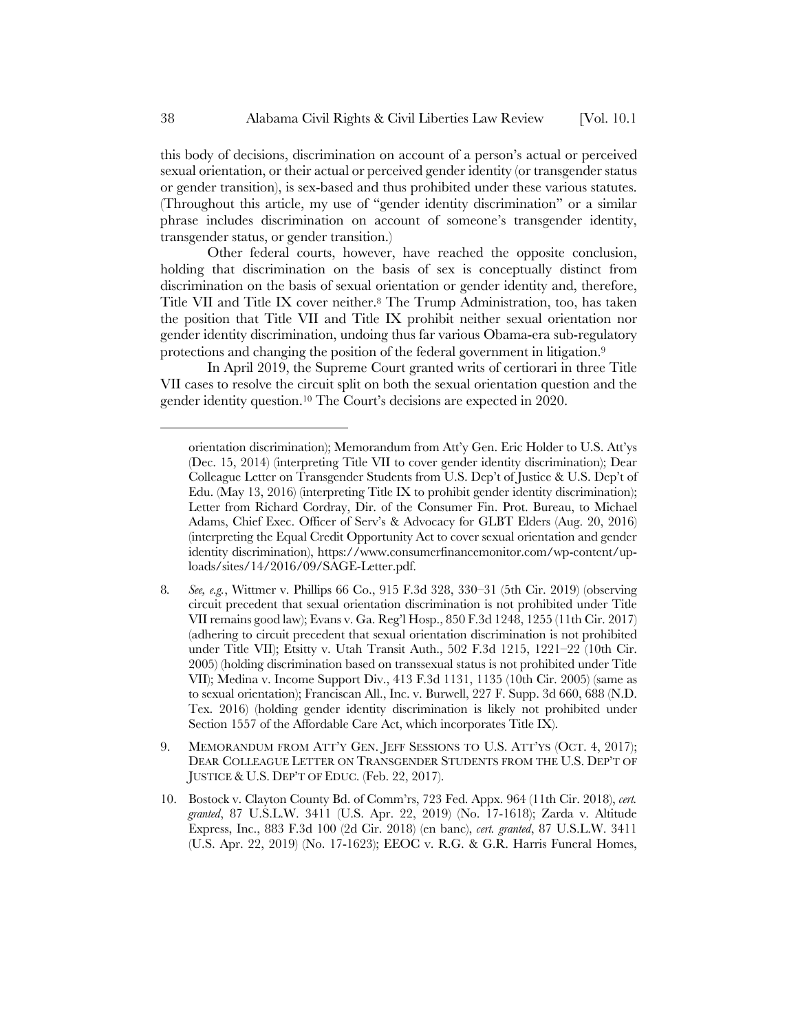this body of decisions, discrimination on account of a person's actual or perceived sexual orientation, or their actual or perceived gender identity (or transgender status or gender transition), is sex-based and thus prohibited under these various statutes. (Throughout this article, my use of "gender identity discrimination" or a similar phrase includes discrimination on account of someone's transgender identity, transgender status, or gender transition.)

Other federal courts, however, have reached the opposite conclusion, holding that discrimination on the basis of sex is conceptually distinct from discrimination on the basis of sexual orientation or gender identity and, therefore, Title VII and Title IX cover neither.8 The Trump Administration, too, has taken the position that Title VII and Title IX prohibit neither sexual orientation nor gender identity discrimination, undoing thus far various Obama-era sub-regulatory protections and changing the position of the federal government in litigation.9

In April 2019, the Supreme Court granted writs of certiorari in three Title VII cases to resolve the circuit split on both the sexual orientation question and the gender identity question.10 The Court's decisions are expected in 2020.

- 8*. See, e.g.*, Wittmer v. Phillips 66 Co., 915 F.3d 328, 330–31 (5th Cir. 2019) (observing circuit precedent that sexual orientation discrimination is not prohibited under Title VII remains good law); Evans v. Ga. Reg'l Hosp., 850 F.3d 1248, 1255 (11th Cir. 2017) (adhering to circuit precedent that sexual orientation discrimination is not prohibited under Title VII); Etsitty v. Utah Transit Auth., 502 F.3d 1215, 1221–22 (10th Cir. 2005) (holding discrimination based on transsexual status is not prohibited under Title VII); Medina v. Income Support Div., 413 F.3d 1131, 1135 (10th Cir. 2005) (same as to sexual orientation); Franciscan All., Inc. v. Burwell, 227 F. Supp. 3d 660, 688 (N.D. Tex. 2016) (holding gender identity discrimination is likely not prohibited under Section 1557 of the Affordable Care Act, which incorporates Title IX).
- 9. MEMORANDUM FROM ATT'Y GEN. JEFF SESSIONS TO U.S. ATT'YS (OCT. 4, 2017); DEAR COLLEAGUE LETTER ON TRANSGENDER STUDENTS FROM THE U.S. DEP'T OF JUSTICE & U.S. DEP'T OF EDUC. (Feb. 22, 2017).
- 10. Bostock v. Clayton County Bd. of Comm'rs, 723 Fed. Appx. 964 (11th Cir. 2018), *cert. granted*, 87 U.S.L.W. 3411 (U.S. Apr. 22, 2019) (No. 17-1618); Zarda v. Altitude Express, Inc., 883 F.3d 100 (2d Cir. 2018) (en banc), *cert. granted*, 87 U.S.L.W. 3411 (U.S. Apr. 22, 2019) (No. 17-1623); EEOC v. R.G. & G.R. Harris Funeral Homes,

orientation discrimination); Memorandum from Att'y Gen. Eric Holder to U.S. Att'ys (Dec. 15, 2014) (interpreting Title VII to cover gender identity discrimination); Dear Colleague Letter on Transgender Students from U.S. Dep't of Justice & U.S. Dep't of Edu. (May 13, 2016) (interpreting Title IX to prohibit gender identity discrimination); Letter from Richard Cordray, Dir. of the Consumer Fin. Prot. Bureau, to Michael Adams, Chief Exec. Officer of Serv's & Advocacy for GLBT Elders (Aug. 20, 2016) (interpreting the Equal Credit Opportunity Act to cover sexual orientation and gender identity discrimination), https://www.consumerfinancemonitor.com/wp-content/uploads/sites/14/2016/09/SAGE-Letter.pdf.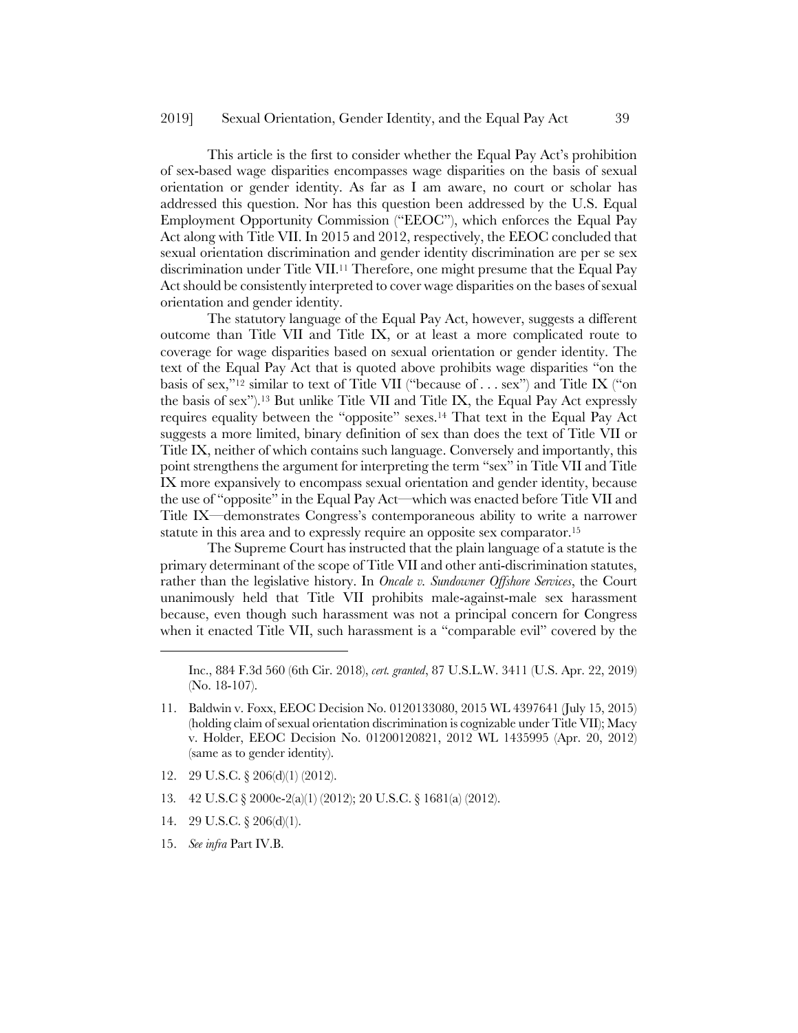This article is the first to consider whether the Equal Pay Act's prohibition of sex-based wage disparities encompasses wage disparities on the basis of sexual orientation or gender identity. As far as I am aware, no court or scholar has addressed this question. Nor has this question been addressed by the U.S. Equal Employment Opportunity Commission ("EEOC"), which enforces the Equal Pay Act along with Title VII. In 2015 and 2012, respectively, the EEOC concluded that sexual orientation discrimination and gender identity discrimination are per se sex discrimination under Title VII.11 Therefore, one might presume that the Equal Pay Act should be consistently interpreted to cover wage disparities on the bases of sexual orientation and gender identity.

The statutory language of the Equal Pay Act, however, suggests a different outcome than Title VII and Title IX, or at least a more complicated route to coverage for wage disparities based on sexual orientation or gender identity. The text of the Equal Pay Act that is quoted above prohibits wage disparities "on the basis of sex,"12 similar to text of Title VII ("because of . . . sex") and Title IX ("on the basis of sex").13 But unlike Title VII and Title IX, the Equal Pay Act expressly requires equality between the "opposite" sexes.14 That text in the Equal Pay Act suggests a more limited, binary definition of sex than does the text of Title VII or Title IX, neither of which contains such language. Conversely and importantly, this point strengthens the argument for interpreting the term "sex" in Title VII and Title IX more expansively to encompass sexual orientation and gender identity, because the use of "opposite" in the Equal Pay Act—which was enacted before Title VII and Title IX—demonstrates Congress's contemporaneous ability to write a narrower statute in this area and to expressly require an opposite sex comparator.15

The Supreme Court has instructed that the plain language of a statute is the primary determinant of the scope of Title VII and other anti-discrimination statutes, rather than the legislative history. In *Oncale v. Sundowner Offshore Services*, the Court unanimously held that Title VII prohibits male-against-male sex harassment because, even though such harassment was not a principal concern for Congress when it enacted Title VII, such harassment is a "comparable evil" covered by the

- 12. 29 U.S.C. § 206(d)(1) (2012).
- 13*.* 42 U.S.C § 2000e-2(a)(1) (2012); 20 U.S.C. § 1681(a) (2012).
- 14. 29 U.S.C. § 206(d)(1).
- 15. *See infra* Part IV.B.

Inc., 884 F.3d 560 (6th Cir. 2018), *cert. granted*, 87 U.S.L.W. 3411 (U.S. Apr. 22, 2019) (No. 18-107).

<sup>11.</sup> Baldwin v. Foxx, EEOC Decision No. 0120133080, 2015 WL 4397641 (July 15, 2015) (holding claim of sexual orientation discrimination is cognizable under Title VII); Macy v. Holder, EEOC Decision No. 01200120821, 2012 WL 1435995 (Apr. 20, 2012) (same as to gender identity).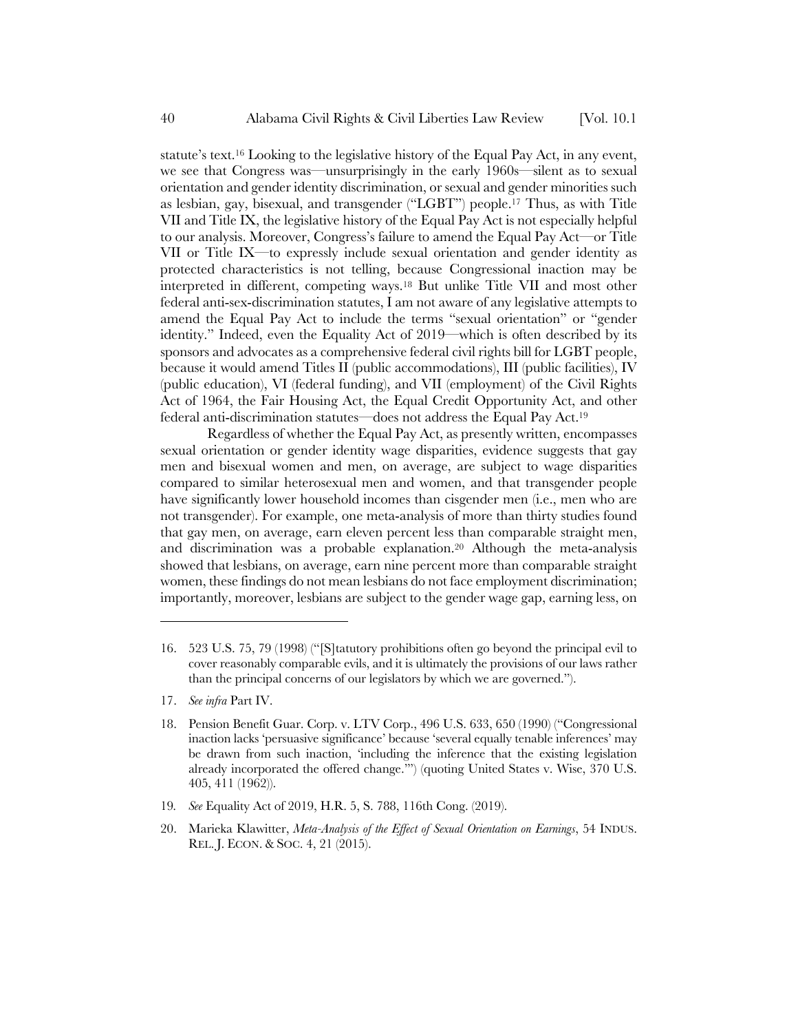statute's text.16 Looking to the legislative history of the Equal Pay Act, in any event, we see that Congress was—unsurprisingly in the early 1960s—silent as to sexual orientation and gender identity discrimination, or sexual and gender minorities such as lesbian, gay, bisexual, and transgender ("LGBT") people.17 Thus, as with Title VII and Title IX, the legislative history of the Equal Pay Act is not especially helpful to our analysis. Moreover, Congress's failure to amend the Equal Pay Act—or Title VII or Title IX—to expressly include sexual orientation and gender identity as protected characteristics is not telling, because Congressional inaction may be interpreted in different, competing ways.18 But unlike Title VII and most other federal anti-sex-discrimination statutes, I am not aware of any legislative attempts to amend the Equal Pay Act to include the terms "sexual orientation" or "gender identity." Indeed, even the Equality Act of 2019—which is often described by its sponsors and advocates as a comprehensive federal civil rights bill for LGBT people, because it would amend Titles II (public accommodations), III (public facilities), IV (public education), VI (federal funding), and VII (employment) of the Civil Rights Act of 1964, the Fair Housing Act, the Equal Credit Opportunity Act, and other federal anti-discrimination statutes—does not address the Equal Pay Act.19

Regardless of whether the Equal Pay Act, as presently written, encompasses sexual orientation or gender identity wage disparities, evidence suggests that gay men and bisexual women and men, on average, are subject to wage disparities compared to similar heterosexual men and women, and that transgender people have significantly lower household incomes than cisgender men (i.e., men who are not transgender). For example, one meta-analysis of more than thirty studies found that gay men, on average, earn eleven percent less than comparable straight men, and discrimination was a probable explanation.20 Although the meta-analysis showed that lesbians, on average, earn nine percent more than comparable straight women, these findings do not mean lesbians do not face employment discrimination; importantly, moreover, lesbians are subject to the gender wage gap, earning less, on

17. *See infra* Part IV.

- 19*. See* Equality Act of 2019, H.R. 5, S. 788, 116th Cong. (2019).
- 20. Marieka Klawitter, *Meta-Analysis of the Effect of Sexual Orientation on Earnings*, 54 INDUS. REL. J. ECON. & SOC. 4, 21 (2015).

<sup>16.</sup> 523 U.S. 75, 79 (1998) ("[S]tatutory prohibitions often go beyond the principal evil to cover reasonably comparable evils, and it is ultimately the provisions of our laws rather than the principal concerns of our legislators by which we are governed.").

<sup>18.</sup> Pension Benefit Guar. Corp. v. LTV Corp., 496 U.S. 633, 650 (1990) ("Congressional inaction lacks 'persuasive significance' because 'several equally tenable inferences' may be drawn from such inaction, 'including the inference that the existing legislation already incorporated the offered change.'") (quoting United States v. Wise, 370 U.S. 405, 411 (1962)).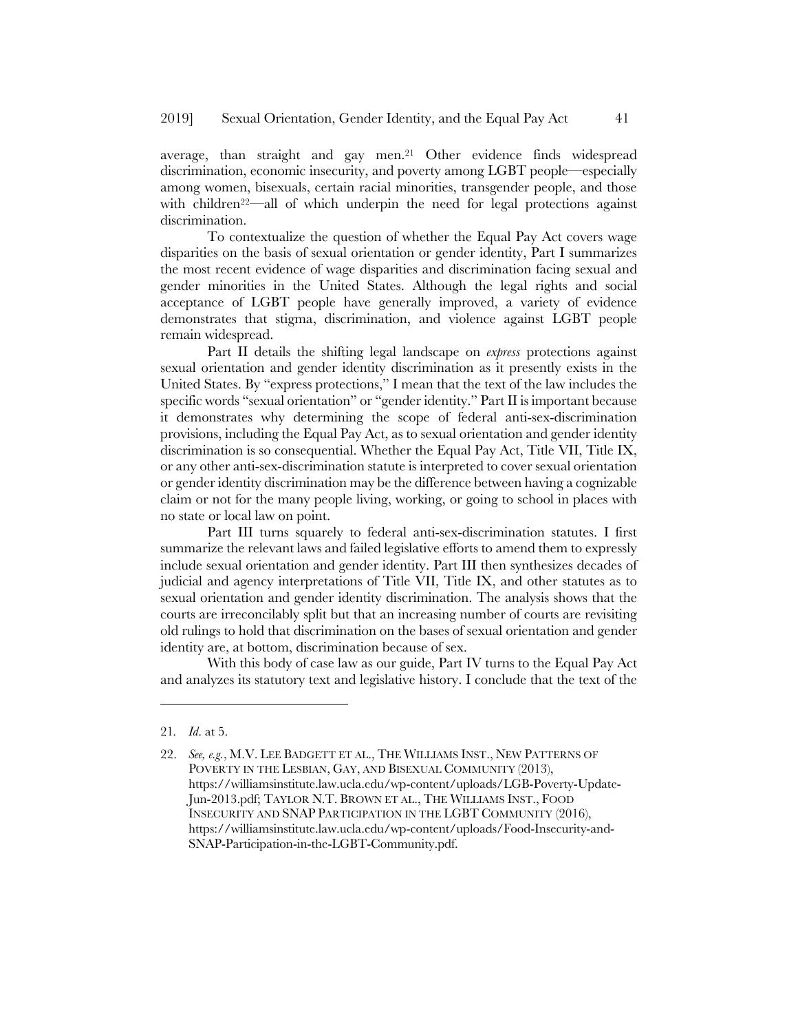average, than straight and gay men.21 Other evidence finds widespread discrimination, economic insecurity, and poverty among LGBT people—especially among women, bisexuals, certain racial minorities, transgender people, and those with children<sup>22—</sup>all of which underpin the need for legal protections against discrimination.

To contextualize the question of whether the Equal Pay Act covers wage disparities on the basis of sexual orientation or gender identity, Part I summarizes the most recent evidence of wage disparities and discrimination facing sexual and gender minorities in the United States. Although the legal rights and social acceptance of LGBT people have generally improved, a variety of evidence demonstrates that stigma, discrimination, and violence against LGBT people remain widespread.

Part II details the shifting legal landscape on *express* protections against sexual orientation and gender identity discrimination as it presently exists in the United States. By "express protections," I mean that the text of the law includes the specific words "sexual orientation" or "gender identity." Part II is important because it demonstrates why determining the scope of federal anti-sex-discrimination provisions, including the Equal Pay Act, as to sexual orientation and gender identity discrimination is so consequential. Whether the Equal Pay Act, Title VII, Title IX, or any other anti-sex-discrimination statute is interpreted to cover sexual orientation or gender identity discrimination may be the difference between having a cognizable claim or not for the many people living, working, or going to school in places with no state or local law on point.

Part III turns squarely to federal anti-sex-discrimination statutes. I first summarize the relevant laws and failed legislative efforts to amend them to expressly include sexual orientation and gender identity. Part III then synthesizes decades of judicial and agency interpretations of Title VII, Title IX, and other statutes as to sexual orientation and gender identity discrimination. The analysis shows that the courts are irreconcilably split but that an increasing number of courts are revisiting old rulings to hold that discrimination on the bases of sexual orientation and gender identity are, at bottom, discrimination because of sex.

With this body of case law as our guide, Part IV turns to the Equal Pay Act and analyzes its statutory text and legislative history. I conclude that the text of the

<sup>21</sup>*. Id*. at 5.

<sup>22.</sup> *See, e.g., M.V. LEE BADGETT ET AL., THE WILLIAMS INST., NEW PATTERNS OF* POVERTY IN THE LESBIAN, GAY, AND BISEXUAL COMMUNITY (2013), https://williamsinstitute.law.ucla.edu/wp-content/uploads/LGB-Poverty-Update-Jun-2013.pdf; TAYLOR N.T. BROWN ET AL., THE WILLIAMS INST., FOOD INSECURITY AND SNAP PARTICIPATION IN THE LGBT COMMUNITY (2016), https://williamsinstitute.law.ucla.edu/wp-content/uploads/Food-Insecurity-and-SNAP-Participation-in-the-LGBT-Community.pdf.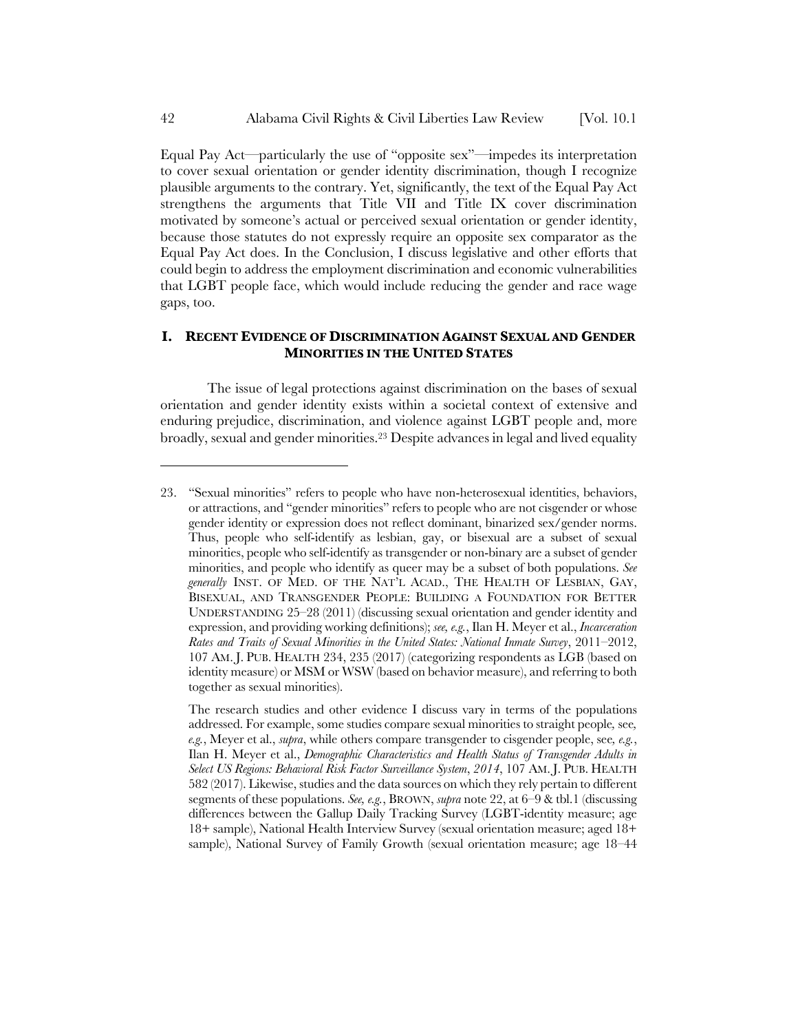Equal Pay Act—particularly the use of "opposite sex"—impedes its interpretation to cover sexual orientation or gender identity discrimination, though I recognize plausible arguments to the contrary. Yet, significantly, the text of the Equal Pay Act strengthens the arguments that Title VII and Title IX cover discrimination motivated by someone's actual or perceived sexual orientation or gender identity, because those statutes do not expressly require an opposite sex comparator as the Equal Pay Act does. In the Conclusion, I discuss legislative and other efforts that could begin to address the employment discrimination and economic vulnerabilities that LGBT people face, which would include reducing the gender and race wage gaps, too.

# **I. RECENT EVIDENCE OF DISCRIMINATION AGAINST SEXUAL AND GENDER MINORITIES IN THE UNITED STATES**

The issue of legal protections against discrimination on the bases of sexual orientation and gender identity exists within a societal context of extensive and enduring prejudice, discrimination, and violence against LGBT people and, more broadly, sexual and gender minorities.23 Despite advances in legal and lived equality

<sup>23.</sup> "Sexual minorities" refers to people who have non-heterosexual identities, behaviors, or attractions, and "gender minorities" refers to people who are not cisgender or whose gender identity or expression does not reflect dominant, binarized sex/gender norms. Thus, people who self-identify as lesbian, gay, or bisexual are a subset of sexual minorities, people who self-identify as transgender or non-binary are a subset of gender minorities, and people who identify as queer may be a subset of both populations. *See generally* INST. OF MED. OF THE NAT'L ACAD., THE HEALTH OF LESBIAN, GAY, BISEXUAL, AND TRANSGENDER PEOPLE: BUILDING A FOUNDATION FOR BETTER UNDERSTANDING 25–28 (2011) (discussing sexual orientation and gender identity and expression, and providing working definitions); *see, e.g.*, Ilan H. Meyer et al., *Incarceration Rates and Traits of Sexual Minorities in the United States: National Inmate Survey*, 2011–2012, 107 AM. J. PUB. HEALTH 234, 235 (2017) (categorizing respondents as LGB (based on identity measure) or MSM or WSW (based on behavior measure), and referring to both together as sexual minorities).

The research studies and other evidence I discuss vary in terms of the populations addressed. For example, some studies compare sexual minorities to straight people*,* see*, e.g.*, Meyer et al., *supra*, while others compare transgender to cisgender people, see*, e.g.*, Ilan H. Meyer et al., *Demographic Characteristics and Health Status of Transgender Adults in Select US Regions: Behavioral Risk Factor Surveillance System*, *2014*, 107 AM. J. PUB. HEALTH 582 (2017). Likewise, studies and the data sources on which they rely pertain to different segments of these populations. *See, e.g.*, BROWN, *supra* note 22, at 6–9 & tbl.1 (discussing differences between the Gallup Daily Tracking Survey (LGBT-identity measure; age 18+ sample), National Health Interview Survey (sexual orientation measure; aged 18+ sample), National Survey of Family Growth (sexual orientation measure; age 18–44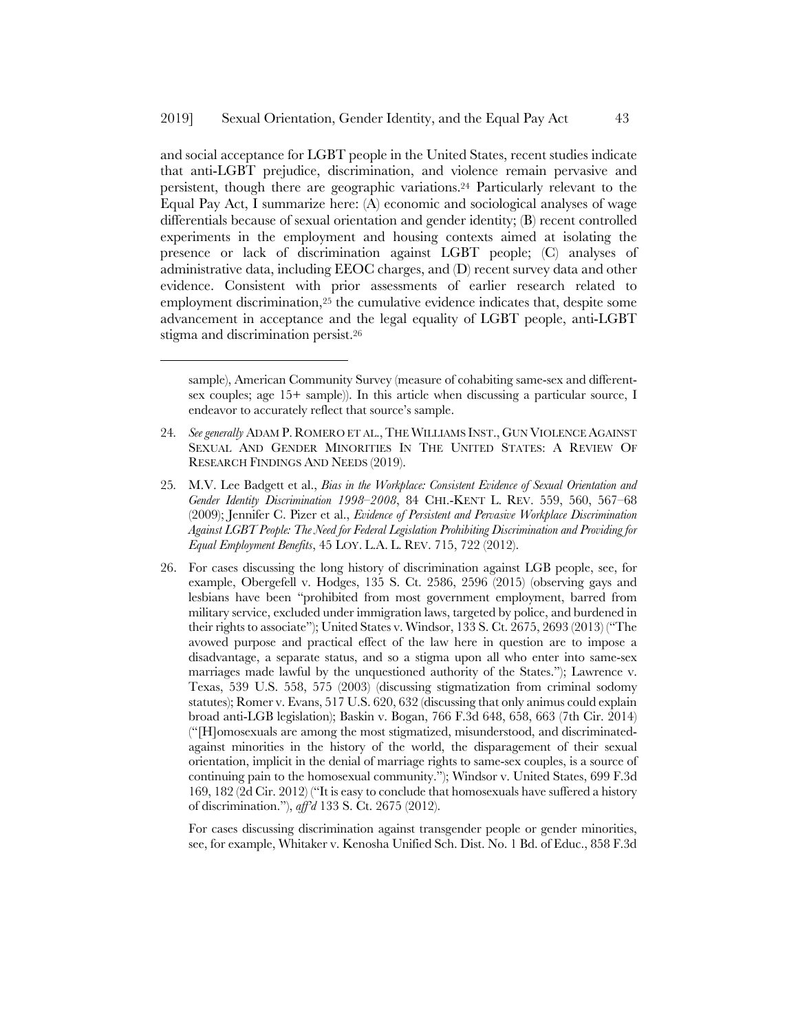l

and social acceptance for LGBT people in the United States, recent studies indicate that anti-LGBT prejudice, discrimination, and violence remain pervasive and persistent, though there are geographic variations.24 Particularly relevant to the Equal Pay Act, I summarize here: (A) economic and sociological analyses of wage differentials because of sexual orientation and gender identity; (B) recent controlled experiments in the employment and housing contexts aimed at isolating the presence or lack of discrimination against LGBT people; (C) analyses of administrative data, including EEOC charges, and (D) recent survey data and other evidence. Consistent with prior assessments of earlier research related to employment discrimination,25 the cumulative evidence indicates that, despite some advancement in acceptance and the legal equality of LGBT people, anti-LGBT stigma and discrimination persist.26

- 25*.* M.V. Lee Badgett et al., *Bias in the Workplace: Consistent Evidence of Sexual Orientation and Gender Identity Discrimination 1998–2008*, 84 CHI.-KENT L. REV. 559, 560, 567–68 (2009); Jennifer C. Pizer et al., *Evidence of Persistent and Pervasive Workplace Discrimination Against LGBT People: The Need for Federal Legislation Prohibiting Discrimination and Providing for Equal Employment Benefits*, 45 LOY. L.A. L. REV. 715, 722 (2012).
- 26. For cases discussing the long history of discrimination against LGB people, see, for example, Obergefell v. Hodges, 135 S. Ct. 2586, 2596 (2015) (observing gays and lesbians have been "prohibited from most government employment, barred from military service, excluded under immigration laws, targeted by police, and burdened in their rights to associate"); United States v. Windsor, 133 S. Ct. 2675, 2693 (2013) ("The avowed purpose and practical effect of the law here in question are to impose a disadvantage, a separate status, and so a stigma upon all who enter into same-sex marriages made lawful by the unquestioned authority of the States."); Lawrence v. Texas, 539 U.S. 558, 575 (2003) (discussing stigmatization from criminal sodomy statutes); Romer v. Evans, 517 U.S. 620, 632 (discussing that only animus could explain broad anti-LGB legislation); Baskin v. Bogan, 766 F.3d 648, 658, 663 (7th Cir. 2014) ("[H]omosexuals are among the most stigmatized, misunderstood, and discriminatedagainst minorities in the history of the world, the disparagement of their sexual orientation, implicit in the denial of marriage rights to same-sex couples, is a source of continuing pain to the homosexual community."); Windsor v. United States, 699 F.3d 169, 182 (2d Cir. 2012) ("It is easy to conclude that homosexuals have suffered a history of discrimination."), *aff'd* 133 S. Ct. 2675 (2012).

For cases discussing discrimination against transgender people or gender minorities, see, for example, Whitaker v. Kenosha Unified Sch. Dist. No. 1 Bd. of Educ., 858 F.3d

sample), American Community Survey (measure of cohabiting same-sex and differentsex couples; age 15+ sample)). In this article when discussing a particular source, I endeavor to accurately reflect that source's sample.

<sup>24</sup>*. See generally* ADAM P. ROMERO ET AL.,THE WILLIAMS INST., GUN VIOLENCE AGAINST SEXUAL AND GENDER MINORITIES IN THE UNITED STATES: A REVIEW OF RESEARCH FINDINGS AND NEEDS (2019).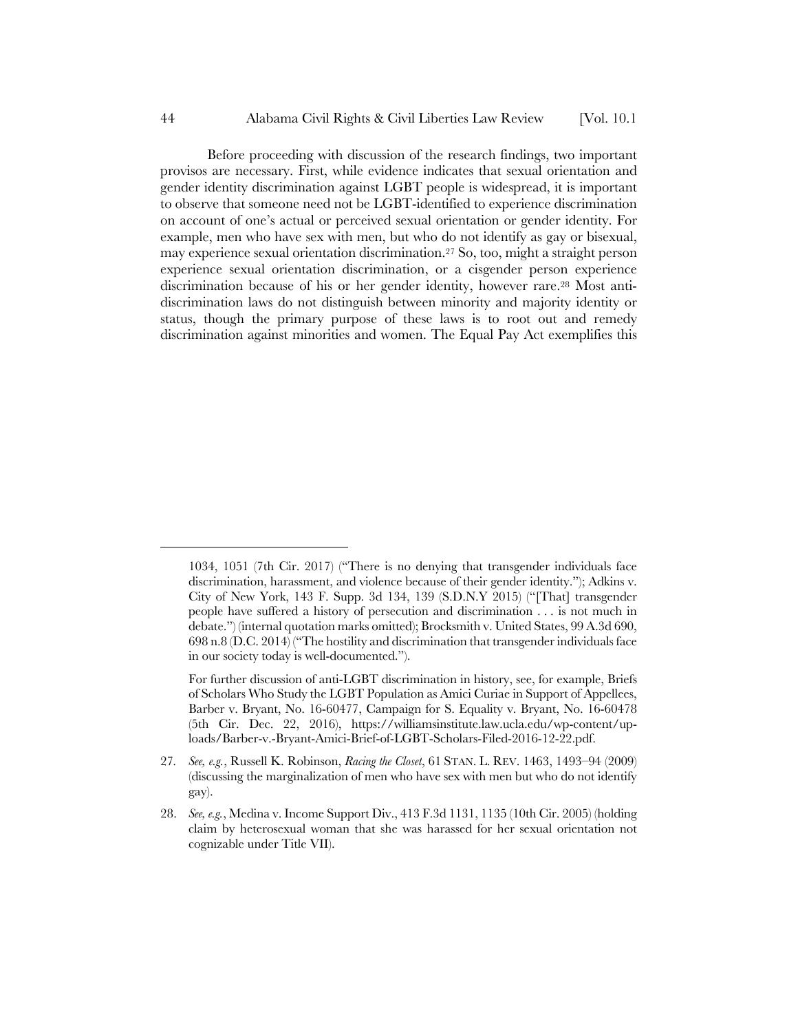Before proceeding with discussion of the research findings, two important provisos are necessary. First, while evidence indicates that sexual orientation and gender identity discrimination against LGBT people is widespread, it is important to observe that someone need not be LGBT-identified to experience discrimination on account of one's actual or perceived sexual orientation or gender identity. For example, men who have sex with men, but who do not identify as gay or bisexual, may experience sexual orientation discrimination.27 So, too, might a straight person experience sexual orientation discrimination, or a cisgender person experience discrimination because of his or her gender identity, however rare.28 Most antidiscrimination laws do not distinguish between minority and majority identity or status, though the primary purpose of these laws is to root out and remedy discrimination against minorities and women. The Equal Pay Act exemplifies this

<sup>1034, 1051 (7</sup>th Cir. 2017) ("There is no denying that transgender individuals face discrimination, harassment, and violence because of their gender identity."); Adkins v. City of New York, 143 F. Supp. 3d 134, 139 (S.D.N.Y 2015) ("[That] transgender people have suffered a history of persecution and discrimination . . . is not much in debate.") (internal quotation marks omitted); Brocksmith v. United States, 99 A.3d 690, 698 n.8 (D.C. 2014) ("The hostility and discrimination that transgender individuals face in our society today is well-documented.").

For further discussion of anti-LGBT discrimination in history, see, for example, Briefs of Scholars Who Study the LGBT Population as Amici Curiae in Support of Appellees, Barber v. Bryant, No. 16-60477, Campaign for S. Equality v. Bryant, No. 16-60478 (5th Cir. Dec. 22, 2016), https://williamsinstitute.law.ucla.edu/wp-content/uploads/Barber-v.-Bryant-Amici-Brief-of-LGBT-Scholars-Filed-2016-12-22.pdf.

<sup>27</sup>*. See, e.g.*, Russell K. Robinson, *Racing the Closet*, 61 STAN. L. REV. 1463, 1493–94 (2009) (discussing the marginalization of men who have sex with men but who do not identify gay).

<sup>28.</sup> *See, e.g.*, Medina v. Income Support Div., 413 F.3d 1131, 1135 (10th Cir. 2005) (holding claim by heterosexual woman that she was harassed for her sexual orientation not cognizable under Title VII).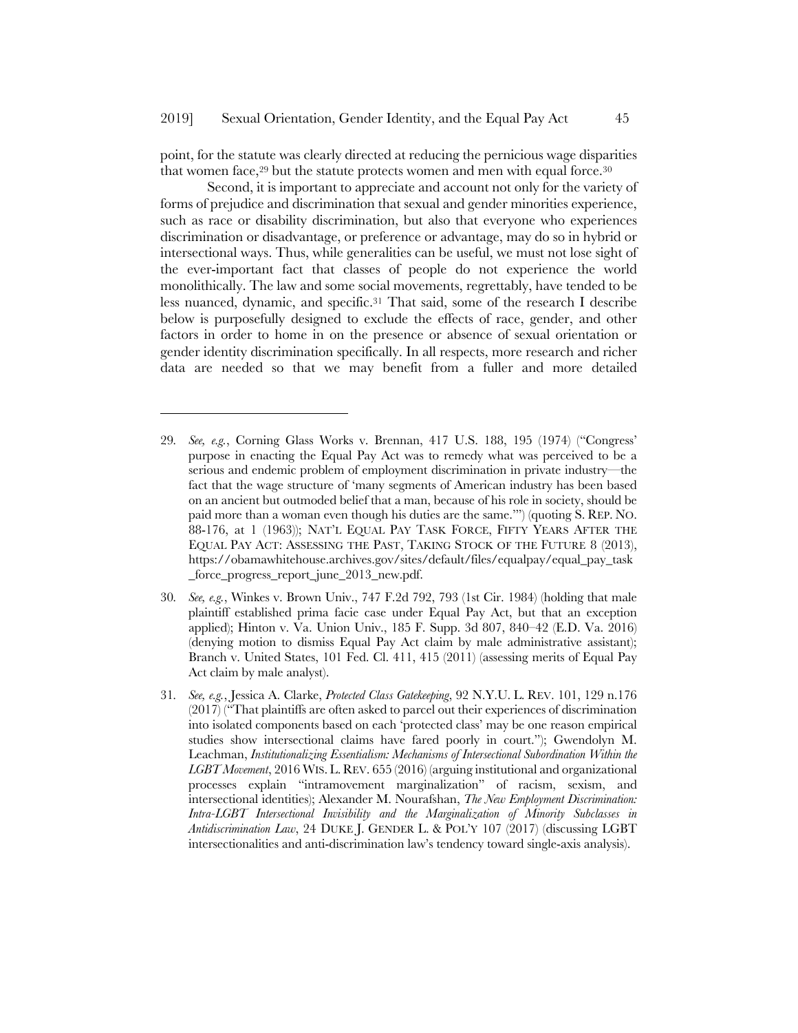point, for the statute was clearly directed at reducing the pernicious wage disparities that women face, $29$  but the statute protects women and men with equal force. $30$ 

Second, it is important to appreciate and account not only for the variety of forms of prejudice and discrimination that sexual and gender minorities experience, such as race or disability discrimination, but also that everyone who experiences discrimination or disadvantage, or preference or advantage, may do so in hybrid or intersectional ways. Thus, while generalities can be useful, we must not lose sight of the ever-important fact that classes of people do not experience the world monolithically. The law and some social movements, regrettably, have tended to be less nuanced, dynamic, and specific.31 That said, some of the research I describe below is purposefully designed to exclude the effects of race, gender, and other factors in order to home in on the presence or absence of sexual orientation or gender identity discrimination specifically. In all respects, more research and richer data are needed so that we may benefit from a fuller and more detailed

- 30*. See, e.g.*, Winkes v. Brown Univ., 747 F.2d 792, 793 (1st Cir. 1984) (holding that male plaintiff established prima facie case under Equal Pay Act, but that an exception applied); Hinton v. Va. Union Univ., 185 F. Supp. 3d 807, 840–42 (E.D. Va. 2016) (denying motion to dismiss Equal Pay Act claim by male administrative assistant); Branch v. United States, 101 Fed. Cl. 411, 415 (2011) (assessing merits of Equal Pay Act claim by male analyst).
- 31*. See, e.g.*, Jessica A. Clarke, *Protected Class Gatekeeping*, 92 N.Y.U. L. REV. 101, 129 n.176 (2017) ("That plaintiffs are often asked to parcel out their experiences of discrimination into isolated components based on each 'protected class' may be one reason empirical studies show intersectional claims have fared poorly in court."); Gwendolyn M. Leachman, *Institutionalizing Essentialism: Mechanisms of Intersectional Subordination Within the LGBT Movement*, 2016 WIS. L. REV. 655 (2016) (arguing institutional and organizational processes explain "intramovement marginalization" of racism, sexism, and intersectional identities); Alexander M. Nourafshan, *The New Employment Discrimination: Intra-LGBT Intersectional Invisibility and the Marginalization of Minority Subclasses in Antidiscrimination Law*, 24 DUKE J. GENDER L. & POL'Y 107 (2017) (discussing LGBT intersectionalities and anti-discrimination law's tendency toward single-axis analysis).

<sup>29</sup>*. See, e.g.*, Corning Glass Works v. Brennan, 417 U.S. 188, 195 (1974) ("Congress' purpose in enacting the Equal Pay Act was to remedy what was perceived to be a serious and endemic problem of employment discrimination in private industry—the fact that the wage structure of 'many segments of American industry has been based on an ancient but outmoded belief that a man, because of his role in society, should be paid more than a woman even though his duties are the same.'") (quoting S. REP. NO. 88-176, at 1 (1963)); NAT'L EQUAL PAY TASK FORCE, FIFTY YEARS AFTER THE EQUAL PAY ACT: ASSESSING THE PAST, TAKING STOCK OF THE FUTURE 8 (2013), https://obamawhitehouse.archives.gov/sites/default/files/equalpay/equal\_pay\_task \_force\_progress\_report\_june\_2013\_new.pdf.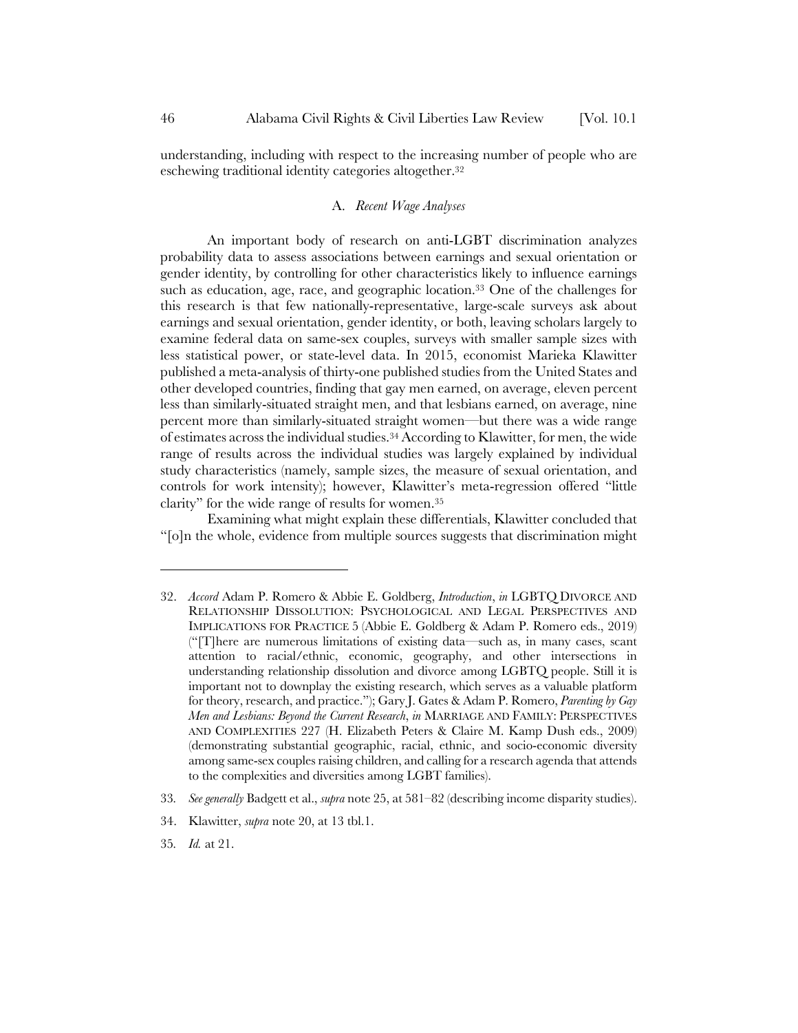understanding, including with respect to the increasing number of people who are eschewing traditional identity categories altogether.32

### A. *Recent Wage Analyses*

An important body of research on anti-LGBT discrimination analyzes probability data to assess associations between earnings and sexual orientation or gender identity, by controlling for other characteristics likely to influence earnings such as education, age, race, and geographic location.<sup>33</sup> One of the challenges for this research is that few nationally-representative, large-scale surveys ask about earnings and sexual orientation, gender identity, or both, leaving scholars largely to examine federal data on same-sex couples, surveys with smaller sample sizes with less statistical power, or state-level data. In 2015, economist Marieka Klawitter published a meta-analysis of thirty-one published studies from the United States and other developed countries, finding that gay men earned, on average, eleven percent less than similarly-situated straight men, and that lesbians earned, on average, nine percent more than similarly-situated straight women—but there was a wide range of estimates across the individual studies.34 According to Klawitter, for men, the wide range of results across the individual studies was largely explained by individual study characteristics (namely, sample sizes, the measure of sexual orientation, and controls for work intensity); however, Klawitter's meta-regression offered "little clarity" for the wide range of results for women.35

Examining what might explain these differentials, Klawitter concluded that "[o]n the whole, evidence from multiple sources suggests that discrimination might

<sup>32.</sup> *Accord* Adam P. Romero & Abbie E. Goldberg, *Introduction*, *in* LGBTQ DIVORCE AND RELATIONSHIP DISSOLUTION: PSYCHOLOGICAL AND LEGAL PERSPECTIVES AND IMPLICATIONS FOR PRACTICE 5 (Abbie E. Goldberg & Adam P. Romero eds., 2019) ("[T]here are numerous limitations of existing data—such as, in many cases, scant attention to racial/ethnic, economic, geography, and other intersections in understanding relationship dissolution and divorce among LGBTQ people. Still it is important not to downplay the existing research, which serves as a valuable platform for theory, research, and practice."); Gary J. Gates & Adam P. Romero, *Parenting by Gay Men and Lesbians: Beyond the Current Research*, *in* MARRIAGE AND FAMILY: PERSPECTIVES AND COMPLEXITIES 227 (H. Elizabeth Peters & Claire M. Kamp Dush eds., 2009) (demonstrating substantial geographic, racial, ethnic, and socio-economic diversity among same-sex couples raising children, and calling for a research agenda that attends to the complexities and diversities among LGBT families).

<sup>33</sup>*. See generally* Badgett et al., *supra* note 25, at 581–82 (describing income disparity studies).

<sup>34.</sup> Klawitter, *supra* note 20, at 13 tbl.1.

<sup>35</sup>*. Id.* at 21.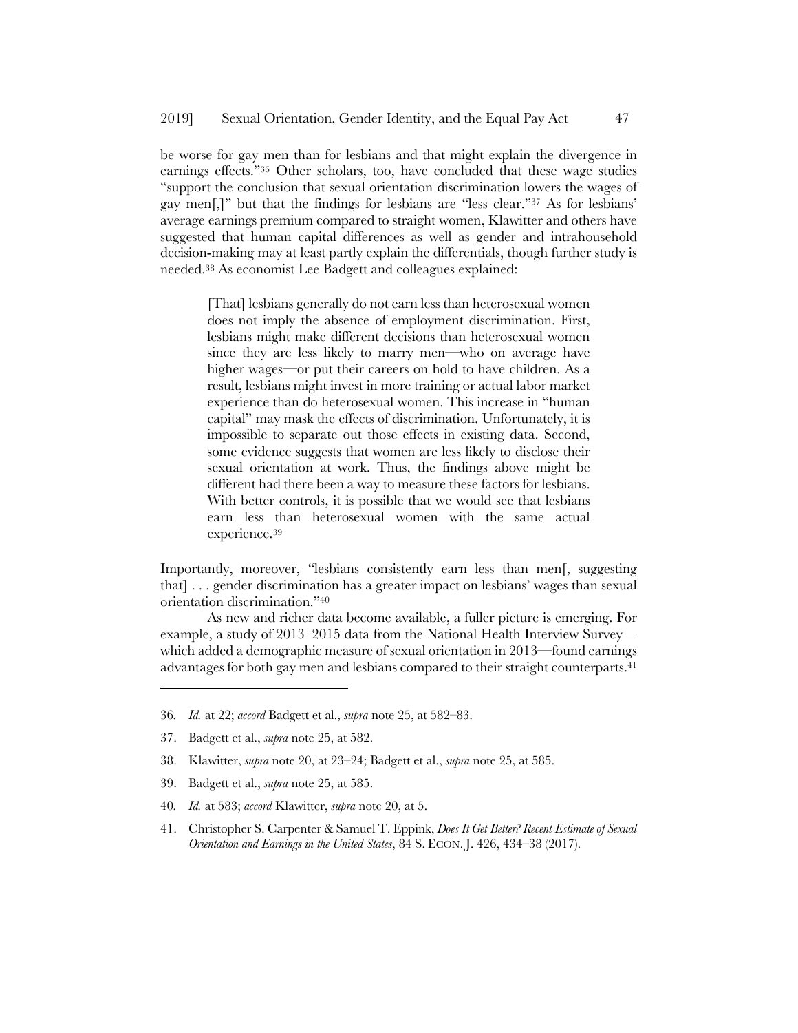be worse for gay men than for lesbians and that might explain the divergence in earnings effects."36 Other scholars, too, have concluded that these wage studies "support the conclusion that sexual orientation discrimination lowers the wages of gay men[,]" but that the findings for lesbians are "less clear."37 As for lesbians' average earnings premium compared to straight women, Klawitter and others have suggested that human capital differences as well as gender and intrahousehold decision-making may at least partly explain the differentials, though further study is needed.38 As economist Lee Badgett and colleagues explained:

[That] lesbians generally do not earn less than heterosexual women does not imply the absence of employment discrimination. First, lesbians might make different decisions than heterosexual women since they are less likely to marry men—who on average have higher wages—or put their careers on hold to have children. As a result, lesbians might invest in more training or actual labor market experience than do heterosexual women. This increase in "human capital" may mask the effects of discrimination. Unfortunately, it is impossible to separate out those effects in existing data. Second, some evidence suggests that women are less likely to disclose their sexual orientation at work. Thus, the findings above might be different had there been a way to measure these factors for lesbians. With better controls, it is possible that we would see that lesbians earn less than heterosexual women with the same actual experience.39

Importantly, moreover, "lesbians consistently earn less than men[, suggesting that] . . . gender discrimination has a greater impact on lesbians' wages than sexual orientation discrimination."40

As new and richer data become available, a fuller picture is emerging. For example, a study of 2013–2015 data from the National Health Interview Survey which added a demographic measure of sexual orientation in 2013—found earnings advantages for both gay men and lesbians compared to their straight counterparts.41

- 38. Klawitter, *supra* note 20, at 23–24; Badgett et al., *supra* note 25, at 585.
- 39. Badgett et al., *supra* note 25, at 585.
- 40*. Id.* at 583; *accord* Klawitter, *supra* note 20, at 5.
- 41. Christopher S. Carpenter & Samuel T. Eppink, *Does It Get Better? Recent Estimate of Sexual Orientation and Earnings in the United States*, 84 S. ECON. J. 426, 434–38 (2017).

<sup>36</sup>*. Id.* at 22; *accord* Badgett et al., *supra* note 25, at 582–83.

<sup>37.</sup> Badgett et al., *supra* note 25, at 582.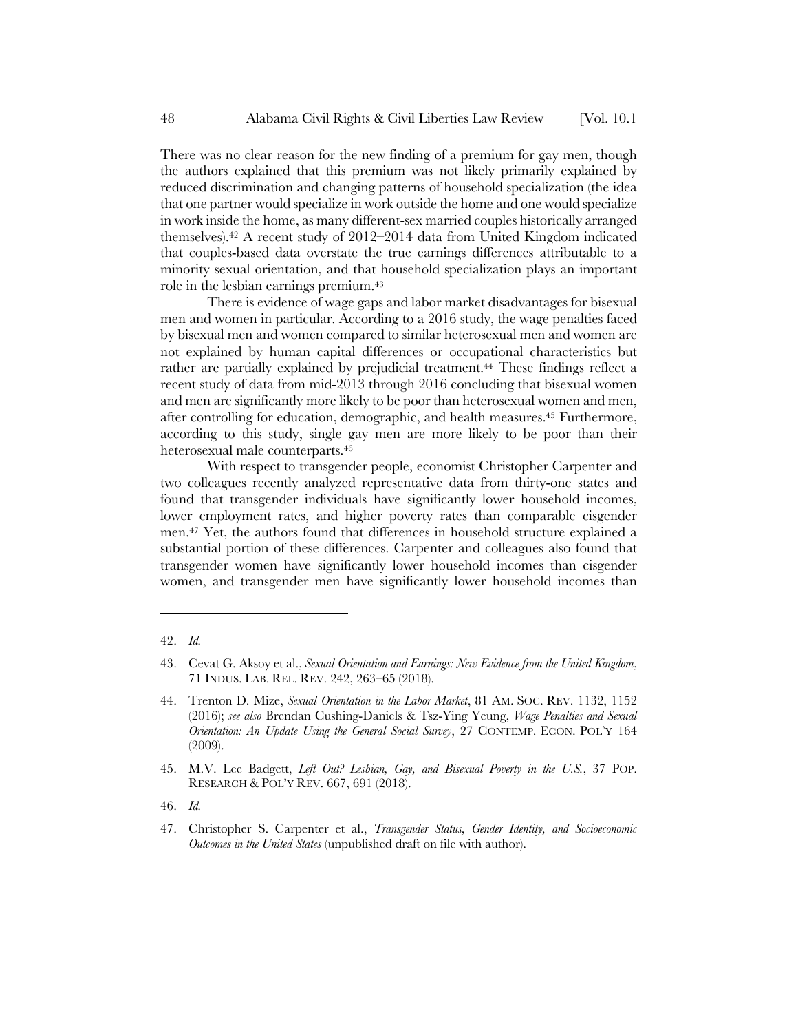There was no clear reason for the new finding of a premium for gay men, though the authors explained that this premium was not likely primarily explained by reduced discrimination and changing patterns of household specialization (the idea that one partner would specialize in work outside the home and one would specialize in work inside the home, as many different-sex married couples historically arranged themselves).42 A recent study of 2012–2014 data from United Kingdom indicated that couples-based data overstate the true earnings differences attributable to a minority sexual orientation, and that household specialization plays an important role in the lesbian earnings premium.43

There is evidence of wage gaps and labor market disadvantages for bisexual men and women in particular. According to a 2016 study, the wage penalties faced by bisexual men and women compared to similar heterosexual men and women are not explained by human capital differences or occupational characteristics but rather are partially explained by prejudicial treatment.44 These findings reflect a recent study of data from mid-2013 through 2016 concluding that bisexual women and men are significantly more likely to be poor than heterosexual women and men, after controlling for education, demographic, and health measures.45 Furthermore, according to this study, single gay men are more likely to be poor than their heterosexual male counterparts.46

With respect to transgender people, economist Christopher Carpenter and two colleagues recently analyzed representative data from thirty-one states and found that transgender individuals have significantly lower household incomes, lower employment rates, and higher poverty rates than comparable cisgender men.47 Yet, the authors found that differences in household structure explained a substantial portion of these differences. Carpenter and colleagues also found that transgender women have significantly lower household incomes than cisgender women, and transgender men have significantly lower household incomes than

l

46. *Id.*

<sup>42.</sup> *Id.*

<sup>43.</sup> Cevat G. Aksoy et al., *Sexual Orientation and Earnings: New Evidence from the United Kingdom*, 71 INDUS. LAB. REL. REV. 242, 263–65 (2018).

<sup>44.</sup> Trenton D. Mize, *Sexual Orientation in the Labor Market*, 81 AM. SOC. REV. 1132, 1152 (2016); *see also* Brendan Cushing-Daniels & Tsz-Ying Yeung, *Wage Penalties and Sexual Orientation: An Update Using the General Social Survey*, 27 CONTEMP. ECON. POL'Y 164 (2009).

<sup>45.</sup> M.V. Lee Badgett, *Left Out? Lesbian, Gay, and Bisexual Poverty in the U.S.*, 37 POP. RESEARCH & POL'Y REV. 667, 691 (2018).

<sup>47.</sup> Christopher S. Carpenter et al., *Transgender Status, Gender Identity, and Socioeconomic Outcomes in the United States* (unpublished draft on file with author).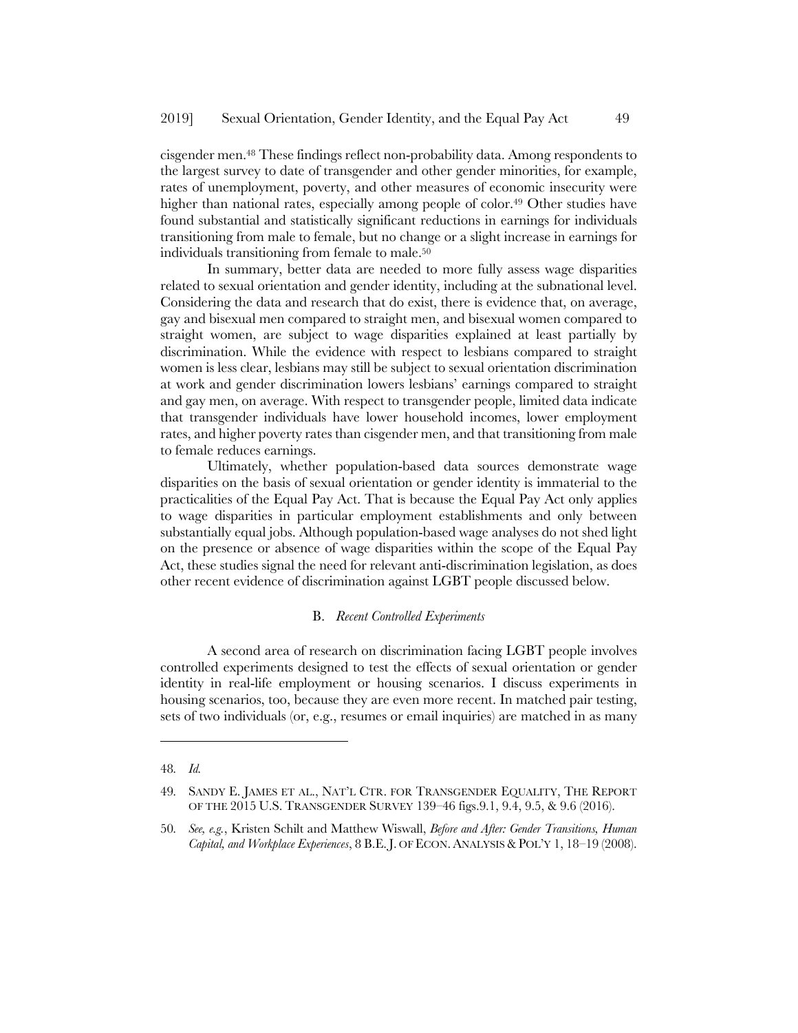cisgender men.48 These findings reflect non-probability data. Among respondents to the largest survey to date of transgender and other gender minorities, for example, rates of unemployment, poverty, and other measures of economic insecurity were higher than national rates, especially among people of color.<sup>49</sup> Other studies have found substantial and statistically significant reductions in earnings for individuals transitioning from male to female, but no change or a slight increase in earnings for individuals transitioning from female to male.50

In summary, better data are needed to more fully assess wage disparities related to sexual orientation and gender identity, including at the subnational level. Considering the data and research that do exist, there is evidence that, on average, gay and bisexual men compared to straight men, and bisexual women compared to straight women, are subject to wage disparities explained at least partially by discrimination. While the evidence with respect to lesbians compared to straight women is less clear, lesbians may still be subject to sexual orientation discrimination at work and gender discrimination lowers lesbians' earnings compared to straight and gay men, on average. With respect to transgender people, limited data indicate that transgender individuals have lower household incomes, lower employment rates, and higher poverty rates than cisgender men, and that transitioning from male to female reduces earnings.

Ultimately, whether population-based data sources demonstrate wage disparities on the basis of sexual orientation or gender identity is immaterial to the practicalities of the Equal Pay Act. That is because the Equal Pay Act only applies to wage disparities in particular employment establishments and only between substantially equal jobs. Although population-based wage analyses do not shed light on the presence or absence of wage disparities within the scope of the Equal Pay Act, these studies signal the need for relevant anti-discrimination legislation, as does other recent evidence of discrimination against LGBT people discussed below.

### B. *Recent Controlled Experiments*

A second area of research on discrimination facing LGBT people involves controlled experiments designed to test the effects of sexual orientation or gender identity in real-life employment or housing scenarios. I discuss experiments in housing scenarios, too, because they are even more recent. In matched pair testing, sets of two individuals (or, e.g., resumes or email inquiries) are matched in as many

<sup>48</sup>*. Id.*

<sup>49</sup>*.* SANDY E. JAMES ET AL., NAT'L CTR. FOR TRANSGENDER EQUALITY, THE REPORT OF THE 2015 U.S. TRANSGENDER SURVEY 139–46 figs.9.1, 9.4, 9.5, & 9.6 (2016).

<sup>50</sup>*. See, e.g.*, Kristen Schilt and Matthew Wiswall, *Before and After: Gender Transitions, Human Capital, and Workplace Experiences*, 8 B.E. J. OF ECON. ANALYSIS & POL'Y 1, 18–19 (2008).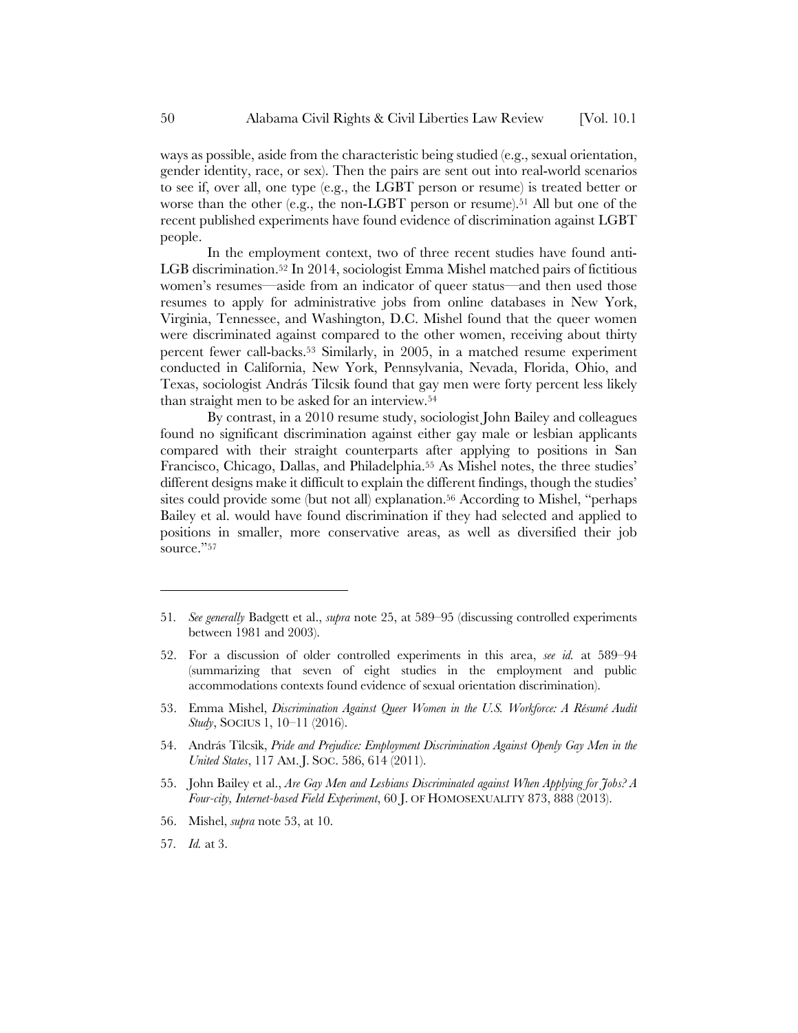ways as possible, aside from the characteristic being studied (e.g., sexual orientation, gender identity, race, or sex). Then the pairs are sent out into real-world scenarios to see if, over all, one type (e.g., the LGBT person or resume) is treated better or worse than the other (e.g., the non-LGBT person or resume).<sup>51</sup> All but one of the recent published experiments have found evidence of discrimination against LGBT people.

In the employment context, two of three recent studies have found anti-LGB discrimination.52 In 2014, sociologist Emma Mishel matched pairs of fictitious women's resumes—aside from an indicator of queer status—and then used those resumes to apply for administrative jobs from online databases in New York, Virginia, Tennessee, and Washington, D.C. Mishel found that the queer women were discriminated against compared to the other women, receiving about thirty percent fewer call-backs.53 Similarly, in 2005, in a matched resume experiment conducted in California, New York, Pennsylvania, Nevada, Florida, Ohio, and Texas, sociologist András Tilcsik found that gay men were forty percent less likely than straight men to be asked for an interview.54

By contrast, in a 2010 resume study, sociologist John Bailey and colleagues found no significant discrimination against either gay male or lesbian applicants compared with their straight counterparts after applying to positions in San Francisco, Chicago, Dallas, and Philadelphia.55 As Mishel notes, the three studies' different designs make it difficult to explain the different findings, though the studies' sites could provide some (but not all) explanation.56 According to Mishel, "perhaps Bailey et al. would have found discrimination if they had selected and applied to positions in smaller, more conservative areas, as well as diversified their job source."57

- 53. Emma Mishel, *Discrimination Against Queer Women in the U.S. Workforce: A Résumé Audit Study*, SOCIUS 1, 10–11 (2016).
- 54. András Tilcsik, *Pride and Prejudice: Employment Discrimination Against Openly Gay Men in the United States*, 117 AM. J. SOC. 586, 614 (2011).
- 55. John Bailey et al., *Are Gay Men and Lesbians Discriminated against When Applying for Jobs? A Four-city, Internet-based Field Experiment*, 60 J. OF HOMOSEXUALITY 873, 888 (2013).
- 56. Mishel, *supra* note 53, at 10.
- 57*. Id.* at 3.

<sup>51</sup>*. See generally* Badgett et al., *supra* note 25, at 589–95 (discussing controlled experiments between 1981 and 2003).

<sup>52.</sup> For a discussion of older controlled experiments in this area, *see id.* at 589–94 (summarizing that seven of eight studies in the employment and public accommodations contexts found evidence of sexual orientation discrimination).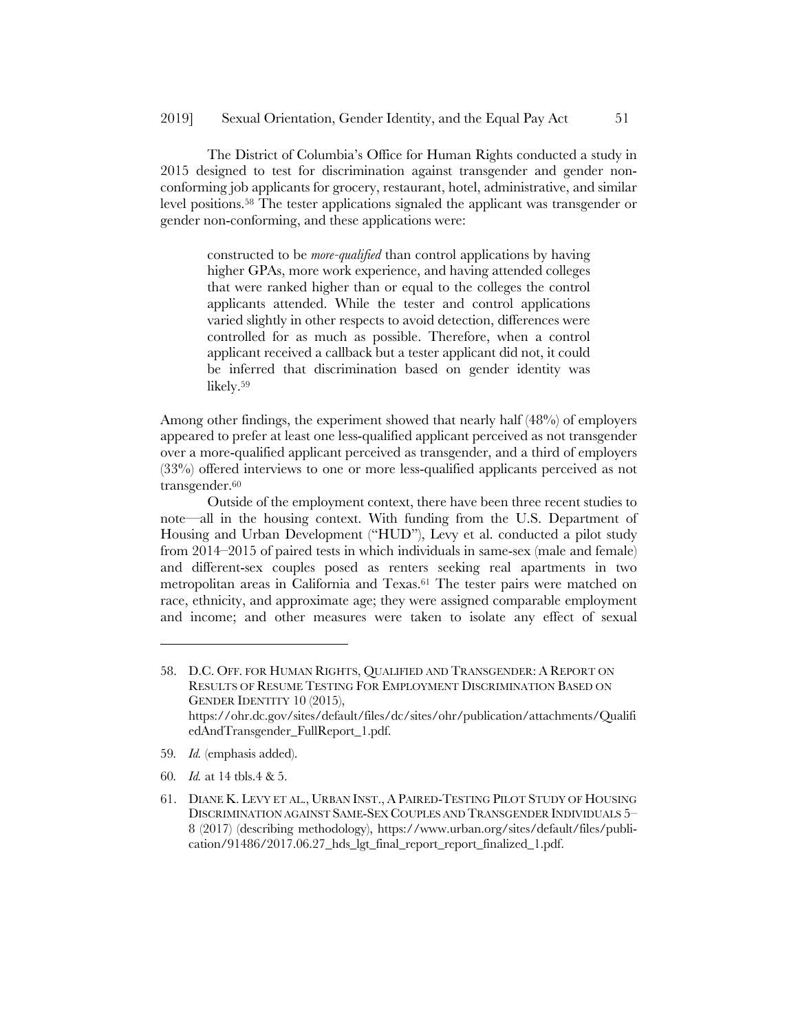The District of Columbia's Office for Human Rights conducted a study in 2015 designed to test for discrimination against transgender and gender nonconforming job applicants for grocery, restaurant, hotel, administrative, and similar level positions.58 The tester applications signaled the applicant was transgender or gender non-conforming, and these applications were:

constructed to be *more-qualified* than control applications by having higher GPAs, more work experience, and having attended colleges that were ranked higher than or equal to the colleges the control applicants attended. While the tester and control applications varied slightly in other respects to avoid detection, differences were controlled for as much as possible. Therefore, when a control applicant received a callback but a tester applicant did not, it could be inferred that discrimination based on gender identity was likely.59

Among other findings, the experiment showed that nearly half (48%) of employers appeared to prefer at least one less-qualified applicant perceived as not transgender over a more-qualified applicant perceived as transgender, and a third of employers (33%) offered interviews to one or more less-qualified applicants perceived as not transgender.<sup>60</sup>

Outside of the employment context, there have been three recent studies to note—all in the housing context. With funding from the U.S. Department of Housing and Urban Development ("HUD"), Levy et al. conducted a pilot study from 2014–2015 of paired tests in which individuals in same-sex (male and female) and different-sex couples posed as renters seeking real apartments in two metropolitan areas in California and Texas.61 The tester pairs were matched on race, ethnicity, and approximate age; they were assigned comparable employment and income; and other measures were taken to isolate any effect of sexual

59*. Id.* (emphasis added).

- 60*. Id.* at 14 tbls.4 & 5.
- 61. DIANE K. LEVY ET AL., URBAN INST., A PAIRED-TESTING PILOT STUDY OF HOUSING DISCRIMINATION AGAINST SAME-SEX COUPLES AND TRANSGENDER INDIVIDUALS 5– 8 (2017) (describing methodology), https://www.urban.org/sites/default/files/publication/91486/2017.06.27\_hds\_lgt\_final\_report\_report\_finalized\_1.pdf.

<sup>58.</sup> D.C. OFF. FOR HUMAN RIGHTS, QUALIFIED AND TRANSGENDER: A REPORT ON RESULTS OF RESUME TESTING FOR EMPLOYMENT DISCRIMINATION BASED ON GENDER IDENTITY 10 (2015), https://ohr.dc.gov/sites/default/files/dc/sites/ohr/publication/attachments/Qualifi edAndTransgender\_FullReport\_1.pdf.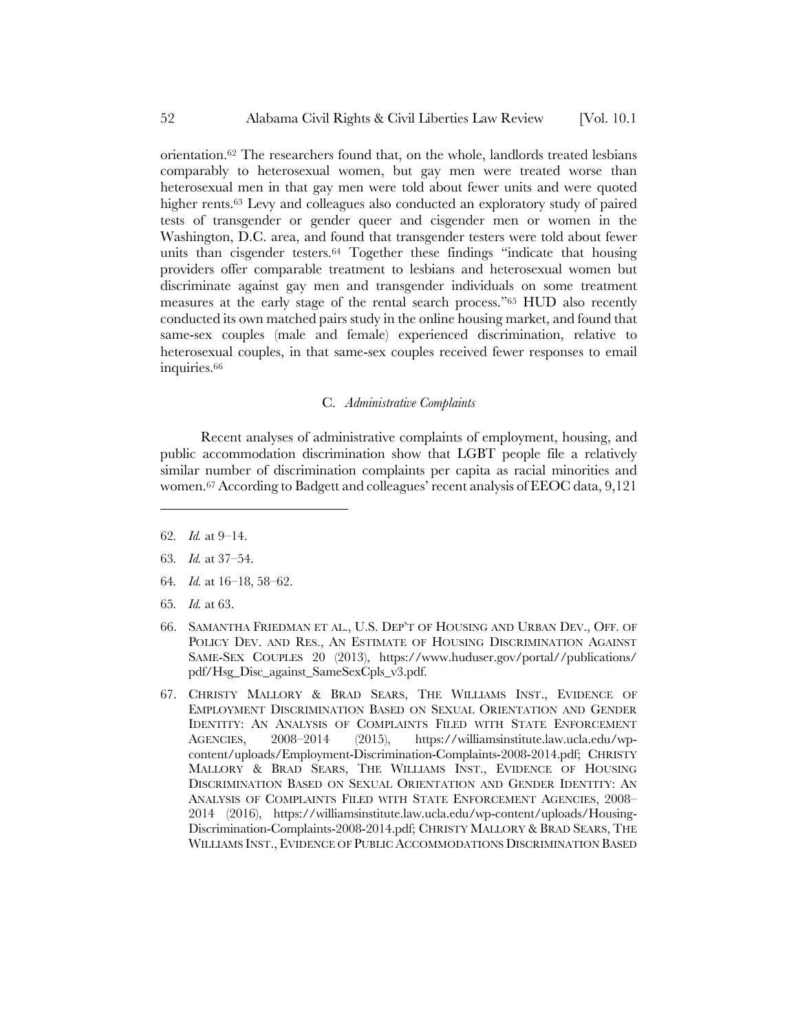orientation.62 The researchers found that, on the whole, landlords treated lesbians comparably to heterosexual women, but gay men were treated worse than heterosexual men in that gay men were told about fewer units and were quoted higher rents.63 Levy and colleagues also conducted an exploratory study of paired tests of transgender or gender queer and cisgender men or women in the Washington, D.C. area, and found that transgender testers were told about fewer units than cisgender testers.64 Together these findings "indicate that housing providers offer comparable treatment to lesbians and heterosexual women but discriminate against gay men and transgender individuals on some treatment measures at the early stage of the rental search process."65 HUD also recently conducted its own matched pairs study in the online housing market, and found that same-sex couples (male and female) experienced discrimination, relative to heterosexual couples, in that same-sex couples received fewer responses to email inquiries.<sup>66</sup>

### C. *Administrative Complaints*

Recent analyses of administrative complaints of employment, housing, and public accommodation discrimination show that LGBT people file a relatively similar number of discrimination complaints per capita as racial minorities and women.67 According to Badgett and colleagues' recent analysis of EEOC data, 9,121

62*. Id.* at 9–14.

- 63*. Id.* at 37–54.
- 64*. Id.* at 16–18, 58–62.
- 65*. Id.* at 63.
- 66. SAMANTHA FRIEDMAN ET AL., U.S. DEP'T OF HOUSING AND URBAN DEV., OFF. OF POLICY DEV. AND RES., AN ESTIMATE OF HOUSING DISCRIMINATION AGAINST SAME-SEX COUPLES 20 (2013), https://www.huduser.gov/portal//publications/ pdf/Hsg\_Disc\_against\_SameSexCpls\_v3.pdf.
- 67. CHRISTY MALLORY & BRAD SEARS, THE WILLIAMS INST., EVIDENCE OF EMPLOYMENT DISCRIMINATION BASED ON SEXUAL ORIENTATION AND GENDER IDENTITY: AN ANALYSIS OF COMPLAINTS FILED WITH STATE ENFORCEMENT AGENCIES, 2008–2014 (2015), https://williamsinstitute.law.ucla.edu/wpcontent/uploads/Employment-Discrimination-Complaints-2008-2014.pdf; CHRISTY MALLORY & BRAD SEARS, THE WILLIAMS INST., EVIDENCE OF HOUSING DISCRIMINATION BASED ON SEXUAL ORIENTATION AND GENDER IDENTITY: AN ANALYSIS OF COMPLAINTS FILED WITH STATE ENFORCEMENT AGENCIES, 2008– 2014 (2016), https://williamsinstitute.law.ucla.edu/wp-content/uploads/Housing-Discrimination-Complaints-2008-2014.pdf; CHRISTY MALLORY & BRAD SEARS, THE WILLIAMS INST., EVIDENCE OF PUBLIC ACCOMMODATIONS DISCRIMINATION BASED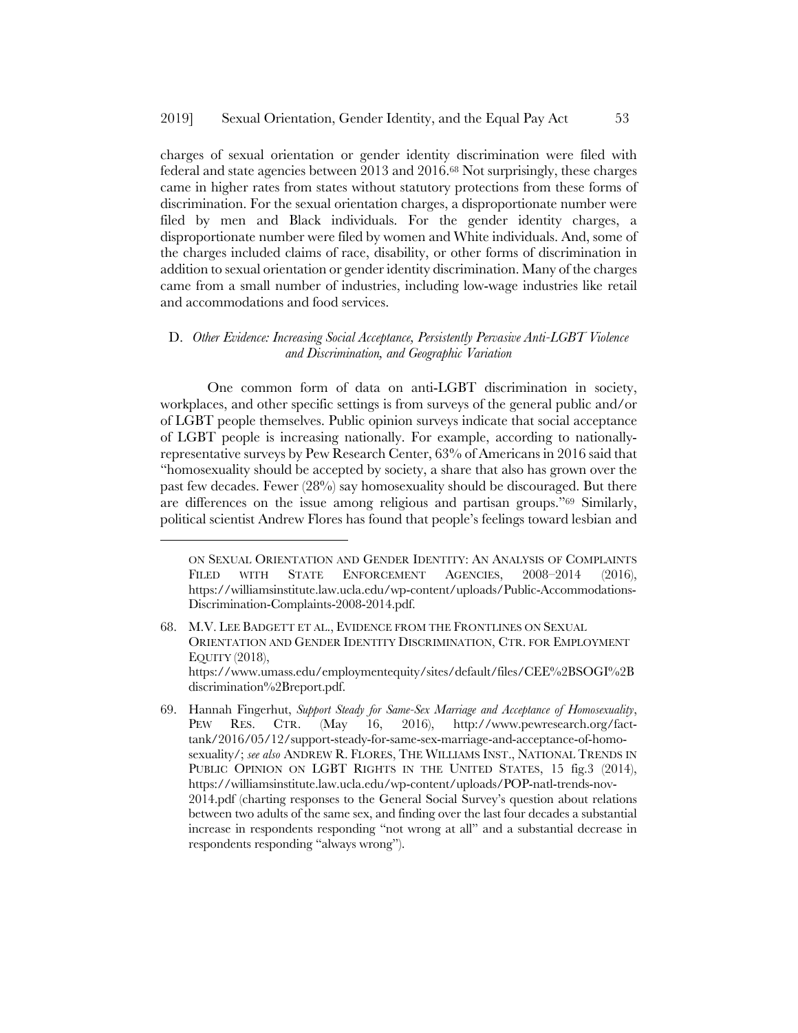charges of sexual orientation or gender identity discrimination were filed with federal and state agencies between 2013 and 2016.68 Not surprisingly, these charges came in higher rates from states without statutory protections from these forms of discrimination. For the sexual orientation charges, a disproportionate number were filed by men and Black individuals. For the gender identity charges, a disproportionate number were filed by women and White individuals. And, some of the charges included claims of race, disability, or other forms of discrimination in addition to sexual orientation or gender identity discrimination. Many of the charges came from a small number of industries, including low-wage industries like retail and accommodations and food services.

# D. *Other Evidence: Increasing Social Acceptance, Persistently Pervasive Anti-LGBT Violence and Discrimination, and Geographic Variation*

One common form of data on anti-LGBT discrimination in society, workplaces, and other specific settings is from surveys of the general public and/or of LGBT people themselves. Public opinion surveys indicate that social acceptance of LGBT people is increasing nationally. For example, according to nationallyrepresentative surveys by Pew Research Center, 63% of Americans in 2016 said that "homosexuality should be accepted by society, a share that also has grown over the past few decades. Fewer (28%) say homosexuality should be discouraged. But there are differences on the issue among religious and partisan groups."69 Similarly, political scientist Andrew Flores has found that people's feelings toward lesbian and

ON SEXUAL ORIENTATION AND GENDER IDENTITY: AN ANALYSIS OF COMPLAINTS FILED WITH STATE ENFORCEMENT AGENCIES, 2008-2014 (2016), https://williamsinstitute.law.ucla.edu/wp-content/uploads/Public-Accommodations-Discrimination-Complaints-2008-2014.pdf.

<sup>68.</sup> M.V. LEE BADGETT ET AL., EVIDENCE FROM THE FRONTLINES ON SEXUAL ORIENTATION AND GENDER IDENTITY DISCRIMINATION, CTR. FOR EMPLOYMENT EQUITY (2018), https://www.umass.edu/employmentequity/sites/default/files/CEE%2BSOGI%2B discrimination%2Breport.pdf.

<sup>69.</sup> Hannah Fingerhut, *Support Steady for Same-Sex Marriage and Acceptance of Homosexuality*, PEW RES. CTR. (May 16, 2016), http://www.pewresearch.org/facttank/2016/05/12/support-steady-for-same-sex-marriage-and-acceptance-of-homosexuality/; *see also* ANDREW R. FLORES, THE WILLIAMS INST., NATIONAL TRENDS IN PUBLIC OPINION ON LGBT RIGHTS IN THE UNITED STATES, 15 fig.3 (2014), https://williamsinstitute.law.ucla.edu/wp-content/uploads/POP-natl-trends-nov-2014.pdf (charting responses to the General Social Survey's question about relations between two adults of the same sex, and finding over the last four decades a substantial increase in respondents responding "not wrong at all" and a substantial decrease in respondents responding "always wrong").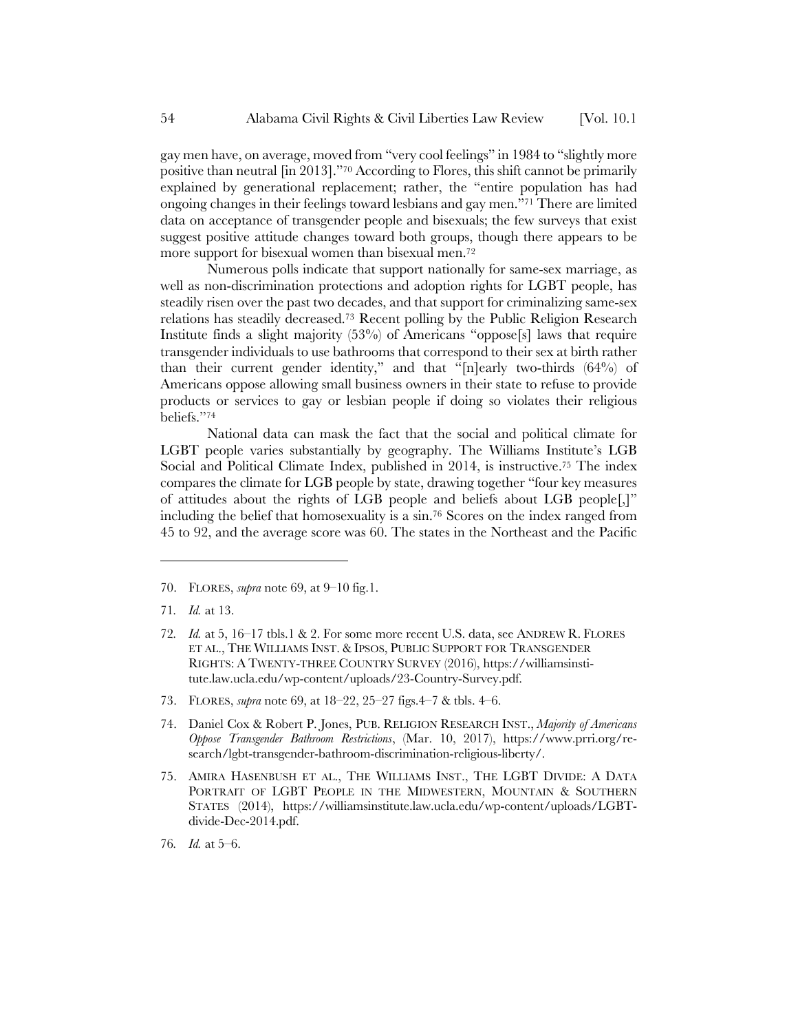gay men have, on average, moved from "very cool feelings" in 1984 to "slightly more positive than neutral [in 2013]."70 According to Flores, this shift cannot be primarily explained by generational replacement; rather, the "entire population has had ongoing changes in their feelings toward lesbians and gay men."71 There are limited data on acceptance of transgender people and bisexuals; the few surveys that exist suggest positive attitude changes toward both groups, though there appears to be more support for bisexual women than bisexual men.72

Numerous polls indicate that support nationally for same-sex marriage, as well as non-discrimination protections and adoption rights for LGBT people, has steadily risen over the past two decades, and that support for criminalizing same-sex relations has steadily decreased.73 Recent polling by the Public Religion Research Institute finds a slight majority (53%) of Americans "oppose[s] laws that require transgender individuals to use bathrooms that correspond to their sex at birth rather than their current gender identity," and that "[n]early two-thirds (64%) of Americans oppose allowing small business owners in their state to refuse to provide products or services to gay or lesbian people if doing so violates their religious beliefs."74

National data can mask the fact that the social and political climate for LGBT people varies substantially by geography. The Williams Institute's LGB Social and Political Climate Index, published in 2014, is instructive.75 The index compares the climate for LGB people by state, drawing together "four key measures of attitudes about the rights of LGB people and beliefs about LGB people[,]" including the belief that homosexuality is a sin.76 Scores on the index ranged from 45 to 92, and the average score was 60. The states in the Northeast and the Pacific

- 73. FLORES, *supra* note 69, at 18–22, 25–27 figs.4–7 & tbls. 4–6.
- 74. Daniel Cox & Robert P. Jones, PUB. RELIGION RESEARCH INST., *Majority of Americans Oppose Transgender Bathroom Restrictions*, (Mar. 10, 2017), https://www.prri.org/research/lgbt-transgender-bathroom-discrimination-religious-liberty/.
- 75. AMIRA HASENBUSH ET AL., THE WILLIAMS INST., THE LGBT DIVIDE: A DATA PORTRAIT OF LGBT PEOPLE IN THE MIDWESTERN, MOUNTAIN & SOUTHERN STATES (2014), https://williamsinstitute.law.ucla.edu/wp-content/uploads/LGBTdivide-Dec-2014.pdf.

<sup>70.</sup> FLORES, *supra* note 69, at 9–10 fig.1.

<sup>71</sup>*. Id.* at 13.

<sup>72</sup>*. Id.* at 5, 16–17 tbls.1 & 2. For some more recent U.S. data, see ANDREW R. FLORES ET AL., THE WILLIAMS INST. & IPSOS, PUBLIC SUPPORT FOR TRANSGENDER RIGHTS: A TWENTY-THREE COUNTRY SURVEY (2016), https://williamsinstitute.law.ucla.edu/wp-content/uploads/23-Country-Survey.pdf.

<sup>76</sup>*. Id.* at 5–6.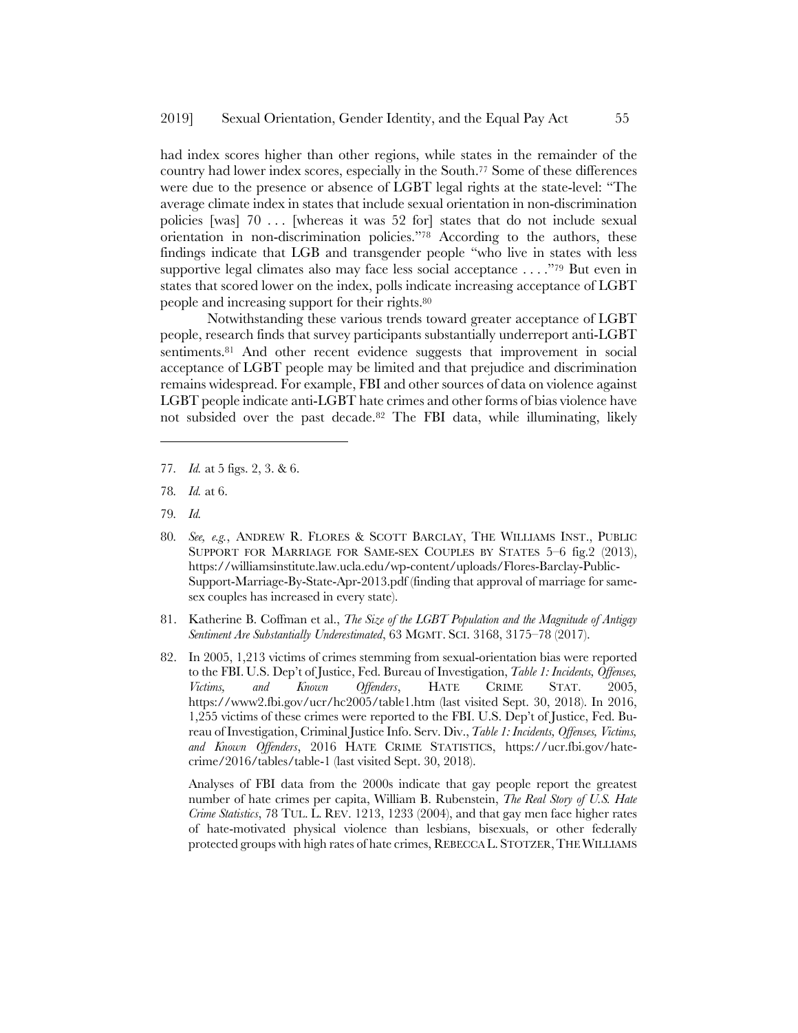had index scores higher than other regions, while states in the remainder of the country had lower index scores, especially in the South.77 Some of these differences were due to the presence or absence of LGBT legal rights at the state-level: "The average climate index in states that include sexual orientation in non-discrimination policies [was] 70 . . . [whereas it was 52 for] states that do not include sexual orientation in non-discrimination policies."78 According to the authors, these findings indicate that LGB and transgender people "who live in states with less supportive legal climates also may face less social acceptance . . . ."79 But even in states that scored lower on the index, polls indicate increasing acceptance of LGBT people and increasing support for their rights.80

Notwithstanding these various trends toward greater acceptance of LGBT people, research finds that survey participants substantially underreport anti-LGBT sentiments.<sup>81</sup> And other recent evidence suggests that improvement in social acceptance of LGBT people may be limited and that prejudice and discrimination remains widespread. For example, FBI and other sources of data on violence against LGBT people indicate anti-LGBT hate crimes and other forms of bias violence have not subsided over the past decade.82 The FBI data, while illuminating, likely

- 77*. Id.* at 5 figs. 2, 3. & 6.
- 78*. Id.* at 6.
- 79*. Id.*

l

- 80*. See, e.g.*, ANDREW R. FLORES & SCOTT BARCLAY, THE WILLIAMS INST., PUBLIC SUPPORT FOR MARRIAGE FOR SAME-SEX COUPLES BY STATES 5–6 fig.2 (2013), https://williamsinstitute.law.ucla.edu/wp-content/uploads/Flores-Barclay-Public-Support-Marriage-By-State-Apr-2013.pdf (finding that approval of marriage for samesex couples has increased in every state).
- 81. Katherine B. Coffman et al., *The Size of the LGBT Population and the Magnitude of Antigay Sentiment Are Substantially Underestimated*, 63 MGMT. SCI. 3168, 3175–78 (2017).
- 82. In 2005, 1,213 victims of crimes stemming from sexual-orientation bias were reported to the FBI. U.S. Dep't of Justice, Fed. Bureau of Investigation, *Table 1: Incidents, Offenses, Victims, and Known Offenders*, HATE CRIME STAT. 2005, https://www2.fbi.gov/ucr/hc2005/table1.htm (last visited Sept. 30, 2018). In 2016, 1,255 victims of these crimes were reported to the FBI. U.S. Dep't of Justice, Fed. Bureau of Investigation, Criminal Justice Info. Serv. Div.,*Table 1: Incidents, Offenses, Victims, and Known Offenders*, 2016 HATE CRIME STATISTICS, https://ucr.fbi.gov/hatecrime/2016/tables/table-1 (last visited Sept. 30, 2018).

Analyses of FBI data from the 2000s indicate that gay people report the greatest number of hate crimes per capita, William B. Rubenstein, *The Real Story of U.S. Hate Crime Statistics*, 78 TUL. L. REV. 1213, 1233 (2004), and that gay men face higher rates of hate-motivated physical violence than lesbians, bisexuals, or other federally protected groups with high rates of hate crimes, REBECCA L. STOTZER,THE WILLIAMS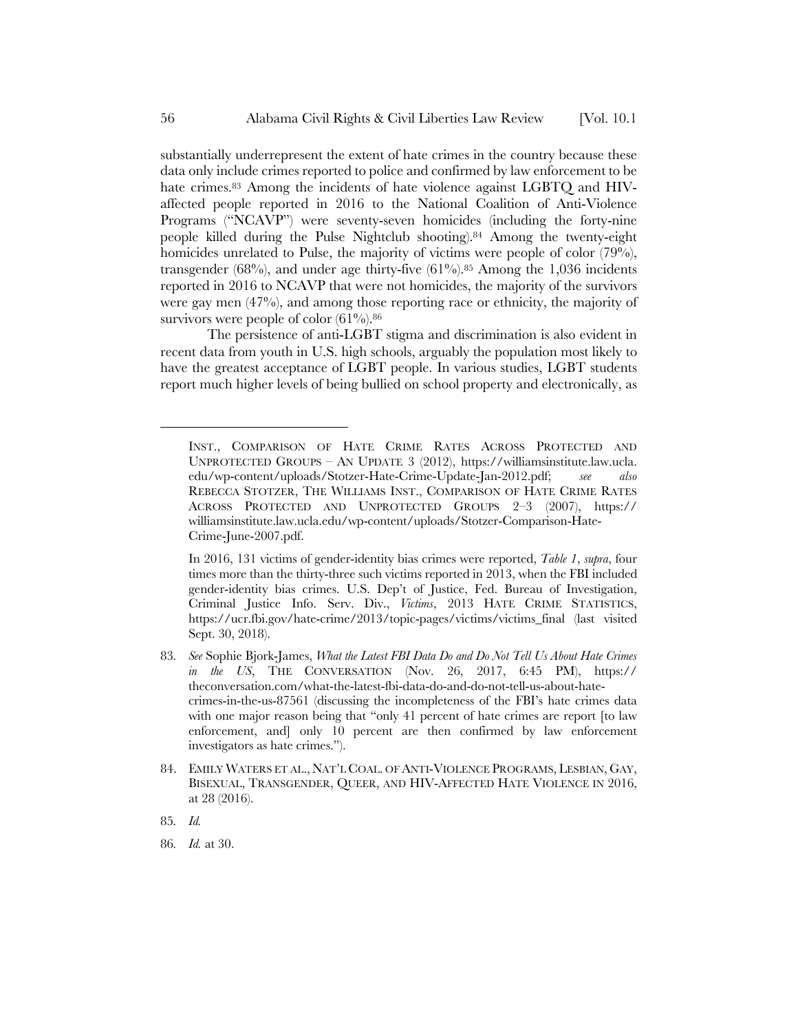substantially underrepresent the extent of hate crimes in the country because these data only include crimes reported to police and confirmed by law enforcement to be hate crimes.<sup>83</sup> Among the incidents of hate violence against LGBTQ and HIVaffected people reported in 2016 to the National Coalition of Anti-Violence Programs ("NCAVP") were seventy-seven homicides (including the forty-nine people killed during the Pulse Nightclub shooting).84 Among the twenty-eight homicides unrelated to Pulse, the majority of victims were people of color (79%), transgender (68%), and under age thirty-five (61%).<sup>85</sup> Among the 1,036 incidents reported in 2016 to NCAVP that were not homicides, the majority of the survivors were gay men (47%), and among those reporting race or ethnicity, the majority of survivors were people of color  $(61\%)$ .<sup>86</sup>

The persistence of anti-LGBT stigma and discrimination is also evident in recent data from youth in U.S. high schools, arguably the population most likely to have the greatest acceptance of LGBT people. In various studies, LGBT students report much higher levels of being bullied on school property and electronically, as

In 2016, 131 victims of gender-identity bias crimes were reported, *Table 1*, *supra*, four times more than the thirty-three such victims reported in 2013, when the FBI included gender-identity bias crimes. U.S. Dep't of Justice, Fed. Bureau of Investigation, Criminal Justice Info. Serv. Div., *Victims*, 2013 HATE CRIME STATISTICS, https://ucr.fbi.gov/hate-crime/2013/topic-pages/victims/victims\_final (last visited Sept. 30, 2018).

- 83*. See* Sophie Bjork-James, *What the Latest FBI Data Do and Do Not Tell Us About Hate Crimes in the US*, THE CONVERSATION (Nov. 26, 2017, 6:45 PM), https:// theconversation.com/what-the-latest-fbi-data-do-and-do-not-tell-us-about-hatecrimes-in-the-us-87561 (discussing the incompleteness of the FBI's hate crimes data with one major reason being that "only 41 percent of hate crimes are report [to law enforcement, and] only 10 percent are then confirmed by law enforcement investigators as hate crimes.").
- 84. EMILY WATERS ET AL., NAT'L COAL. OF ANTI-VIOLENCE PROGRAMS, LESBIAN, GAY, BISEXUAL, TRANSGENDER, QUEER, AND HIV-AFFECTED HATE VIOLENCE IN 2016, at 28 (2016).
- 85*. Id.*

INST., COMPARISON OF HATE CRIME RATES ACROSS PROTECTED AND UNPROTECTED GROUPS – AN UPDATE 3 (2012), https://williamsinstitute.law.ucla. edu/wp-content/uploads/Stotzer-Hate-Crime-Update-Jan-2012.pdf; *see also* REBECCA STOTZER, THE WILLIAMS INST., COMPARISON OF HATE CRIME RATES ACROSS PROTECTED AND UNPROTECTED GROUPS 2–3 (2007), https:// williamsinstitute.law.ucla.edu/wp-content/uploads/Stotzer-Comparison-Hate-Crime-June-2007.pdf.

<sup>86</sup>*. Id.* at 30.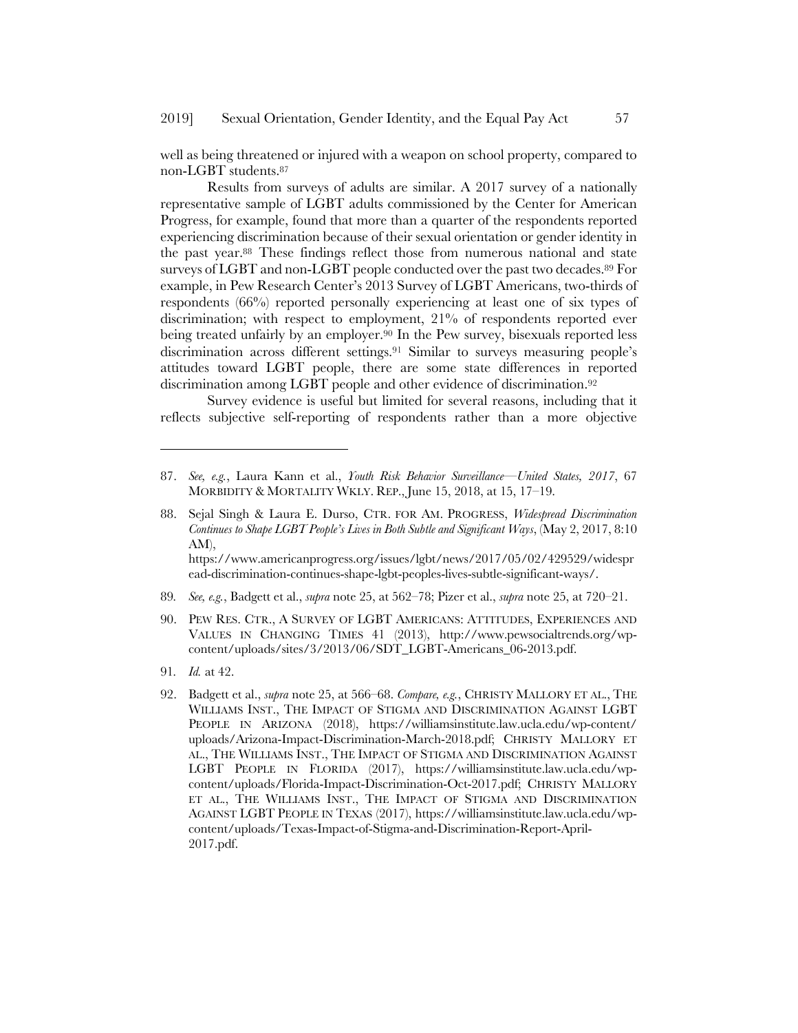#### 2019] Sexual Orientation, Gender Identity, and the Equal Pay Act 57

well as being threatened or injured with a weapon on school property, compared to non-LGBT students.87

Results from surveys of adults are similar. A 2017 survey of a nationally representative sample of LGBT adults commissioned by the Center for American Progress, for example, found that more than a quarter of the respondents reported experiencing discrimination because of their sexual orientation or gender identity in the past year.88 These findings reflect those from numerous national and state surveys of LGBT and non-LGBT people conducted over the past two decades.89 For example, in Pew Research Center's 2013 Survey of LGBT Americans, two-thirds of respondents (66%) reported personally experiencing at least one of six types of discrimination; with respect to employment, 21% of respondents reported ever being treated unfairly by an employer.90 In the Pew survey, bisexuals reported less discrimination across different settings.91 Similar to surveys measuring people's attitudes toward LGBT people, there are some state differences in reported discrimination among LGBT people and other evidence of discrimination.92

Survey evidence is useful but limited for several reasons, including that it reflects subjective self-reporting of respondents rather than a more objective

ead-discrimination-continues-shape-lgbt-peoples-lives-subtle-significant-ways/.

- 89*. See, e.g.*, Badgett et al., *supra* note 25, at 562–78; Pizer et al., *supra* note 25, at 720–21.
- 90. PEW RES. CTR., A SURVEY OF LGBT AMERICANS: ATTITUDES, EXPERIENCES AND VALUES IN CHANGING TIMES 41 (2013), http://www.pewsocialtrends.org/wpcontent/uploads/sites/3/2013/06/SDT\_LGBT-Americans\_06-2013.pdf.
- 91*. Id.* at 42.

l

92. Badgett et al., *supra* note 25, at 566–68. *Compare, e.g.*, CHRISTY MALLORY ET AL., THE WILLIAMS INST., THE IMPACT OF STIGMA AND DISCRIMINATION AGAINST LGBT PEOPLE IN ARIZONA (2018), https://williamsinstitute.law.ucla.edu/wp-content/ uploads/Arizona-Impact-Discrimination-March-2018.pdf; CHRISTY MALLORY ET AL., THE WILLIAMS INST., THE IMPACT OF STIGMA AND DISCRIMINATION AGAINST LGBT PEOPLE IN FLORIDA (2017), https://williamsinstitute.law.ucla.edu/wpcontent/uploads/Florida-Impact-Discrimination-Oct-2017.pdf; CHRISTY MALLORY ET AL., THE WILLIAMS INST., THE IMPACT OF STIGMA AND DISCRIMINATION AGAINST LGBT PEOPLE IN TEXAS (2017), https://williamsinstitute.law.ucla.edu/wpcontent/uploads/Texas-Impact-of-Stigma-and-Discrimination-Report-April-2017.pdf.

<sup>87.</sup> *See, e.g.*, Laura Kann et al., *Youth Risk Behavior Surveillance—United States, 2017*, 67 MORBIDITY & MORTALITY WKLY. REP., June 15, 2018, at 15, 17–19.

<sup>88.</sup> Sejal Singh & Laura E. Durso, CTR. FOR AM. PROGRESS, *Widespread Discrimination Continues to Shape LGBT People's Lives in Both Subtle and Significant Ways*, (May 2, 2017, 8:10 AM), https://www.americanprogress.org/issues/lgbt/news/2017/05/02/429529/widespr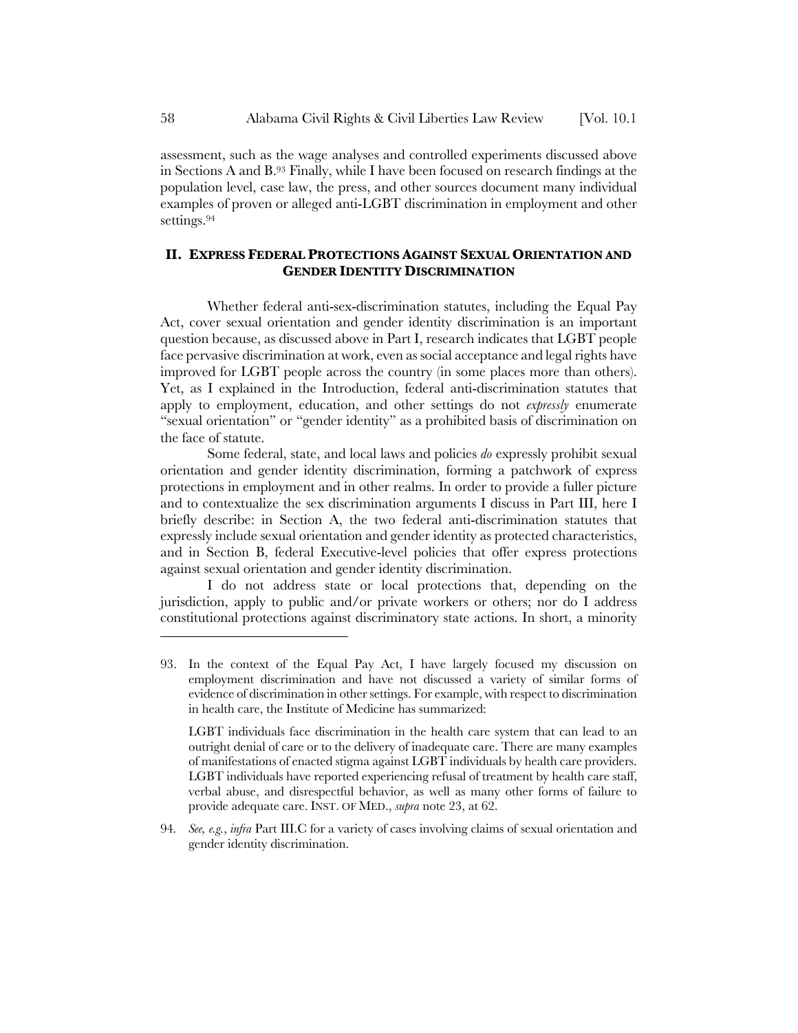assessment, such as the wage analyses and controlled experiments discussed above in Sections A and B.93 Finally, while I have been focused on research findings at the population level, case law, the press, and other sources document many individual examples of proven or alleged anti-LGBT discrimination in employment and other settings.94

# **II. EXPRESS FEDERAL PROTECTIONS AGAINST SEXUAL ORIENTATION AND GENDER IDENTITY DISCRIMINATION**

Whether federal anti-sex-discrimination statutes, including the Equal Pay Act, cover sexual orientation and gender identity discrimination is an important question because, as discussed above in Part I, research indicates that LGBT people face pervasive discrimination at work, even as social acceptance and legal rights have improved for LGBT people across the country (in some places more than others). Yet, as I explained in the Introduction, federal anti-discrimination statutes that apply to employment, education, and other settings do not *expressly* enumerate "sexual orientation" or "gender identity" as a prohibited basis of discrimination on the face of statute.

Some federal, state, and local laws and policies *do* expressly prohibit sexual orientation and gender identity discrimination, forming a patchwork of express protections in employment and in other realms. In order to provide a fuller picture and to contextualize the sex discrimination arguments I discuss in Part III, here I briefly describe: in Section A, the two federal anti-discrimination statutes that expressly include sexual orientation and gender identity as protected characteristics, and in Section B, federal Executive-level policies that offer express protections against sexual orientation and gender identity discrimination.

I do not address state or local protections that, depending on the jurisdiction, apply to public and/or private workers or others; nor do I address constitutional protections against discriminatory state actions. In short, a minority

<sup>93.</sup> In the context of the Equal Pay Act, I have largely focused my discussion on employment discrimination and have not discussed a variety of similar forms of evidence of discrimination in other settings. For example, with respect to discrimination in health care, the Institute of Medicine has summarized:

LGBT individuals face discrimination in the health care system that can lead to an outright denial of care or to the delivery of inadequate care. There are many examples of manifestations of enacted stigma against LGBT individuals by health care providers. LGBT individuals have reported experiencing refusal of treatment by health care staff, verbal abuse, and disrespectful behavior, as well as many other forms of failure to provide adequate care. INST. OF MED., *supra* note 23, at 62.

<sup>94</sup>*. See, e.g.*, *infra* Part III.C for a variety of cases involving claims of sexual orientation and gender identity discrimination.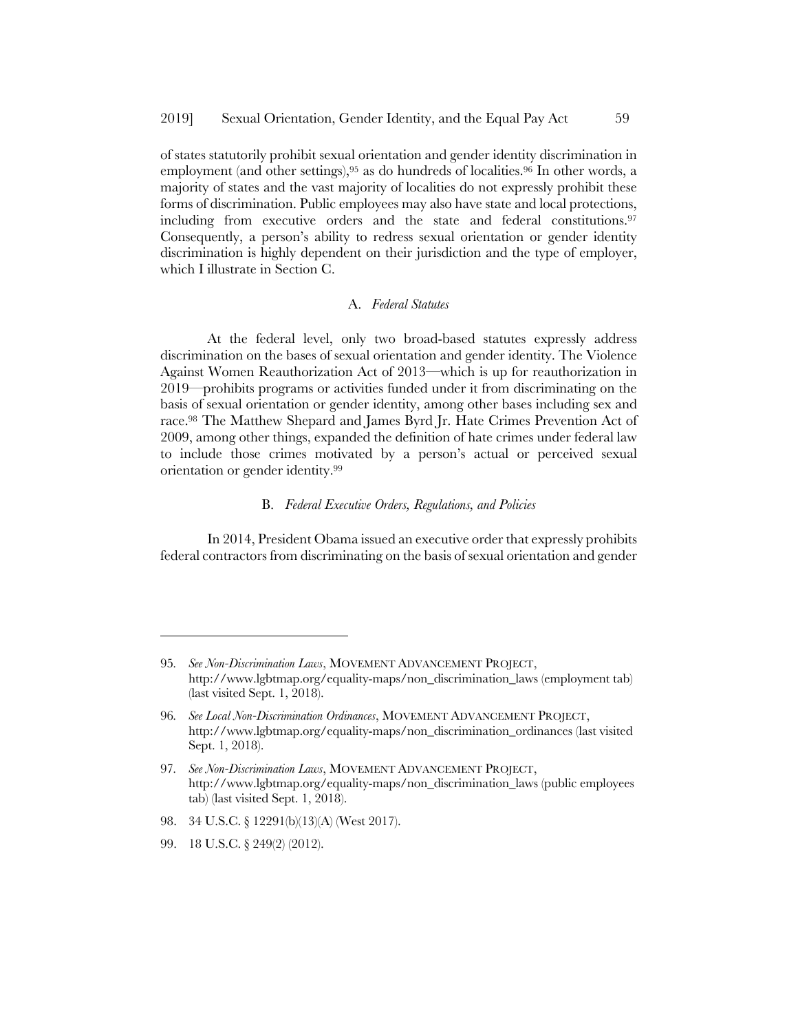of states statutorily prohibit sexual orientation and gender identity discrimination in employment (and other settings),<sup>95</sup> as do hundreds of localities.<sup>96</sup> In other words, a majority of states and the vast majority of localities do not expressly prohibit these forms of discrimination. Public employees may also have state and local protections, including from executive orders and the state and federal constitutions.97 Consequently, a person's ability to redress sexual orientation or gender identity discrimination is highly dependent on their jurisdiction and the type of employer, which I illustrate in Section C.

### A. *Federal Statutes*

At the federal level, only two broad-based statutes expressly address discrimination on the bases of sexual orientation and gender identity. The Violence Against Women Reauthorization Act of 2013—which is up for reauthorization in 2019—prohibits programs or activities funded under it from discriminating on the basis of sexual orientation or gender identity, among other bases including sex and race.98 The Matthew Shepard and James Byrd Jr. Hate Crimes Prevention Act of 2009, among other things, expanded the definition of hate crimes under federal law to include those crimes motivated by a person's actual or perceived sexual orientation or gender identity.99

### B. *Federal Executive Orders, Regulations, and Policies*

In 2014, President Obama issued an executive order that expressly prohibits federal contractors from discriminating on the basis of sexual orientation and gender

- 98. 34 U.S.C. § 12291(b)(13)(A) (West 2017).
- 99. 18 U.S.C. § 249(2) (2012).

<sup>95</sup>*. See Non-Discrimination Laws*, MOVEMENT ADVANCEMENT PROJECT, http://www.lgbtmap.org/equality-maps/non\_discrimination\_laws (employment tab) (last visited Sept. 1, 2018).

<sup>96</sup>*. See Local Non-Discrimination Ordinances*, MOVEMENT ADVANCEMENT PROJECT, http://www.lgbtmap.org/equality-maps/non\_discrimination\_ordinances (last visited Sept. 1, 2018).

<sup>97</sup>*. See Non-Discrimination Laws*, MOVEMENT ADVANCEMENT PROJECT, http://www.lgbtmap.org/equality-maps/non\_discrimination\_laws (public employees tab) (last visited Sept. 1, 2018).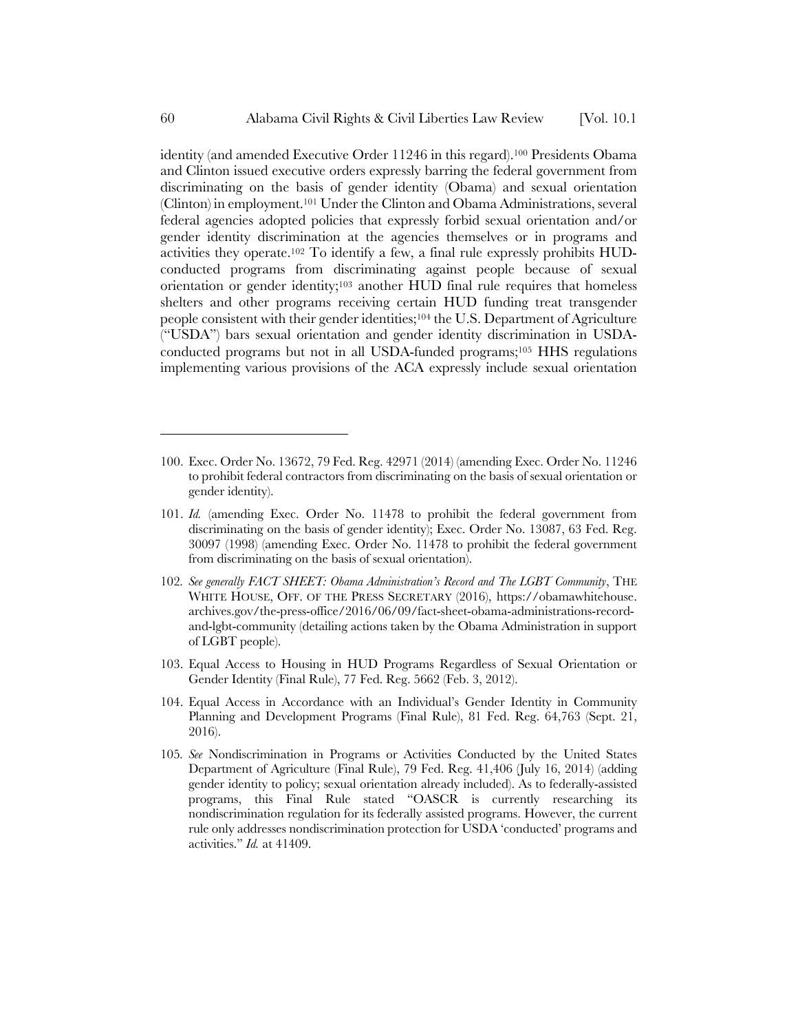identity (and amended Executive Order 11246 in this regard).100 Presidents Obama and Clinton issued executive orders expressly barring the federal government from discriminating on the basis of gender identity (Obama) and sexual orientation (Clinton) in employment.101 Under the Clinton and Obama Administrations, several federal agencies adopted policies that expressly forbid sexual orientation and/or gender identity discrimination at the agencies themselves or in programs and activities they operate.102 To identify a few, a final rule expressly prohibits HUDconducted programs from discriminating against people because of sexual orientation or gender identity;<sup>103</sup> another HUD final rule requires that homeless shelters and other programs receiving certain HUD funding treat transgender people consistent with their gender identities;104 the U.S. Department of Agriculture ("USDA") bars sexual orientation and gender identity discrimination in USDAconducted programs but not in all USDA-funded programs;105 HHS regulations implementing various provisions of the ACA expressly include sexual orientation

- 102*. See generally FACT SHEET: Obama Administration's Record and The LGBT Community*, THE WHITE HOUSE, OFF. OF THE PRESS SECRETARY (2016), https://obamawhitehouse. archives.gov/the-press-office/2016/06/09/fact-sheet-obama-administrations-recordand-lgbt-community (detailing actions taken by the Obama Administration in support of LGBT people).
- 103. Equal Access to Housing in HUD Programs Regardless of Sexual Orientation or Gender Identity (Final Rule), 77 Fed. Reg. 5662 (Feb. 3, 2012).
- 104. Equal Access in Accordance with an Individual's Gender Identity in Community Planning and Development Programs (Final Rule), 81 Fed. Reg. 64,763 (Sept. 21, 2016).
- 105*. See* Nondiscrimination in Programs or Activities Conducted by the United States Department of Agriculture (Final Rule), 79 Fed. Reg. 41,406 (July 16, 2014) (adding gender identity to policy; sexual orientation already included). As to federally-assisted programs, this Final Rule stated "OASCR is currently researching its nondiscrimination regulation for its federally assisted programs. However, the current rule only addresses nondiscrimination protection for USDA 'conducted' programs and activities." *Id.* at 41409.

<sup>100.</sup> Exec. Order No. 13672, 79 Fed. Reg. 42971 (2014) (amending Exec. Order No. 11246 to prohibit federal contractors from discriminating on the basis of sexual orientation or gender identity).

<sup>101.</sup> *Id.* (amending Exec. Order No. 11478 to prohibit the federal government from discriminating on the basis of gender identity); Exec. Order No. 13087, 63 Fed. Reg. 30097 (1998) (amending Exec. Order No. 11478 to prohibit the federal government from discriminating on the basis of sexual orientation).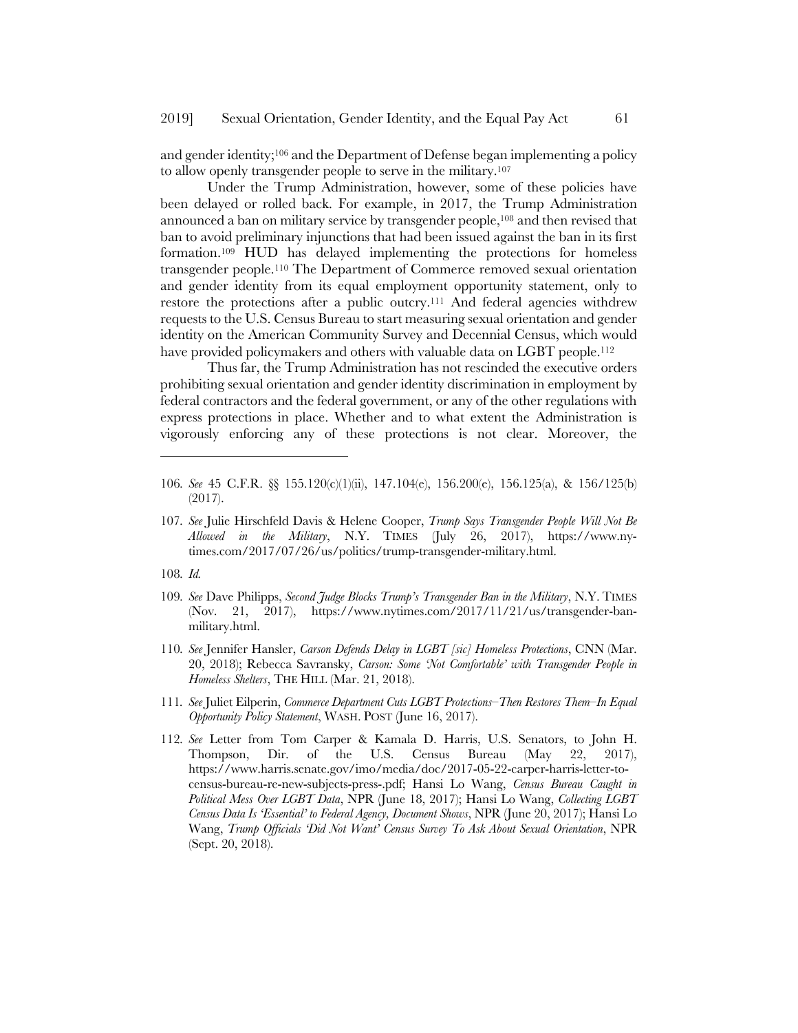and gender identity;106 and the Department of Defense began implementing a policy to allow openly transgender people to serve in the military.107

Under the Trump Administration, however, some of these policies have been delayed or rolled back. For example, in 2017, the Trump Administration announced a ban on military service by transgender people,108 and then revised that ban to avoid preliminary injunctions that had been issued against the ban in its first formation.109 HUD has delayed implementing the protections for homeless transgender people.110 The Department of Commerce removed sexual orientation and gender identity from its equal employment opportunity statement, only to restore the protections after a public outcry.111 And federal agencies withdrew requests to the U.S. Census Bureau to start measuring sexual orientation and gender identity on the American Community Survey and Decennial Census, which would have provided policymakers and others with valuable data on LGBT people.<sup>112</sup>

Thus far, the Trump Administration has not rescinded the executive orders prohibiting sexual orientation and gender identity discrimination in employment by federal contractors and the federal government, or any of the other regulations with express protections in place. Whether and to what extent the Administration is vigorously enforcing any of these protections is not clear. Moreover, the

- 107*. See* Julie Hirschfeld Davis & Helene Cooper, *Trump Says Transgender People Will Not Be Allowed in the Military*, N.Y. TIMES (July 26, 2017), https://www.nytimes.com/2017/07/26/us/politics/trump-transgender-military.html.
- 108*. Id.*

- 109*. See* Dave Philipps, *Second Judge Blocks Trump's Transgender Ban in the Military*, N.Y. TIMES (Nov. 21, 2017), https://www.nytimes.com/2017/11/21/us/transgender-banmilitary.html.
- 110*. See* Jennifer Hansler, *Carson Defends Delay in LGBT [sic] Homeless Protections*, CNN (Mar. 20, 2018); Rebecca Savransky, *Carson: Some 'Not Comfortable' with Transgender People in Homeless Shelters*, THE HILL (Mar. 21, 2018).
- 111*. See* Juliet Eilperin, *Commerce Department Cuts LGBT Protections–Then Restores Them–In Equal Opportunity Policy Statement*, WASH. POST (June 16, 2017).
- 112*. See* Letter from Tom Carper & Kamala D. Harris, U.S. Senators, to John H. Thompson, Dir. of the U.S. Census Bureau (May 22, 2017), https://www.harris.senate.gov/imo/media/doc/2017-05-22-carper-harris-letter-tocensus-bureau-re-new-subjects-press-.pdf; Hansi Lo Wang, *Census Bureau Caught in Political Mess Over LGBT Data*, NPR (June 18, 2017); Hansi Lo Wang, *Collecting LGBT Census Data Is 'Essential' to Federal Agency, Document Shows*, NPR (June 20, 2017); Hansi Lo Wang, *Trump Officials 'Did Not Want' Census Survey To Ask About Sexual Orientation*, NPR (Sept. 20, 2018).

<sup>106</sup>*. See* 45 C.F.R. §§ 155.120(c)(1)(ii), 147.104(e), 156.200(e), 156.125(a), & 156/125(b) (2017).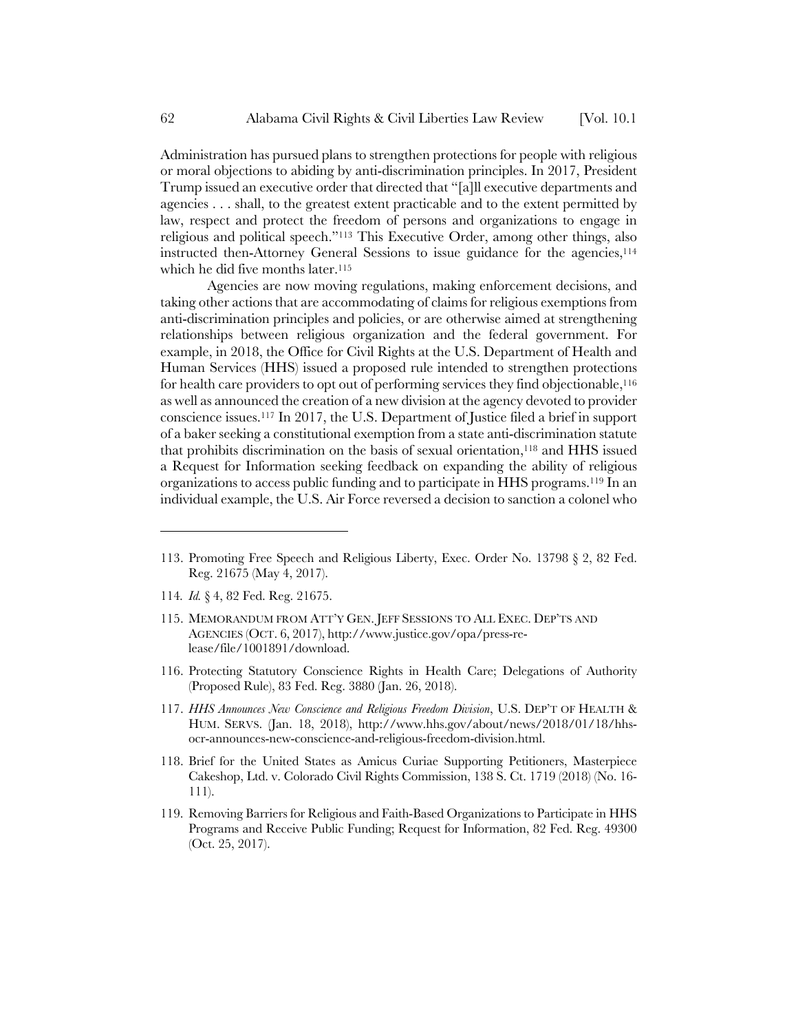Administration has pursued plans to strengthen protections for people with religious or moral objections to abiding by anti-discrimination principles. In 2017, President Trump issued an executive order that directed that "[a]ll executive departments and agencies . . . shall, to the greatest extent practicable and to the extent permitted by law, respect and protect the freedom of persons and organizations to engage in religious and political speech."113 This Executive Order, among other things, also instructed then-Attorney General Sessions to issue guidance for the agencies,<sup>114</sup> which he did five months later.<sup>115</sup>

Agencies are now moving regulations, making enforcement decisions, and taking other actions that are accommodating of claims for religious exemptions from anti-discrimination principles and policies, or are otherwise aimed at strengthening relationships between religious organization and the federal government. For example, in 2018, the Office for Civil Rights at the U.S. Department of Health and Human Services (HHS) issued a proposed rule intended to strengthen protections for health care providers to opt out of performing services they find objectionable,116 as well as announced the creation of a new division at the agency devoted to provider conscience issues.117 In 2017, the U.S. Department of Justice filed a brief in support of a baker seeking a constitutional exemption from a state anti-discrimination statute that prohibits discrimination on the basis of sexual orientation,118 and HHS issued a Request for Information seeking feedback on expanding the ability of religious organizations to access public funding and to participate in HHS programs.119 In an individual example, the U.S. Air Force reversed a decision to sanction a colonel who

- 114*. Id.* § 4, 82 Fed. Reg. 21675.
- 115. MEMORANDUM FROM ATT'Y GEN. JEFF SESSIONS TO ALL EXEC. DEP'TS AND AGENCIES (OCT. 6, 2017), http://www.justice.gov/opa/press-release/file/1001891/download.
- 116. Protecting Statutory Conscience Rights in Health Care; Delegations of Authority (Proposed Rule), 83 Fed. Reg. 3880 (Jan. 26, 2018).
- 117. *HHS Announces New Conscience and Religious Freedom Division*, U.S. DEP'T OF HEALTH & HUM. SERVS. (Jan. 18, 2018), http://www.hhs.gov/about/news/2018/01/18/hhsocr-announces-new-conscience-and-religious-freedom-division.html.
- 118. Brief for the United States as Amicus Curiae Supporting Petitioners, Masterpiece Cakeshop, Ltd. v. Colorado Civil Rights Commission, 138 S. Ct. 1719 (2018) (No. 16- 111).
- 119. Removing Barriers for Religious and Faith-Based Organizations to Participate in HHS Programs and Receive Public Funding; Request for Information, 82 Fed. Reg. 49300 (Oct. 25, 2017).

<sup>113.</sup> Promoting Free Speech and Religious Liberty, Exec. Order No. 13798 § 2, 82 Fed. Reg. 21675 (May 4, 2017).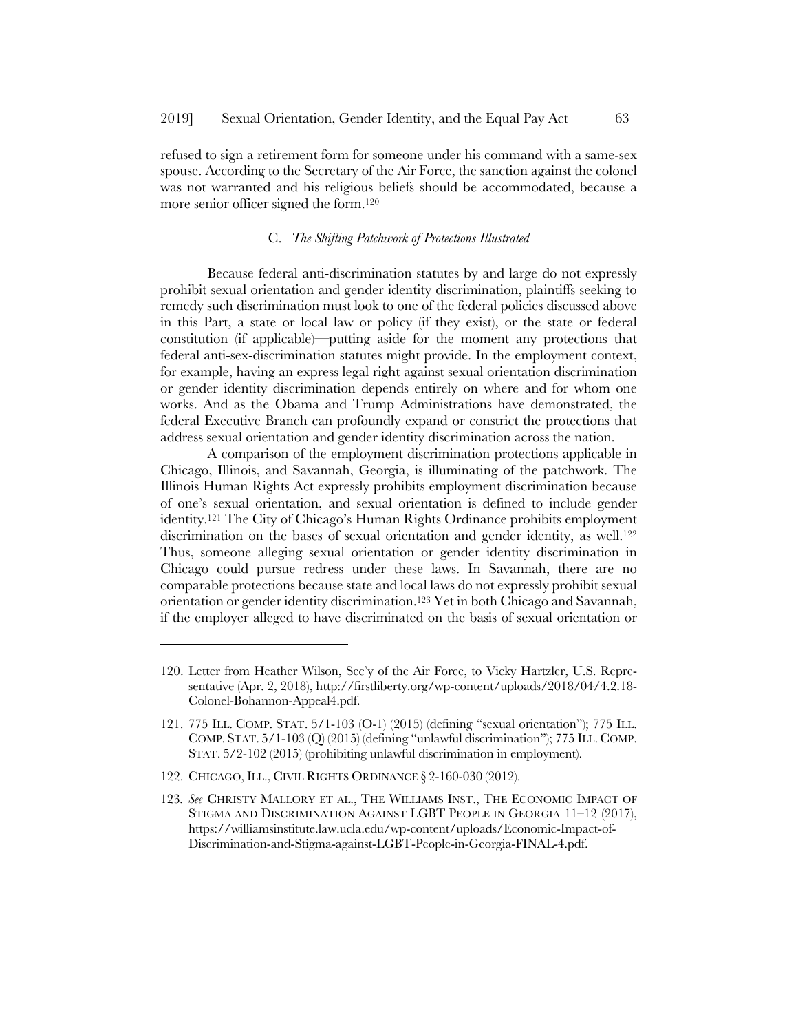refused to sign a retirement form for someone under his command with a same-sex spouse. According to the Secretary of the Air Force, the sanction against the colonel was not warranted and his religious beliefs should be accommodated, because a more senior officer signed the form.120

# C. *The Shifting Patchwork of Protections Illustrated*

Because federal anti-discrimination statutes by and large do not expressly prohibit sexual orientation and gender identity discrimination, plaintiffs seeking to remedy such discrimination must look to one of the federal policies discussed above in this Part, a state or local law or policy (if they exist), or the state or federal constitution (if applicable)—putting aside for the moment any protections that federal anti-sex-discrimination statutes might provide. In the employment context, for example, having an express legal right against sexual orientation discrimination or gender identity discrimination depends entirely on where and for whom one works. And as the Obama and Trump Administrations have demonstrated, the federal Executive Branch can profoundly expand or constrict the protections that address sexual orientation and gender identity discrimination across the nation.

A comparison of the employment discrimination protections applicable in Chicago, Illinois, and Savannah, Georgia, is illuminating of the patchwork. The Illinois Human Rights Act expressly prohibits employment discrimination because of one's sexual orientation, and sexual orientation is defined to include gender identity.121 The City of Chicago's Human Rights Ordinance prohibits employment discrimination on the bases of sexual orientation and gender identity, as well.<sup>122</sup> Thus, someone alleging sexual orientation or gender identity discrimination in Chicago could pursue redress under these laws. In Savannah, there are no comparable protections because state and local laws do not expressly prohibit sexual orientation or gender identity discrimination.123 Yet in both Chicago and Savannah, if the employer alleged to have discriminated on the basis of sexual orientation or

<sup>120.</sup> Letter from Heather Wilson, Sec'y of the Air Force, to Vicky Hartzler, U.S. Representative (Apr. 2, 2018), http://firstliberty.org/wp-content/uploads/2018/04/4.2.18- Colonel-Bohannon-Appeal4.pdf.

<sup>121.</sup> 775 ILL. COMP. STAT. 5/1-103 (O-1) (2015) (defining "sexual orientation"); 775 ILL. COMP. STAT. 5/1-103 (Q) (2015) (defining "unlawful discrimination"); 775 ILL. COMP. STAT. 5/2-102 (2015) (prohibiting unlawful discrimination in employment).

<sup>122.</sup> CHICAGO, ILL., CIVIL RIGHTS ORDINANCE § 2-160-030 (2012).

<sup>123</sup>*. See* CHRISTY MALLORY ET AL., THE WILLIAMS INST., THE ECONOMIC IMPACT OF STIGMA AND DISCRIMINATION AGAINST LGBT PEOPLE IN GEORGIA 11–12 (2017), https://williamsinstitute.law.ucla.edu/wp-content/uploads/Economic-Impact-of-Discrimination-and-Stigma-against-LGBT-People-in-Georgia-FINAL-4.pdf.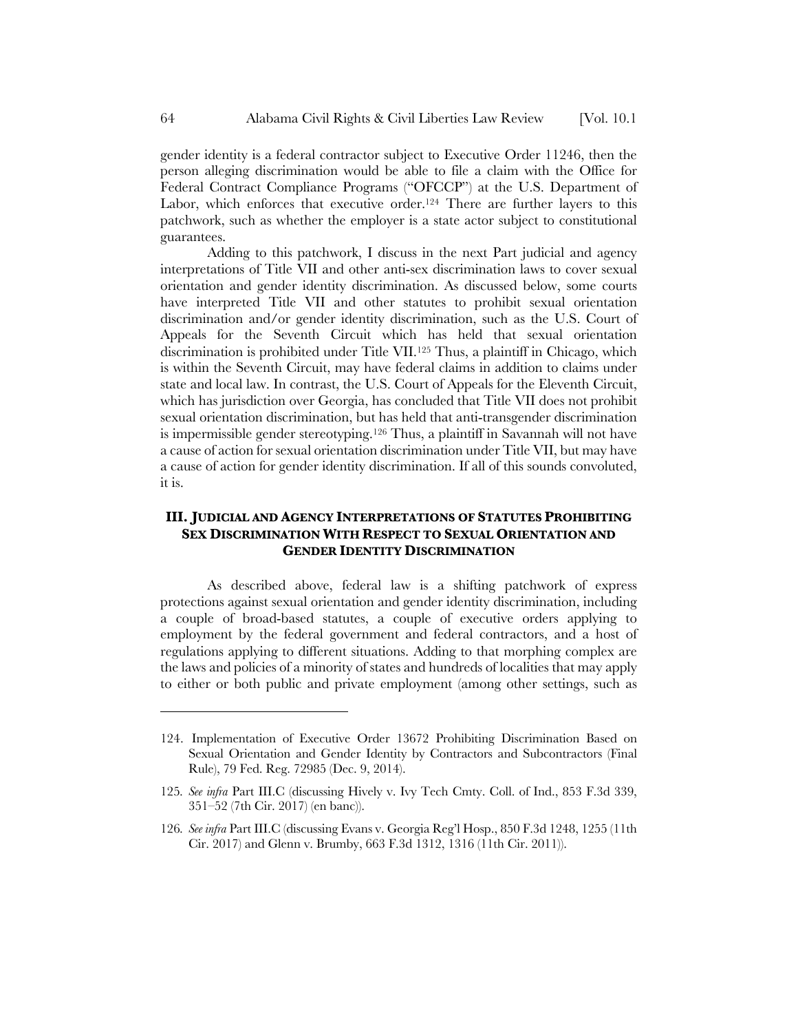gender identity is a federal contractor subject to Executive Order 11246, then the person alleging discrimination would be able to file a claim with the Office for Federal Contract Compliance Programs ("OFCCP") at the U.S. Department of Labor, which enforces that executive order.<sup>124</sup> There are further layers to this patchwork, such as whether the employer is a state actor subject to constitutional guarantees.

Adding to this patchwork, I discuss in the next Part judicial and agency interpretations of Title VII and other anti-sex discrimination laws to cover sexual orientation and gender identity discrimination. As discussed below, some courts have interpreted Title VII and other statutes to prohibit sexual orientation discrimination and/or gender identity discrimination, such as the U.S. Court of Appeals for the Seventh Circuit which has held that sexual orientation discrimination is prohibited under Title VII.125 Thus, a plaintiff in Chicago, which is within the Seventh Circuit, may have federal claims in addition to claims under state and local law. In contrast, the U.S. Court of Appeals for the Eleventh Circuit, which has jurisdiction over Georgia, has concluded that Title VII does not prohibit sexual orientation discrimination, but has held that anti-transgender discrimination is impermissible gender stereotyping.126 Thus, a plaintiff in Savannah will not have a cause of action for sexual orientation discrimination under Title VII, but may have a cause of action for gender identity discrimination. If all of this sounds convoluted, it is.

# **III. JUDICIAL AND AGENCY INTERPRETATIONS OF STATUTES PROHIBITING SEX DISCRIMINATION WITH RESPECT TO SEXUAL ORIENTATION AND GENDER IDENTITY DISCRIMINATION**

As described above, federal law is a shifting patchwork of express protections against sexual orientation and gender identity discrimination, including a couple of broad-based statutes, a couple of executive orders applying to employment by the federal government and federal contractors, and a host of regulations applying to different situations. Adding to that morphing complex are the laws and policies of a minority of states and hundreds of localities that may apply to either or both public and private employment (among other settings, such as

<sup>124.</sup> Implementation of Executive Order 13672 Prohibiting Discrimination Based on Sexual Orientation and Gender Identity by Contractors and Subcontractors (Final Rule), 79 Fed. Reg. 72985 (Dec. 9, 2014).

<sup>125</sup>*. See infra* Part III.C (discussing Hively v. Ivy Tech Cmty. Coll. of Ind., 853 F.3d 339, 351–52 (7th Cir. 2017) (en banc)).

<sup>126</sup>*. See infra* Part III.C (discussing Evans v. Georgia Reg'l Hosp., 850 F.3d 1248, 1255 (11th Cir. 2017) and Glenn v. Brumby, 663 F.3d 1312, 1316 (11th Cir. 2011)).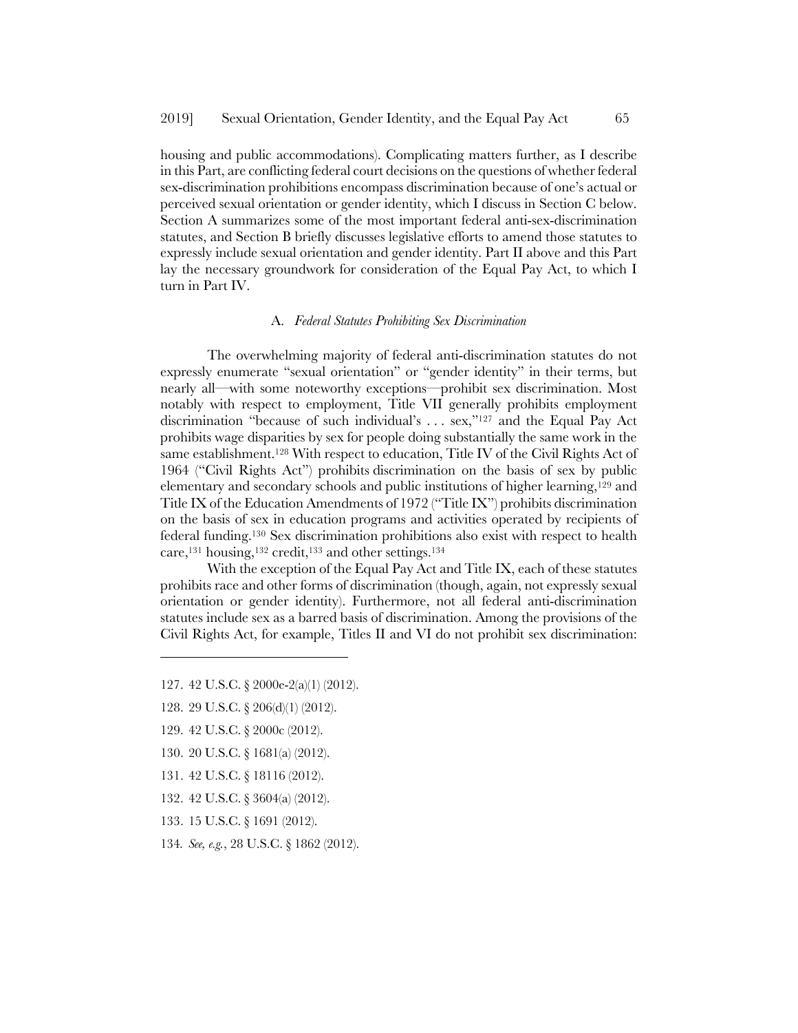housing and public accommodations). Complicating matters further, as I describe in this Part, are conflicting federal court decisions on the questions of whether federal sex-discrimination prohibitions encompass discrimination because of one's actual or perceived sexual orientation or gender identity, which I discuss in Section C below. Section A summarizes some of the most important federal anti-sex-discrimination statutes, and Section B briefly discusses legislative efforts to amend those statutes to expressly include sexual orientation and gender identity. Part II above and this Part lay the necessary groundwork for consideration of the Equal Pay Act, to which I turn in Part IV.

#### A. *Federal Statutes Prohibiting Sex Discrimination*

The overwhelming majority of federal anti-discrimination statutes do not expressly enumerate "sexual orientation" or "gender identity" in their terms, but nearly all—with some noteworthy exceptions—prohibit sex discrimination. Most notably with respect to employment, Title VII generally prohibits employment discrimination "because of such individual's . . . sex,"127 and the Equal Pay Act prohibits wage disparities by sex for people doing substantially the same work in the same establishment.128 With respect to education, Title IV of the Civil Rights Act of 1964 ("Civil Rights Act") prohibits discrimination on the basis of sex by public elementary and secondary schools and public institutions of higher learning,129 and Title IX of the Education Amendments of 1972 ("Title IX") prohibits discrimination on the basis of sex in education programs and activities operated by recipients of federal funding.130 Sex discrimination prohibitions also exist with respect to health care,131 housing,132 credit,133 and other settings.134

With the exception of the Equal Pay Act and Title IX, each of these statutes prohibits race and other forms of discrimination (though, again, not expressly sexual orientation or gender identity). Furthermore, not all federal anti-discrimination statutes include sex as a barred basis of discrimination. Among the provisions of the Civil Rights Act, for example, Titles II and VI do not prohibit sex discrimination:

- 127. 42 U.S.C. § 2000e-2(a)(1) (2012).
- 128. 29 U.S.C. § 206(d)(1) (2012).
- 129. 42 U.S.C. § 2000c (2012).

- 130. 20 U.S.C. § 1681(a) (2012).
- 131. 42 U.S.C. § 18116 (2012).
- 132. 42 U.S.C. § 3604(a) (2012).
- 133. 15 U.S.C. § 1691 (2012).
- 134*. See, e.g.*, 28 U.S.C. § 1862 (2012).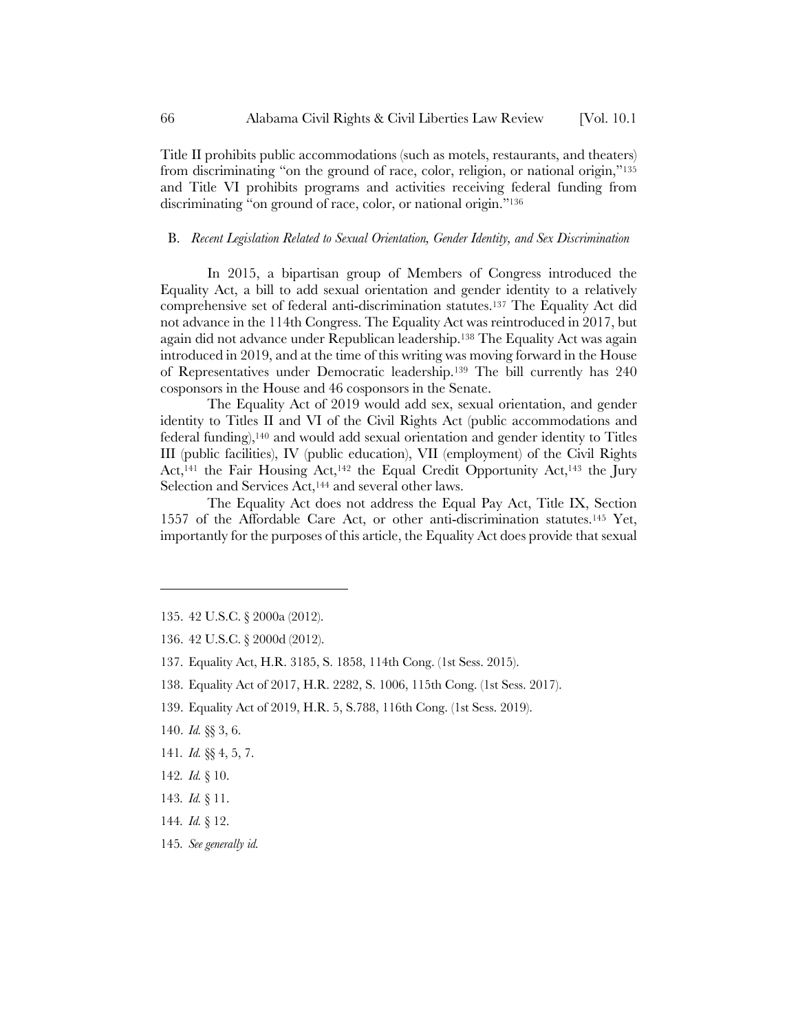Title II prohibits public accommodations (such as motels, restaurants, and theaters) from discriminating "on the ground of race, color, religion, or national origin,"135 and Title VI prohibits programs and activities receiving federal funding from discriminating "on ground of race, color, or national origin."<sup>136</sup>

# B. *Recent Legislation Related to Sexual Orientation, Gender Identity, and Sex Discrimination*

In 2015, a bipartisan group of Members of Congress introduced the Equality Act, a bill to add sexual orientation and gender identity to a relatively comprehensive set of federal anti-discrimination statutes.137 The Equality Act did not advance in the 114th Congress. The Equality Act was reintroduced in 2017, but again did not advance under Republican leadership.138 The Equality Act was again introduced in 2019, and at the time of this writing was moving forward in the House of Representatives under Democratic leadership.139 The bill currently has 240 cosponsors in the House and 46 cosponsors in the Senate.

The Equality Act of 2019 would add sex, sexual orientation, and gender identity to Titles II and VI of the Civil Rights Act (public accommodations and federal funding),140 and would add sexual orientation and gender identity to Titles III (public facilities), IV (public education), VII (employment) of the Civil Rights Act,<sup>141</sup> the Fair Housing Act,<sup>142</sup> the Equal Credit Opportunity Act,<sup>143</sup> the Jury Selection and Services Act,<sup>144</sup> and several other laws.

The Equality Act does not address the Equal Pay Act, Title IX, Section 1557 of the Affordable Care Act, or other anti-discrimination statutes.145 Yet, importantly for the purposes of this article, the Equality Act does provide that sexual

- 137. Equality Act, H.R. 3185, S. 1858, 114th Cong. (1st Sess. 2015).
- 138. Equality Act of 2017, H.R. 2282, S. 1006, 115th Cong. (1st Sess. 2017).
- 139. Equality Act of 2019, H.R. 5, S.788, 116th Cong. (1st Sess. 2019).

- 141*. Id.* §§ 4, 5, 7.
- 142*. Id.* § 10.
- 143*. Id.* § 11.
- 144*. Id.* § 12.
- 145*. See generally id.*

<sup>135.</sup> 42 U.S.C. § 2000a (2012).

<sup>136.</sup> 42 U.S.C. § 2000d (2012).

<sup>140.</sup> *Id.* §§ 3, 6.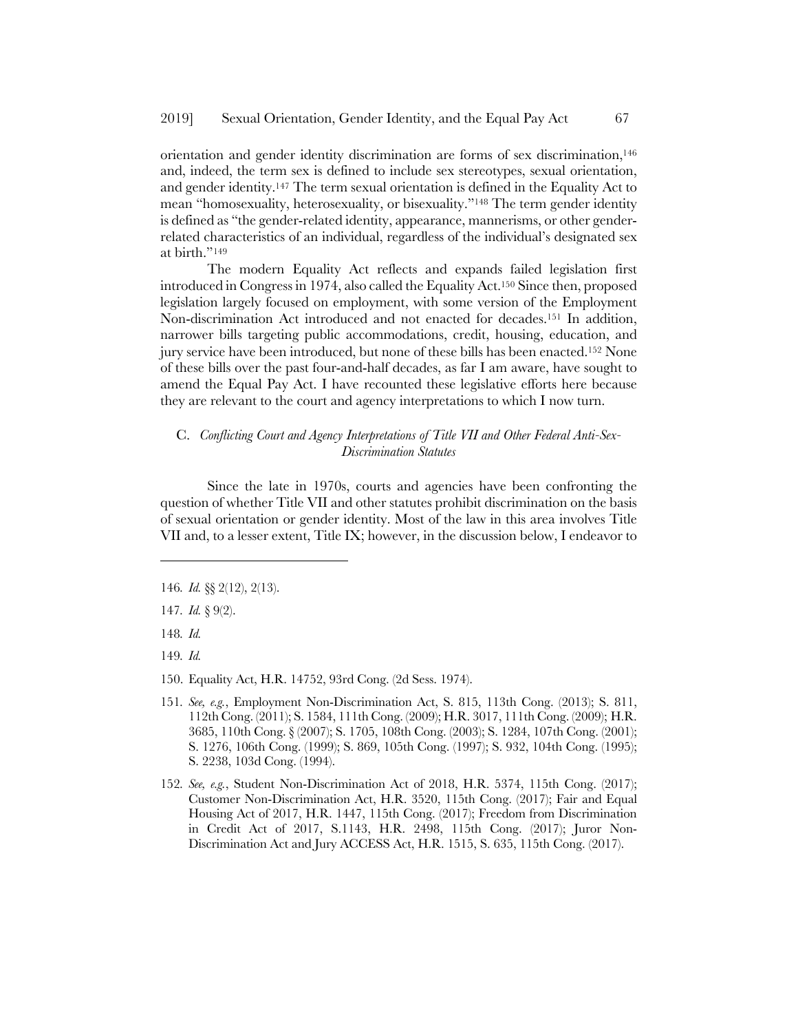orientation and gender identity discrimination are forms of sex discrimination,146 and, indeed, the term sex is defined to include sex stereotypes, sexual orientation, and gender identity.147 The term sexual orientation is defined in the Equality Act to mean "homosexuality, heterosexuality, or bisexuality."148 The term gender identity is defined as "the gender-related identity, appearance, mannerisms, or other genderrelated characteristics of an individual, regardless of the individual's designated sex at birth."149

The modern Equality Act reflects and expands failed legislation first introduced in Congress in 1974, also called the Equality Act.150 Since then, proposed legislation largely focused on employment, with some version of the Employment Non-discrimination Act introduced and not enacted for decades.151 In addition, narrower bills targeting public accommodations, credit, housing, education, and jury service have been introduced, but none of these bills has been enacted.152 None of these bills over the past four-and-half decades, as far I am aware, have sought to amend the Equal Pay Act. I have recounted these legislative efforts here because they are relevant to the court and agency interpretations to which I now turn.

### C. *Conflicting Court and Agency Interpretations of Title VII and Other Federal Anti-Sex-Discrimination Statutes*

Since the late in 1970s, courts and agencies have been confronting the question of whether Title VII and other statutes prohibit discrimination on the basis of sexual orientation or gender identity. Most of the law in this area involves Title VII and, to a lesser extent, Title IX; however, in the discussion below, I endeavor to

148*. Id.* 

l

149*. Id.*

- 150. Equality Act, H.R. 14752, 93rd Cong. (2d Sess. 1974).
- 151*. See, e.g.*, Employment Non-Discrimination Act, S. 815, 113th Cong. (2013); S. 811, 112th Cong. (2011); S. 1584, 111th Cong. (2009); H.R. 3017, 111th Cong. (2009); H.R. 3685, 110th Cong. § (2007); S. 1705, 108th Cong. (2003); S. 1284, 107th Cong. (2001); S. 1276, 106th Cong. (1999); S. 869, 105th Cong. (1997); S. 932, 104th Cong. (1995); S. 2238, 103d Cong. (1994).
- 152*. See, e.g.*, Student Non-Discrimination Act of 2018, H.R. 5374, 115th Cong. (2017); Customer Non-Discrimination Act, H.R. 3520, 115th Cong. (2017); Fair and Equal Housing Act of 2017, H.R. 1447, 115th Cong. (2017); Freedom from Discrimination in Credit Act of 2017, S.1143, H.R. 2498, 115th Cong. (2017); Juror Non-Discrimination Act and Jury ACCESS Act, H.R. 1515, S. 635, 115th Cong. (2017).

<sup>146</sup>*. Id.* §§ 2(12), 2(13).

<sup>147</sup>*. Id.* § 9(2).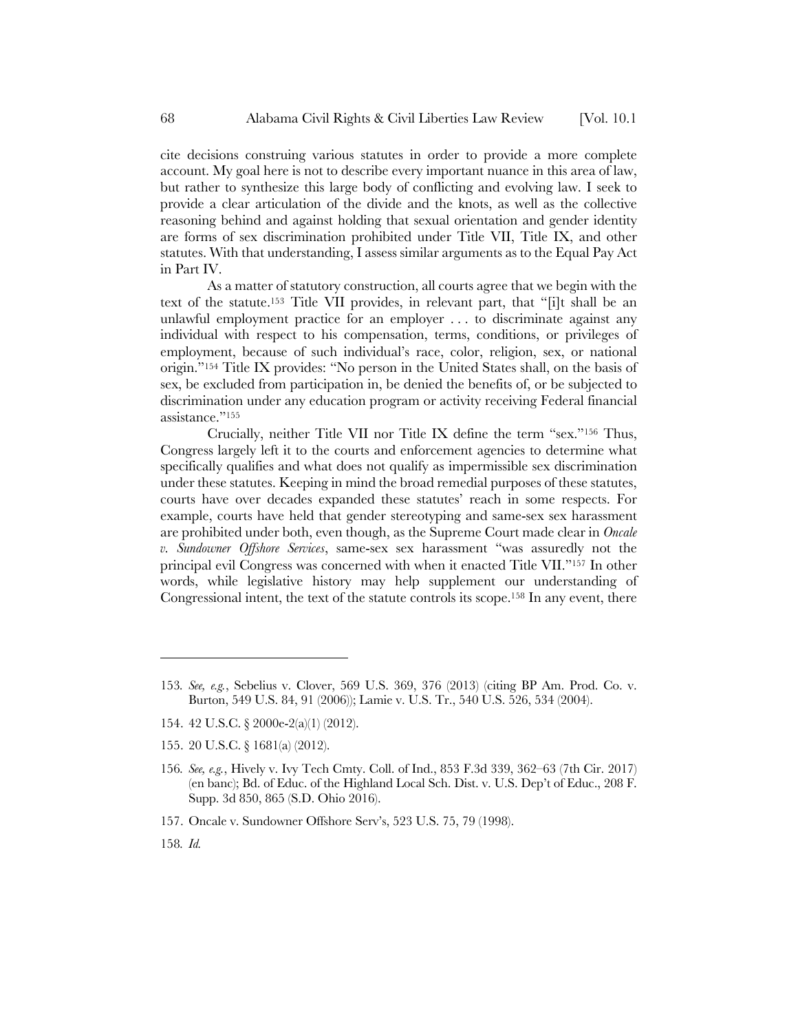cite decisions construing various statutes in order to provide a more complete account. My goal here is not to describe every important nuance in this area of law, but rather to synthesize this large body of conflicting and evolving law. I seek to provide a clear articulation of the divide and the knots, as well as the collective reasoning behind and against holding that sexual orientation and gender identity are forms of sex discrimination prohibited under Title VII, Title IX, and other statutes. With that understanding, I assess similar arguments as to the Equal Pay Act in Part IV.

As a matter of statutory construction, all courts agree that we begin with the text of the statute.153 Title VII provides, in relevant part, that "[i]t shall be an unlawful employment practice for an employer . . . to discriminate against any individual with respect to his compensation, terms, conditions, or privileges of employment, because of such individual's race, color, religion, sex, or national origin."154 Title IX provides: "No person in the United States shall, on the basis of sex, be excluded from participation in, be denied the benefits of, or be subjected to discrimination under any education program or activity receiving Federal financial assistance."155

Crucially, neither Title VII nor Title IX define the term "sex."156 Thus, Congress largely left it to the courts and enforcement agencies to determine what specifically qualifies and what does not qualify as impermissible sex discrimination under these statutes. Keeping in mind the broad remedial purposes of these statutes, courts have over decades expanded these statutes' reach in some respects. For example, courts have held that gender stereotyping and same-sex sex harassment are prohibited under both, even though, as the Supreme Court made clear in *Oncale v. Sundowner Offshore Services*, same-sex sex harassment "was assuredly not the principal evil Congress was concerned with when it enacted Title VII."157 In other words, while legislative history may help supplement our understanding of Congressional intent, the text of the statute controls its scope.158 In any event, there

155. 20 U.S.C. § 1681(a) (2012).

- 157. Oncale v. Sundowner Offshore Serv's, 523 U.S. 75, 79 (1998).
- 158*. Id.*

<sup>153</sup>*. See, e.g.*, Sebelius v. Clover, 569 U.S. 369, 376 (2013) (citing BP Am. Prod. Co. v. Burton, 549 U.S. 84, 91 (2006)); Lamie v. U.S. Tr., 540 U.S. 526, 534 (2004).

<sup>154.</sup> 42 U.S.C. § 2000e-2(a)(1) (2012).

<sup>156</sup>*. See, e.g.*, Hively v. Ivy Tech Cmty. Coll. of Ind., 853 F.3d 339, 362–63 (7th Cir. 2017) (en banc); Bd. of Educ. of the Highland Local Sch. Dist. v. U.S. Dep't of Educ., 208 F. Supp. 3d 850, 865 (S.D. Ohio 2016).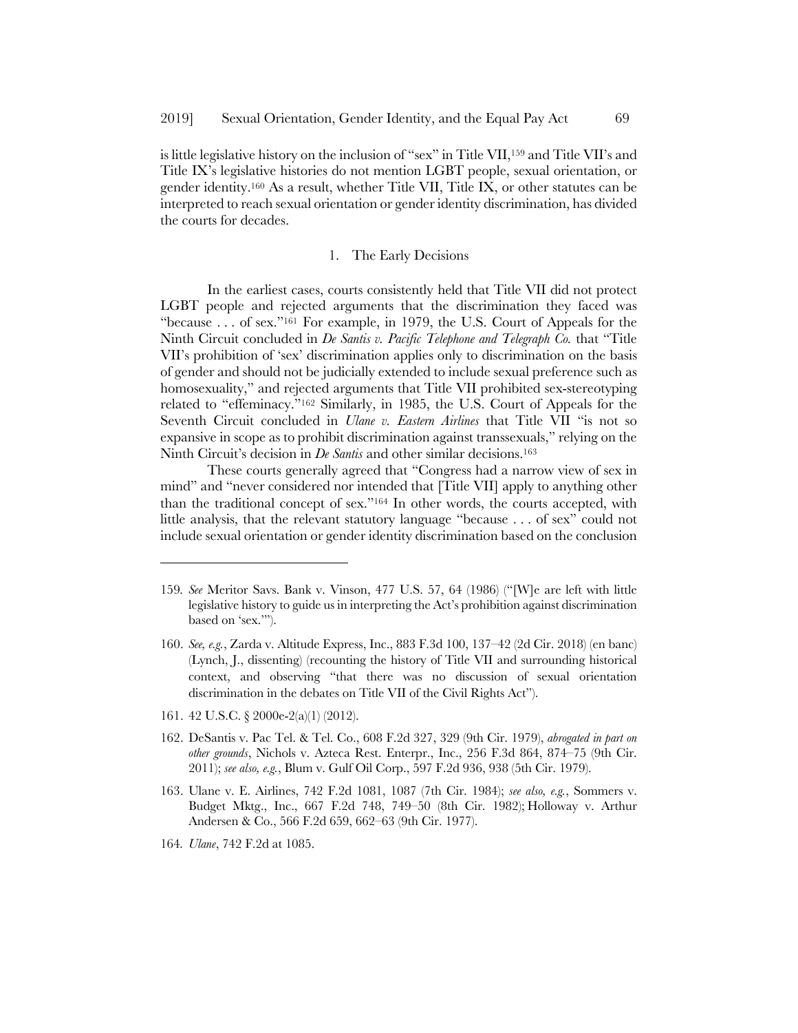is little legislative history on the inclusion of "sex" in Title VII,159 and Title VII's and Title IX's legislative histories do not mention LGBT people, sexual orientation, or gender identity.160 As a result, whether Title VII, Title IX, or other statutes can be interpreted to reach sexual orientation or gender identity discrimination, has divided the courts for decades.

#### 1. The Early Decisions

In the earliest cases, courts consistently held that Title VII did not protect LGBT people and rejected arguments that the discrimination they faced was "because . . . of sex."161 For example, in 1979, the U.S. Court of Appeals for the Ninth Circuit concluded in *De Santis v. Pacific Telephone and Telegraph Co.* that "Title VII's prohibition of 'sex' discrimination applies only to discrimination on the basis of gender and should not be judicially extended to include sexual preference such as homosexuality," and rejected arguments that Title VII prohibited sex-stereotyping related to "effeminacy."162 Similarly, in 1985, the U.S. Court of Appeals for the Seventh Circuit concluded in *Ulane v. Eastern Airlines* that Title VII "is not so expansive in scope as to prohibit discrimination against transsexuals," relying on the Ninth Circuit's decision in *De Santis* and other similar decisions.163

These courts generally agreed that "Congress had a narrow view of sex in mind" and "never considered nor intended that [Title VII] apply to anything other than the traditional concept of sex."164 In other words, the courts accepted, with little analysis, that the relevant statutory language "because . . . of sex" could not include sexual orientation or gender identity discrimination based on the conclusion

161. 42 U.S.C. § 2000e-2(a)(1) (2012).

- 162. DeSantis v. Pac Tel. & Tel. Co., 608 F.2d 327, 329 (9th Cir. 1979), *abrogated in part on other grounds*, Nichols v. Azteca Rest. Enterpr., Inc., 256 F.3d 864, 874–75 (9th Cir. 2011); *see also, e.g.*, Blum v. Gulf Oil Corp., 597 F.2d 936, 938 (5th Cir. 1979).
- 163. Ulane v. E. Airlines, 742 F.2d 1081, 1087 (7th Cir. 1984); *see also, e.g.*, Sommers v. Budget Mktg., Inc., 667 F.2d 748, 749–50 (8th Cir. 1982); Holloway v. Arthur Andersen & Co., 566 F.2d 659, 662–63 (9th Cir. 1977).
- 164*. Ulane*, 742 F.2d at 1085.

<sup>159</sup>*. See* Meritor Savs. Bank v. Vinson, 477 U.S. 57, 64 (1986) ("[W]e are left with little legislative history to guide us in interpreting the Act's prohibition against discrimination based on 'sex.'").

<sup>160.</sup> *See, e.g.*, Zarda v. Altitude Express, Inc., 883 F.3d 100, 137–42 (2d Cir. 2018) (en banc) (Lynch, J., dissenting) (recounting the history of Title VII and surrounding historical context, and observing "that there was no discussion of sexual orientation discrimination in the debates on Title VII of the Civil Rights Act").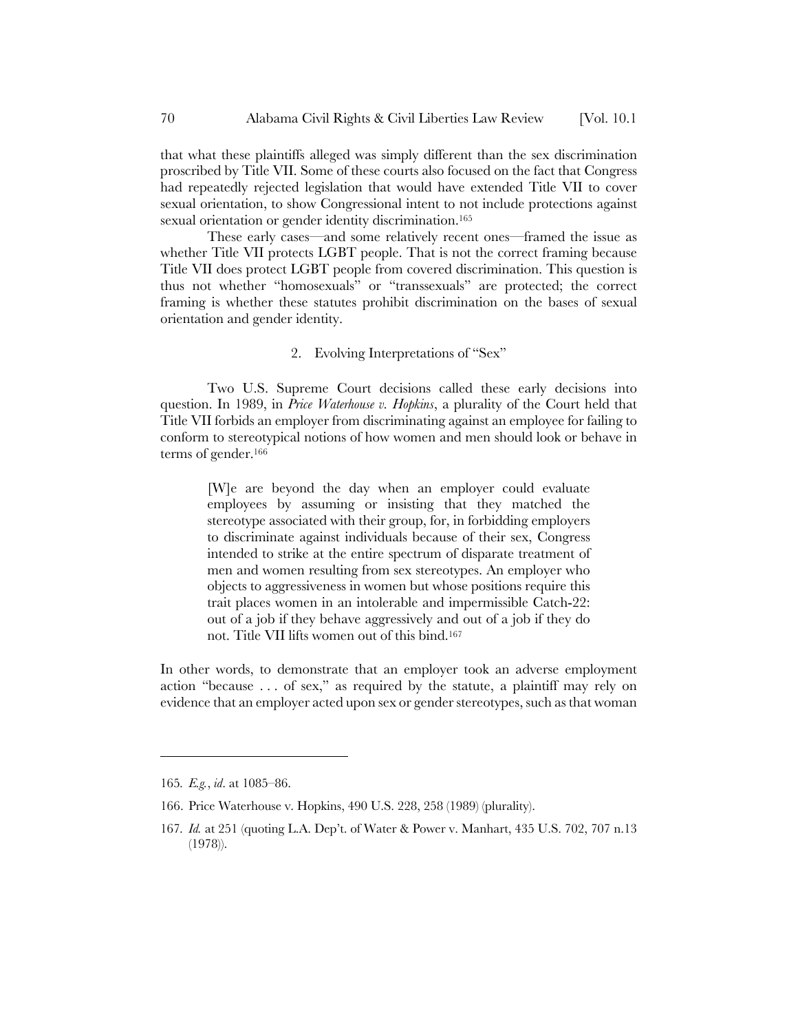that what these plaintiffs alleged was simply different than the sex discrimination proscribed by Title VII. Some of these courts also focused on the fact that Congress had repeatedly rejected legislation that would have extended Title VII to cover sexual orientation, to show Congressional intent to not include protections against sexual orientation or gender identity discrimination.<sup>165</sup>

These early cases—and some relatively recent ones—framed the issue as whether Title VII protects LGBT people. That is not the correct framing because Title VII does protect LGBT people from covered discrimination. This question is thus not whether "homosexuals" or "transsexuals" are protected; the correct framing is whether these statutes prohibit discrimination on the bases of sexual orientation and gender identity.

### 2. Evolving Interpretations of "Sex"

Two U.S. Supreme Court decisions called these early decisions into question. In 1989, in *Price Waterhouse v. Hopkins*, a plurality of the Court held that Title VII forbids an employer from discriminating against an employee for failing to conform to stereotypical notions of how women and men should look or behave in terms of gender.166

[W]e are beyond the day when an employer could evaluate employees by assuming or insisting that they matched the stereotype associated with their group, for, in forbidding employers to discriminate against individuals because of their sex, Congress intended to strike at the entire spectrum of disparate treatment of men and women resulting from sex stereotypes. An employer who objects to aggressiveness in women but whose positions require this trait places women in an intolerable and impermissible Catch-22: out of a job if they behave aggressively and out of a job if they do not. Title VII lifts women out of this bind.167

In other words, to demonstrate that an employer took an adverse employment action "because . . . of sex," as required by the statute, a plaintiff may rely on evidence that an employer acted upon sex or gender stereotypes, such as that woman

<sup>165</sup>*. E.g.*, *id*. at 1085–86.

<sup>166.</sup> Price Waterhouse v. Hopkins, 490 U.S. 228, 258 (1989) (plurality).

<sup>167</sup>*. Id.* at 251 (quoting L.A. Dep't. of Water & Power v. Manhart, 435 U.S. 702, 707 n.13 (1978)).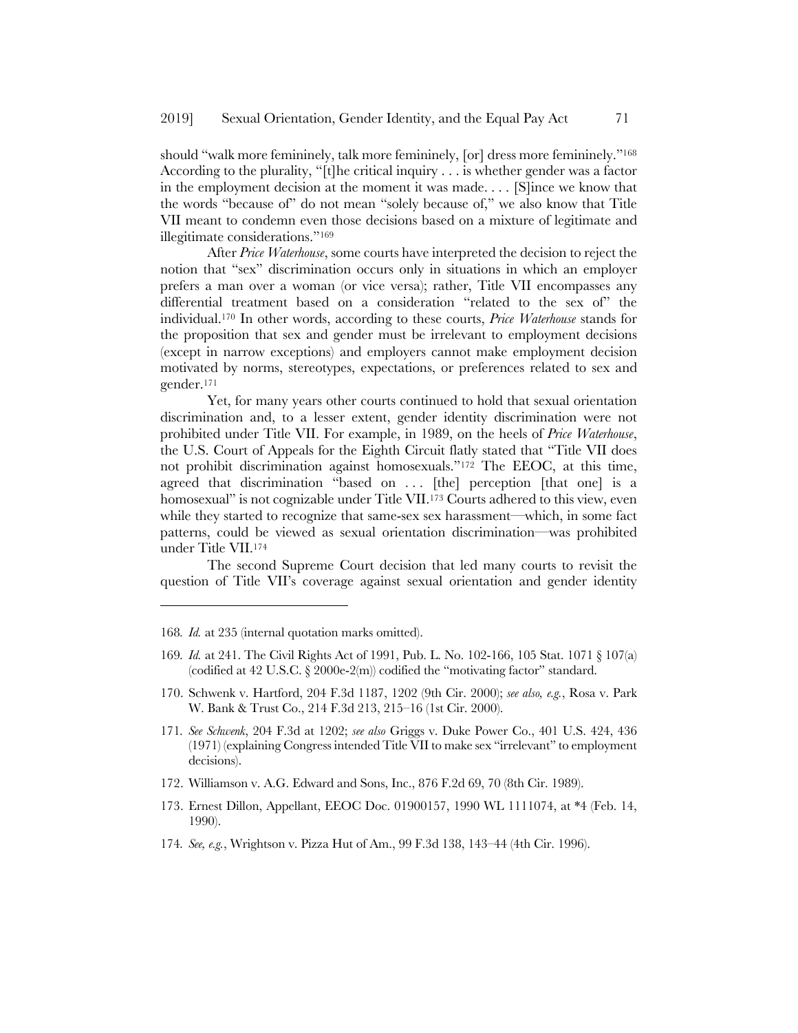should "walk more femininely, talk more femininely, [or] dress more femininely."168 According to the plurality, "[t]he critical inquiry . . . is whether gender was a factor in the employment decision at the moment it was made. . . . [S]ince we know that the words "because of" do not mean "solely because of," we also know that Title VII meant to condemn even those decisions based on a mixture of legitimate and illegitimate considerations."169

After *Price Waterhouse*, some courts have interpreted the decision to reject the notion that "sex" discrimination occurs only in situations in which an employer prefers a man over a woman (or vice versa); rather, Title VII encompasses any differential treatment based on a consideration "related to the sex of" the individual.170 In other words, according to these courts, *Price Waterhouse* stands for the proposition that sex and gender must be irrelevant to employment decisions (except in narrow exceptions) and employers cannot make employment decision motivated by norms, stereotypes, expectations, or preferences related to sex and gender.171

Yet, for many years other courts continued to hold that sexual orientation discrimination and, to a lesser extent, gender identity discrimination were not prohibited under Title VII. For example, in 1989, on the heels of *Price Waterhouse*, the U.S. Court of Appeals for the Eighth Circuit flatly stated that "Title VII does not prohibit discrimination against homosexuals."172 The EEOC, at this time, agreed that discrimination "based on ... [the] perception [that one] is a homosexual" is not cognizable under Title VII.<sup>173</sup> Courts adhered to this view, even while they started to recognize that same-sex sex harassment—which, in some fact patterns, could be viewed as sexual orientation discrimination—was prohibited under Title VII.174

The second Supreme Court decision that led many courts to revisit the question of Title VII's coverage against sexual orientation and gender identity

168*. Id.* at 235 (internal quotation marks omitted).

- 169*. Id.* at 241. The Civil Rights Act of 1991, Pub. L. No. 102-166, 105 Stat. 1071 § 107(a) (codified at 42 U.S.C.  $\S 2000e-2(m)$ ) codified the "motivating factor" standard.
- 170. Schwenk v. Hartford, 204 F.3d 1187, 1202 (9th Cir. 2000); *see also, e.g.*, Rosa v. Park W. Bank & Trust Co., 214 F.3d 213, 215–16 (1st Cir. 2000).
- 171*. See Schwenk*, 204 F.3d at 1202; *see also* Griggs v. Duke Power Co., 401 U.S. 424, 436 (1971) (explaining Congress intended Title VII to make sex "irrelevant" to employment decisions).
- 172. Williamson v. A.G. Edward and Sons, Inc., 876 F.2d 69, 70 (8th Cir. 1989).
- 173. Ernest Dillon, Appellant, EEOC Doc. 01900157, 1990 WL 1111074, at \*4 (Feb. 14, 1990).
- 174*. See, e.g.*, Wrightson v. Pizza Hut of Am., 99 F.3d 138, 143–44 (4th Cir. 1996).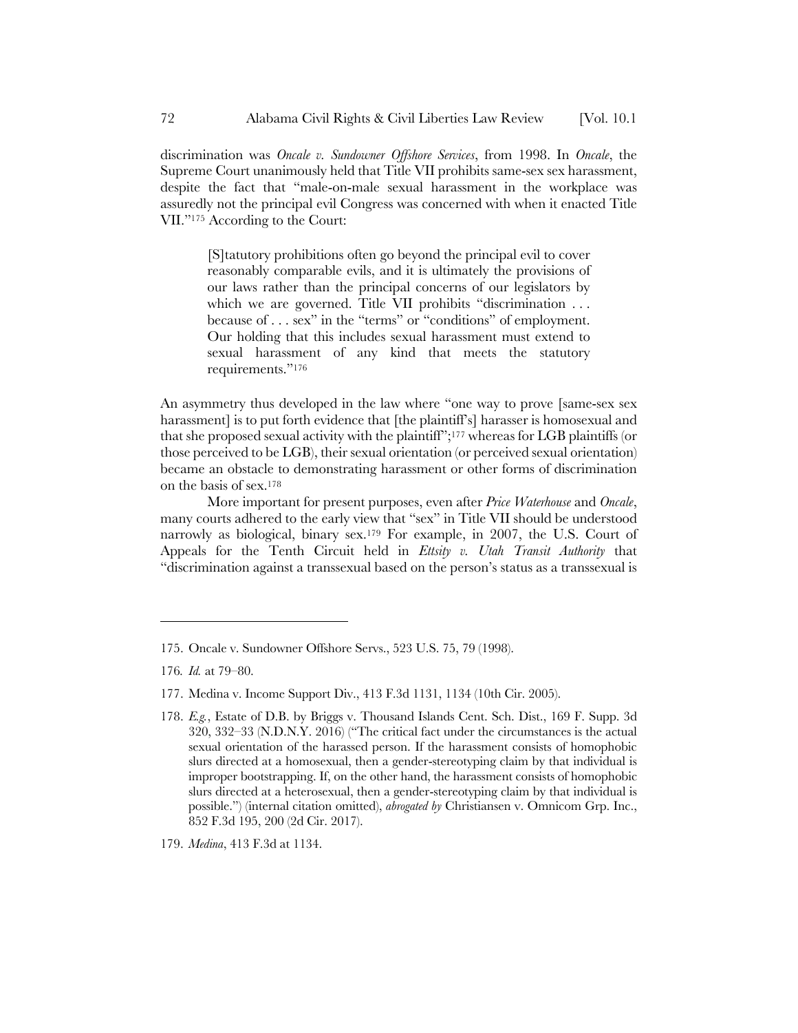discrimination was *Oncale v. Sundowner Offshore Services*, from 1998. In *Oncale*, the Supreme Court unanimously held that Title VII prohibits same-sex sex harassment, despite the fact that "male-on-male sexual harassment in the workplace was assuredly not the principal evil Congress was concerned with when it enacted Title VII."175 According to the Court:

[S]tatutory prohibitions often go beyond the principal evil to cover reasonably comparable evils, and it is ultimately the provisions of our laws rather than the principal concerns of our legislators by which we are governed. Title VII prohibits "discrimination ... because of . . . sex" in the "terms" or "conditions" of employment. Our holding that this includes sexual harassment must extend to sexual harassment of any kind that meets the statutory requirements."176

An asymmetry thus developed in the law where "one way to prove [same-sex sex harassment] is to put forth evidence that [the plaintiff's] harasser is homosexual and that she proposed sexual activity with the plaintiff";177 whereas for LGB plaintiffs (or those perceived to be LGB), their sexual orientation (or perceived sexual orientation) became an obstacle to demonstrating harassment or other forms of discrimination on the basis of sex.178

More important for present purposes, even after *Price Waterhouse* and *Oncale*, many courts adhered to the early view that "sex" in Title VII should be understood narrowly as biological, binary sex.179 For example, in 2007, the U.S. Court of Appeals for the Tenth Circuit held in *Ettsity v. Utah Transit Authority* that "discrimination against a transsexual based on the person's status as a transsexual is

l

179. *Medina*, 413 F.3d at 1134.

<sup>175.</sup> Oncale v. Sundowner Offshore Servs., 523 U.S. 75, 79 (1998).

<sup>176</sup>*. Id.* at 79–80.

<sup>177.</sup> Medina v. Income Support Div., 413 F.3d 1131, 1134 (10th Cir. 2005).

<sup>178.</sup> *E.g.*, Estate of D.B. by Briggs v. Thousand Islands Cent. Sch. Dist., 169 F. Supp. 3d 320, 332–33 (N.D.N.Y. 2016) ("The critical fact under the circumstances is the actual sexual orientation of the harassed person. If the harassment consists of homophobic slurs directed at a homosexual, then a gender-stereotyping claim by that individual is improper bootstrapping. If, on the other hand, the harassment consists of homophobic slurs directed at a heterosexual, then a gender-stereotyping claim by that individual is possible.") (internal citation omitted), *abrogated by* Christiansen v. Omnicom Grp. Inc., 852 F.3d 195, 200 (2d Cir. 2017).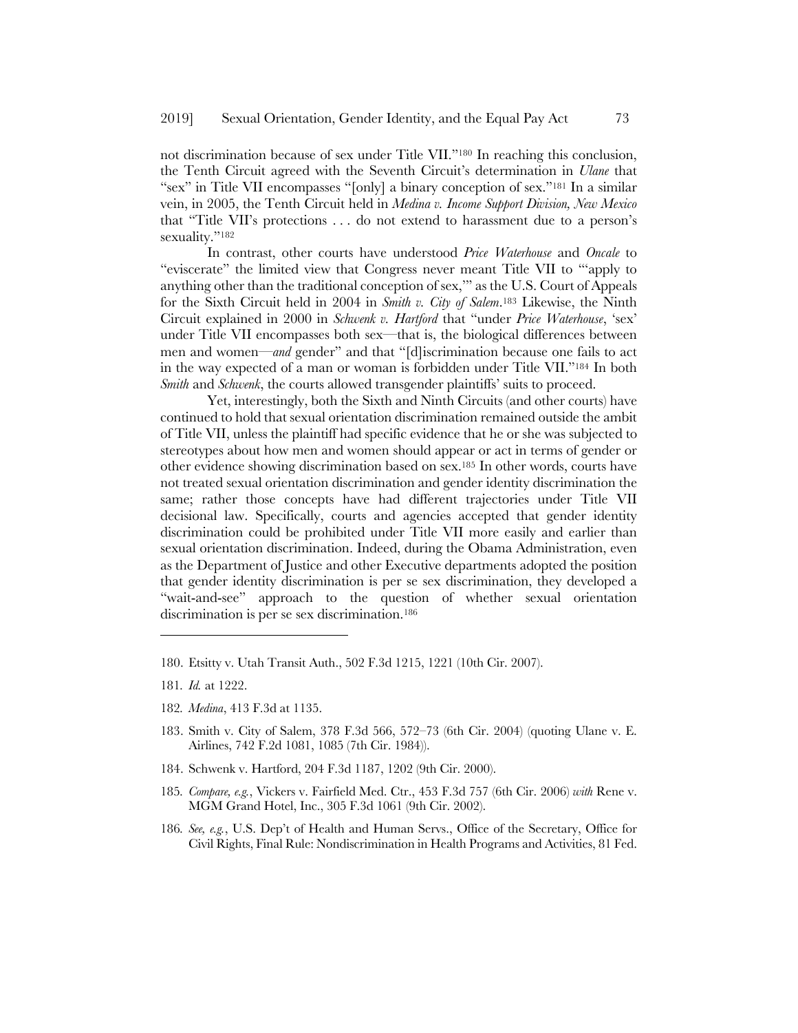not discrimination because of sex under Title VII."180 In reaching this conclusion, the Tenth Circuit agreed with the Seventh Circuit's determination in *Ulane* that "sex" in Title VII encompasses "[only] a binary conception of sex."181 In a similar vein, in 2005, the Tenth Circuit held in *Medina v. Income Support Division, New Mexico* that "Title VII's protections . . . do not extend to harassment due to a person's sexuality."<sup>182</sup>

In contrast, other courts have understood *Price Waterhouse* and *Oncale* to "eviscerate" the limited view that Congress never meant Title VII to "'apply to anything other than the traditional conception of sex,'" as the U.S. Court of Appeals for the Sixth Circuit held in 2004 in *Smith v. City of Salem*.183 Likewise, the Ninth Circuit explained in 2000 in *Schwenk v. Hartford* that "under *Price Waterhouse*, 'sex' under Title VII encompasses both sex—that is, the biological differences between men and women—*and* gender" and that "[d]iscrimination because one fails to act in the way expected of a man or woman is forbidden under Title VII."184 In both *Smith* and *Schwenk*, the courts allowed transgender plaintiffs' suits to proceed.

Yet, interestingly, both the Sixth and Ninth Circuits (and other courts) have continued to hold that sexual orientation discrimination remained outside the ambit of Title VII, unless the plaintiff had specific evidence that he or she was subjected to stereotypes about how men and women should appear or act in terms of gender or other evidence showing discrimination based on sex.185 In other words, courts have not treated sexual orientation discrimination and gender identity discrimination the same; rather those concepts have had different trajectories under Title VII decisional law. Specifically, courts and agencies accepted that gender identity discrimination could be prohibited under Title VII more easily and earlier than sexual orientation discrimination. Indeed, during the Obama Administration, even as the Department of Justice and other Executive departments adopted the position that gender identity discrimination is per se sex discrimination, they developed a "wait-and-see" approach to the question of whether sexual orientation discrimination is per se sex discrimination.186

 $\overline{a}$ 

182*. Medina*, 413 F.3d at 1135.

- 184. Schwenk v. Hartford, 204 F.3d 1187, 1202 (9th Cir. 2000).
- 185*. Compare, e.g.*, Vickers v. Fairfield Med. Ctr., 453 F.3d 757 (6th Cir. 2006) *with* Rene v. MGM Grand Hotel, Inc., 305 F.3d 1061 (9th Cir. 2002).
- 186*. See, e.g.*, U.S. Dep't of Health and Human Servs., Office of the Secretary, Office for Civil Rights, Final Rule: Nondiscrimination in Health Programs and Activities, 81 Fed.

<sup>180.</sup> Etsitty v. Utah Transit Auth., 502 F.3d 1215, 1221 (10th Cir. 2007).

<sup>181</sup>*. Id.* at 1222.

<sup>183.</sup> Smith v. City of Salem, 378 F.3d 566, 572–73 (6th Cir. 2004) (quoting Ulane v. E. Airlines, 742 F.2d 1081, 1085 (7th Cir. 1984)).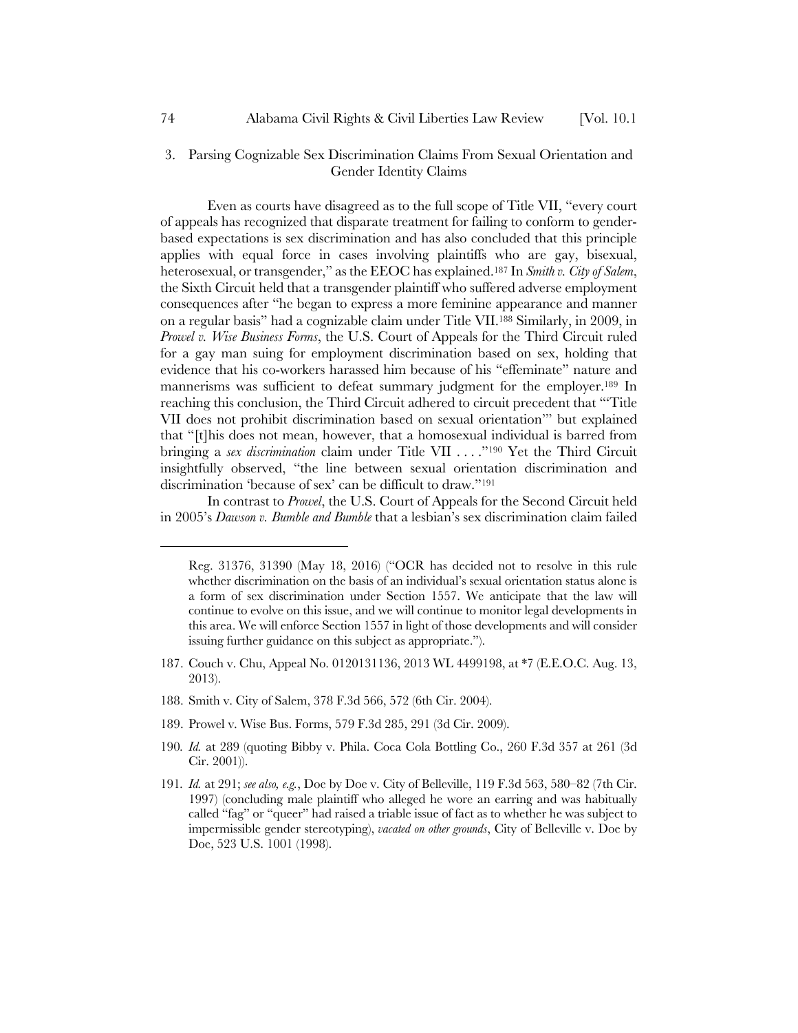### 3. Parsing Cognizable Sex Discrimination Claims From Sexual Orientation and Gender Identity Claims

Even as courts have disagreed as to the full scope of Title VII, "every court of appeals has recognized that disparate treatment for failing to conform to genderbased expectations is sex discrimination and has also concluded that this principle applies with equal force in cases involving plaintiffs who are gay, bisexual, heterosexual, or transgender," as the EEOC has explained.187 In *Smith v. City of Salem*, the Sixth Circuit held that a transgender plaintiff who suffered adverse employment consequences after "he began to express a more feminine appearance and manner on a regular basis" had a cognizable claim under Title VII.188 Similarly, in 2009, in *Prowel v. Wise Business Forms*, the U.S. Court of Appeals for the Third Circuit ruled for a gay man suing for employment discrimination based on sex, holding that evidence that his co-workers harassed him because of his "effeminate" nature and mannerisms was sufficient to defeat summary judgment for the employer.189 In reaching this conclusion, the Third Circuit adhered to circuit precedent that "'Title VII does not prohibit discrimination based on sexual orientation'" but explained that "[t]his does not mean, however, that a homosexual individual is barred from bringing a *sex discrimination* claim under Title VII . . . ."190 Yet the Third Circuit insightfully observed, "the line between sexual orientation discrimination and discrimination 'because of sex' can be difficult to draw."191

In contrast to *Prowel*, the U.S. Court of Appeals for the Second Circuit held in 2005's *Dawson v. Bumble and Bumble* that a lesbian's sex discrimination claim failed

- 187. Couch v. Chu, Appeal No. 0120131136, 2013 WL 4499198, at \*7 (E.E.O.C. Aug. 13, 2013).
- 188. Smith v. City of Salem, 378 F.3d 566, 572 (6th Cir. 2004).
- 189. Prowel v. Wise Bus. Forms, 579 F.3d 285, 291 (3d Cir. 2009).
- 190*. Id.* at 289 (quoting Bibby v. Phila. Coca Cola Bottling Co., 260 F.3d 357 at 261 (3d Cir. 2001)).
- 191*. Id.* at 291; *see also, e.g.*, Doe by Doe v. City of Belleville, 119 F.3d 563, 580–82 (7th Cir. 1997) (concluding male plaintiff who alleged he wore an earring and was habitually called "fag" or "queer" had raised a triable issue of fact as to whether he was subject to impermissible gender stereotyping), *vacated on other grounds*, City of Belleville v. Doe by Doe, 523 U.S. 1001 (1998).

Reg. 31376, 31390 (May 18, 2016) ("OCR has decided not to resolve in this rule whether discrimination on the basis of an individual's sexual orientation status alone is a form of sex discrimination under Section 1557. We anticipate that the law will continue to evolve on this issue, and we will continue to monitor legal developments in this area. We will enforce Section 1557 in light of those developments and will consider issuing further guidance on this subject as appropriate.").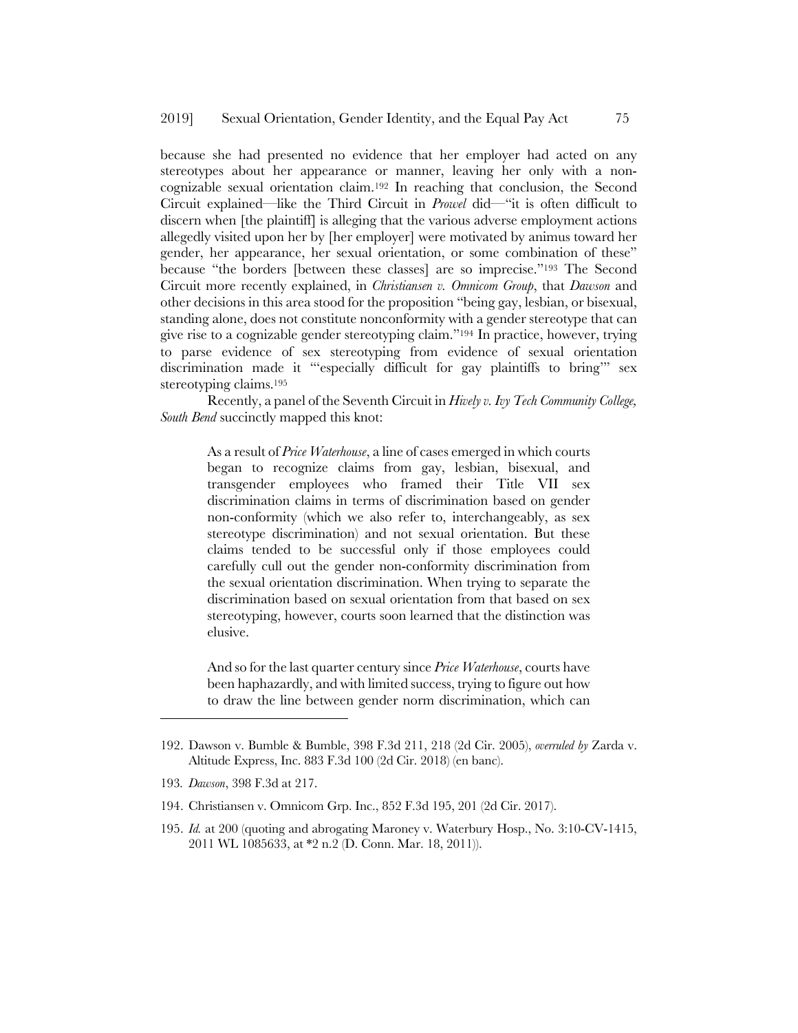because she had presented no evidence that her employer had acted on any stereotypes about her appearance or manner, leaving her only with a noncognizable sexual orientation claim.192 In reaching that conclusion, the Second Circuit explained—like the Third Circuit in *Prowel* did—"it is often difficult to discern when [the plaintiff] is alleging that the various adverse employment actions allegedly visited upon her by [her employer] were motivated by animus toward her gender, her appearance, her sexual orientation, or some combination of these" because "the borders [between these classes] are so imprecise."193 The Second Circuit more recently explained, in *Christiansen v. Omnicom Group*, that *Dawson* and other decisions in this area stood for the proposition "being gay, lesbian, or bisexual, standing alone, does not constitute nonconformity with a gender stereotype that can give rise to a cognizable gender stereotyping claim."194 In practice, however, trying to parse evidence of sex stereotyping from evidence of sexual orientation discrimination made it "'especially difficult for gay plaintiffs to bring'" sex stereotyping claims.195

Recently, a panel of the Seventh Circuit in *Hively v. Ivy Tech Community College, South Bend* succinctly mapped this knot:

As a result of *Price Waterhouse*, a line of cases emerged in which courts began to recognize claims from gay, lesbian, bisexual, and transgender employees who framed their Title VII sex discrimination claims in terms of discrimination based on gender non-conformity (which we also refer to, interchangeably, as sex stereotype discrimination) and not sexual orientation. But these claims tended to be successful only if those employees could carefully cull out the gender non-conformity discrimination from the sexual orientation discrimination. When trying to separate the discrimination based on sexual orientation from that based on sex stereotyping, however, courts soon learned that the distinction was elusive.

And so for the last quarter century since *Price Waterhouse*, courts have been haphazardly, and with limited success, trying to figure out how to draw the line between gender norm discrimination, which can

- 194. Christiansen v. Omnicom Grp. Inc., 852 F.3d 195, 201 (2d Cir. 2017).
- 195. *Id.* at 200 (quoting and abrogating Maroney v. Waterbury Hosp., No. 3:10-CV-1415, 2011 WL 1085633, at \*2 n.2 (D. Conn. Mar. 18, 2011)).

<sup>192.</sup> Dawson v. Bumble & Bumble, 398 F.3d 211, 218 (2d Cir. 2005), *overruled by* Zarda v. Altitude Express, Inc. 883 F.3d 100 (2d Cir. 2018) (en banc).

<sup>193</sup>*. Dawson*, 398 F.3d at 217.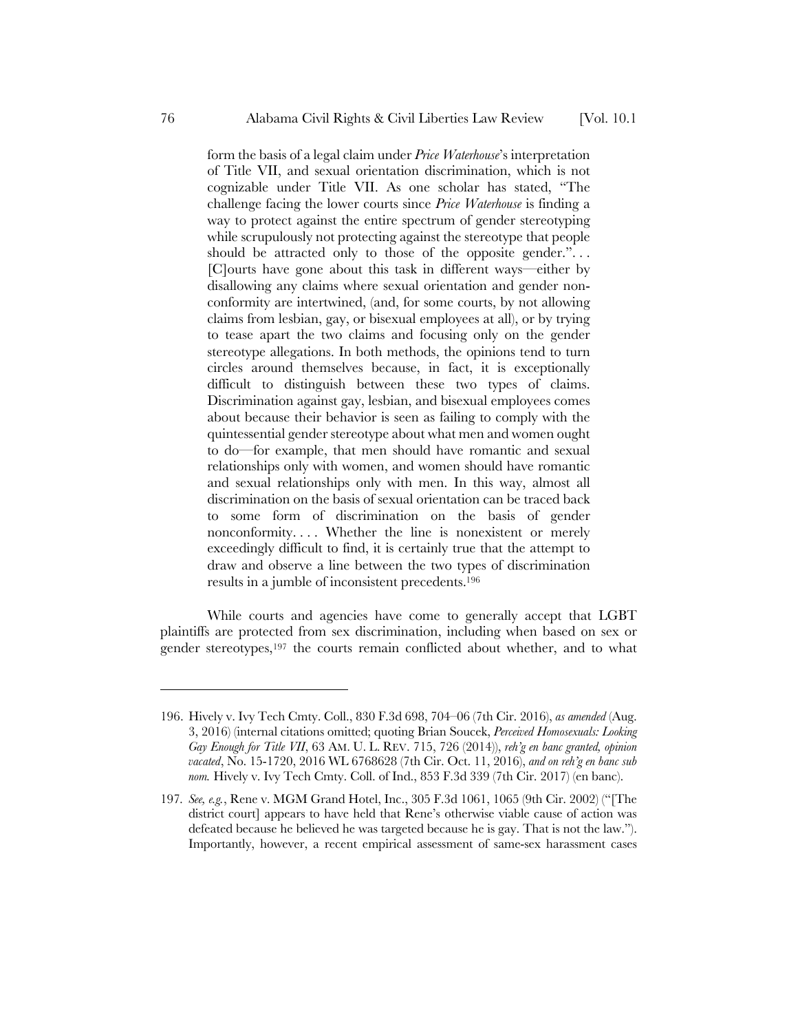form the basis of a legal claim under *Price Waterhouse*'s interpretation of Title VII, and sexual orientation discrimination, which is not cognizable under Title VII. As one scholar has stated, "The challenge facing the lower courts since *Price Waterhouse* is finding a way to protect against the entire spectrum of gender stereotyping while scrupulously not protecting against the stereotype that people should be attracted only to those of the opposite gender."... [C]ourts have gone about this task in different ways—either by disallowing any claims where sexual orientation and gender nonconformity are intertwined, (and, for some courts, by not allowing claims from lesbian, gay, or bisexual employees at all), or by trying to tease apart the two claims and focusing only on the gender stereotype allegations. In both methods, the opinions tend to turn circles around themselves because, in fact, it is exceptionally difficult to distinguish between these two types of claims. Discrimination against gay, lesbian, and bisexual employees comes about because their behavior is seen as failing to comply with the quintessential gender stereotype about what men and women ought to do—for example, that men should have romantic and sexual relationships only with women, and women should have romantic and sexual relationships only with men. In this way, almost all discrimination on the basis of sexual orientation can be traced back to some form of discrimination on the basis of gender

nonconformity. . . . Whether the line is nonexistent or merely exceedingly difficult to find, it is certainly true that the attempt to draw and observe a line between the two types of discrimination results in a jumble of inconsistent precedents.196

While courts and agencies have come to generally accept that LGBT plaintiffs are protected from sex discrimination, including when based on sex or gender stereotypes,197 the courts remain conflicted about whether, and to what

<sup>196.</sup> Hively v. Ivy Tech Cmty. Coll., 830 F.3d 698, 704–06 (7th Cir. 2016), *as amended* (Aug. 3, 2016) (internal citations omitted; quoting Brian Soucek, *Perceived Homosexuals: Looking Gay Enough for Title VII*, 63 AM. U. L. REV. 715, 726 (2014)), *reh'g en banc granted, opinion vacated*, No. 15-1720, 2016 WL 6768628 (7th Cir. Oct. 11, 2016), *and on reh'g en banc sub nom.* Hively v. Ivy Tech Cmty. Coll. of Ind., 853 F.3d 339 (7th Cir. 2017) (en banc).

<sup>197</sup>*. See, e.g.*, Rene v. MGM Grand Hotel, Inc., 305 F.3d 1061, 1065 (9th Cir. 2002) ("[The district court] appears to have held that Rene's otherwise viable cause of action was defeated because he believed he was targeted because he is gay. That is not the law."). Importantly, however, a recent empirical assessment of same-sex harassment cases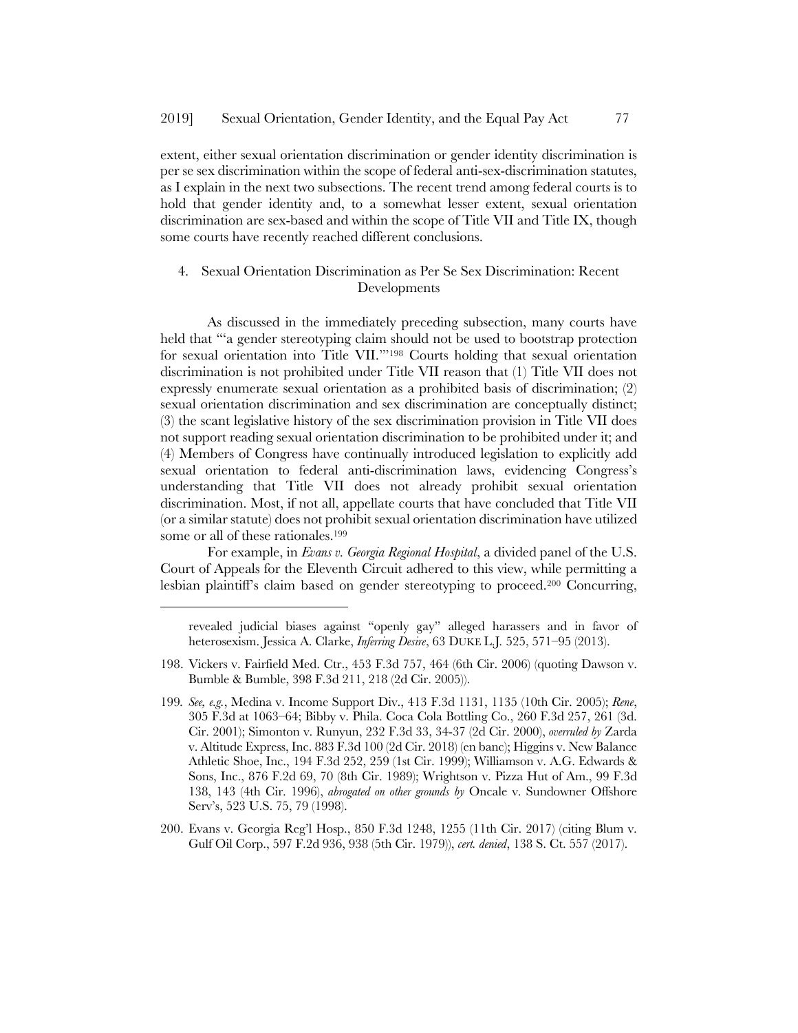extent, either sexual orientation discrimination or gender identity discrimination is per se sex discrimination within the scope of federal anti-sex-discrimination statutes, as I explain in the next two subsections. The recent trend among federal courts is to hold that gender identity and, to a somewhat lesser extent, sexual orientation discrimination are sex-based and within the scope of Title VII and Title IX, though some courts have recently reached different conclusions.

# 4. Sexual Orientation Discrimination as Per Se Sex Discrimination: Recent Developments

As discussed in the immediately preceding subsection, many courts have held that "'a gender stereotyping claim should not be used to bootstrap protection for sexual orientation into Title VII.'"198 Courts holding that sexual orientation discrimination is not prohibited under Title VII reason that (1) Title VII does not expressly enumerate sexual orientation as a prohibited basis of discrimination; (2) sexual orientation discrimination and sex discrimination are conceptually distinct; (3) the scant legislative history of the sex discrimination provision in Title VII does not support reading sexual orientation discrimination to be prohibited under it; and (4) Members of Congress have continually introduced legislation to explicitly add sexual orientation to federal anti-discrimination laws, evidencing Congress's understanding that Title VII does not already prohibit sexual orientation discrimination. Most, if not all, appellate courts that have concluded that Title VII (or a similar statute) does not prohibit sexual orientation discrimination have utilized some or all of these rationales.199

For example, in *Evans v. Georgia Regional Hospital*, a divided panel of the U.S. Court of Appeals for the Eleventh Circuit adhered to this view, while permitting a lesbian plaintiff's claim based on gender stereotyping to proceed.200 Concurring,

 $\overline{a}$ 

200. Evans v. Georgia Reg'l Hosp., 850 F.3d 1248, 1255 (11th Cir. 2017) (citing Blum v. Gulf Oil Corp., 597 F.2d 936, 938 (5th Cir. 1979)), *cert. denied*, 138 S. Ct. 557 (2017).

revealed judicial biases against "openly gay" alleged harassers and in favor of heterosexism. Jessica A. Clarke, *Inferring Desire*, 63 DUKE L.J*.* 525, 571–95 (2013).

<sup>198.</sup> Vickers v. Fairfield Med. Ctr., 453 F.3d 757, 464 (6th Cir. 2006) (quoting Dawson v. Bumble & Bumble, 398 F.3d 211, 218 (2d Cir. 2005)).

<sup>199</sup>*. See, e.g.*, Medina v. Income Support Div., 413 F.3d 1131, 1135 (10th Cir. 2005); *Rene*, 305 F.3d at 1063–64; Bibby v. Phila. Coca Cola Bottling Co., 260 F.3d 257, 261 (3d. Cir. 2001); Simonton v. Runyun, 232 F.3d 33, 34-37 (2d Cir. 2000), *overruled by* Zarda v. Altitude Express, Inc. 883 F.3d 100 (2d Cir. 2018) (en banc); Higgins v. New Balance Athletic Shoe, Inc., 194 F.3d 252, 259 (1st Cir. 1999); Williamson v. A.G. Edwards & Sons, Inc., 876 F.2d 69, 70 (8th Cir. 1989); Wrightson v. Pizza Hut of Am., 99 F.3d 138, 143 (4th Cir. 1996), *abrogated on other grounds by* Oncale v. Sundowner Offshore Serv's, 523 U.S. 75, 79 (1998).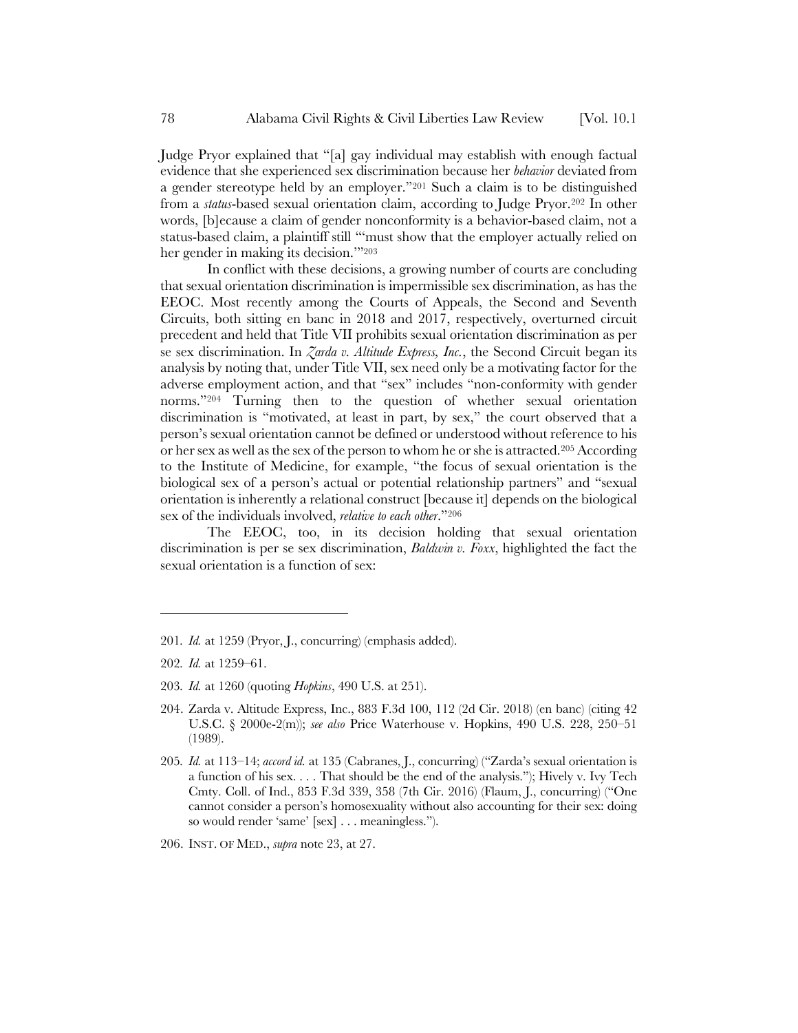Judge Pryor explained that "[a] gay individual may establish with enough factual evidence that she experienced sex discrimination because her *behavior* deviated from a gender stereotype held by an employer."201 Such a claim is to be distinguished from a *status*-based sexual orientation claim, according to Judge Pryor.202 In other words, [b]ecause a claim of gender nonconformity is a behavior-based claim, not a status-based claim, a plaintiff still "'must show that the employer actually relied on her gender in making its decision.'"203

In conflict with these decisions, a growing number of courts are concluding that sexual orientation discrimination is impermissible sex discrimination, as has the EEOC. Most recently among the Courts of Appeals, the Second and Seventh Circuits, both sitting en banc in 2018 and 2017, respectively, overturned circuit precedent and held that Title VII prohibits sexual orientation discrimination as per se sex discrimination. In *Zarda v. Altitude Express, Inc.*, the Second Circuit began its analysis by noting that, under Title VII, sex need only be a motivating factor for the adverse employment action, and that "sex" includes "non-conformity with gender norms."204 Turning then to the question of whether sexual orientation discrimination is "motivated, at least in part, by sex," the court observed that a person's sexual orientation cannot be defined or understood without reference to his or her sex as well as the sex of the person to whom he or she is attracted.205 According to the Institute of Medicine, for example, "the focus of sexual orientation is the biological sex of a person's actual or potential relationship partners" and "sexual orientation is inherently a relational construct [because it] depends on the biological sex of the individuals involved, *relative to each other*."206

The EEOC, too, in its decision holding that sexual orientation discrimination is per se sex discrimination, *Baldwin v. Foxx*, highlighted the fact the sexual orientation is a function of sex:

<sup>201</sup>*. Id.* at 1259 (Pryor, J., concurring) (emphasis added).

<sup>202</sup>*. Id.* at 1259–61.

<sup>203</sup>*. Id.* at 1260 (quoting *Hopkins*, 490 U.S. at 251).

<sup>204.</sup> Zarda v. Altitude Express, Inc., 883 F.3d 100, 112 (2d Cir. 2018) (en banc) (citing 42 U.S.C. § 2000e-2(m)); *see also* Price Waterhouse v. Hopkins, 490 U.S. 228, 250–51 (1989).

<sup>205</sup>*. Id.* at 113–14; *accord id.* at 135 (Cabranes, J., concurring) ("Zarda's sexual orientation is a function of his sex. . . . That should be the end of the analysis."); Hively v. Ivy Tech Cmty. Coll. of Ind., 853 F.3d 339, 358 (7th Cir. 2016) (Flaum, J., concurring) ("One cannot consider a person's homosexuality without also accounting for their sex: doing so would render 'same' [sex] . . . meaningless.").

<sup>206.</sup> INST. OF MED., *supra* note 23, at 27.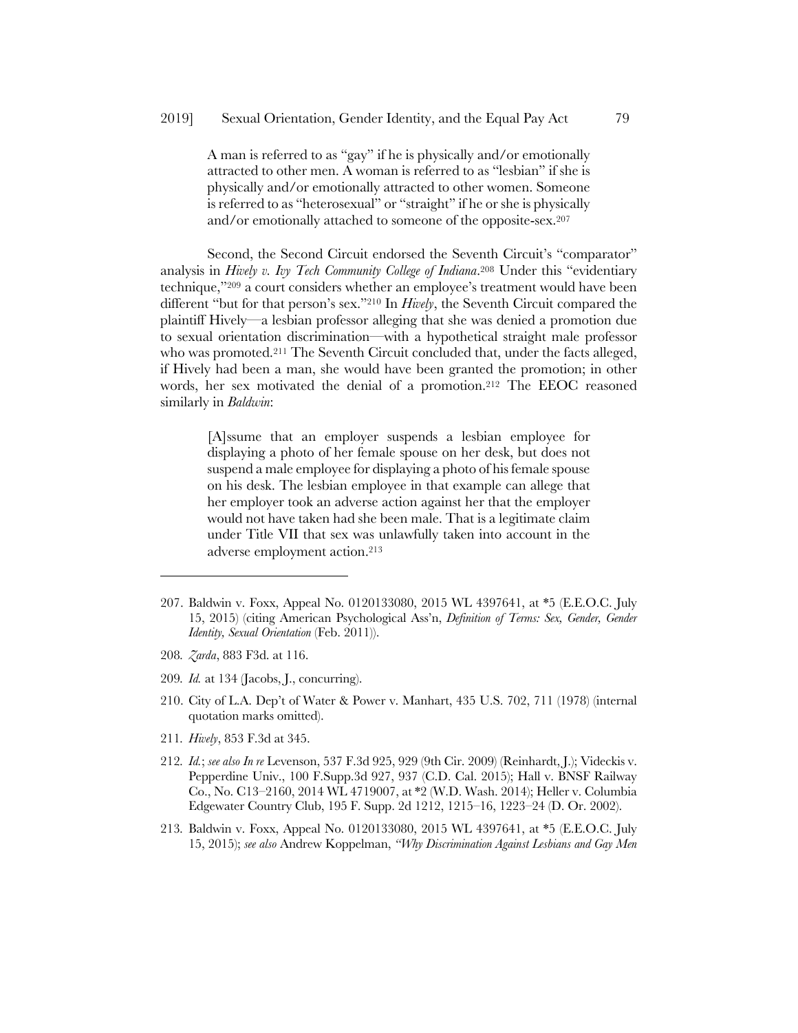A man is referred to as "gay" if he is physically and/or emotionally attracted to other men. A woman is referred to as "lesbian" if she is physically and/or emotionally attracted to other women. Someone is referred to as "heterosexual" or "straight" if he or she is physically and/or emotionally attached to someone of the opposite-sex.207

Second, the Second Circuit endorsed the Seventh Circuit's "comparator" analysis in *Hively v. Ivy Tech Community College of Indiana*.208 Under this "evidentiary technique,"209 a court considers whether an employee's treatment would have been different "but for that person's sex."210 In *Hively*, the Seventh Circuit compared the plaintiff Hively—a lesbian professor alleging that she was denied a promotion due to sexual orientation discrimination—with a hypothetical straight male professor who was promoted.<sup>211</sup> The Seventh Circuit concluded that, under the facts alleged, if Hively had been a man, she would have been granted the promotion; in other words, her sex motivated the denial of a promotion.212 The EEOC reasoned similarly in *Baldwin*:

[A]ssume that an employer suspends a lesbian employee for displaying a photo of her female spouse on her desk, but does not suspend a male employee for displaying a photo of his female spouse on his desk. The lesbian employee in that example can allege that her employer took an adverse action against her that the employer would not have taken had she been male. That is a legitimate claim under Title VII that sex was unlawfully taken into account in the adverse employment action.213

208*. Zarda*, 883 F3d. at 116.

- 209*. Id.* at 134 (Jacobs, J., concurring).
- 210. City of L.A. Dep't of Water & Power v. Manhart, 435 U.S. 702, 711 (1978) (internal quotation marks omitted).
- 211*. Hively*, 853 F.3d at 345.
- 212*. Id.*; *see also In re* Levenson, 537 F.3d 925, 929 (9th Cir. 2009) (Reinhardt, J.); Videckis v. Pepperdine Univ., 100 F.Supp.3d 927, 937 (C.D. Cal. 2015); Hall v. BNSF Railway Co., No. C13–2160, 2014 WL 4719007, at \*2 (W.D. Wash. 2014); Heller v. Columbia Edgewater Country Club, 195 F. Supp. 2d 1212, 1215–16, 1223–24 (D. Or. 2002).
- 213*.* Baldwin v. Foxx, Appeal No. 0120133080, 2015 WL 4397641, at \*5 (E.E.O.C. July 15, 2015); *see also* Andrew Koppelman, *"Why Discrimination Against Lesbians and Gay Men*

<sup>207.</sup> Baldwin v. Foxx, Appeal No. 0120133080, 2015 WL 4397641, at \*5 (E.E.O.C. July 15, 2015) (citing American Psychological Ass'n, *Definition of Terms: Sex, Gender, Gender Identity, Sexual Orientation* (Feb. 2011)).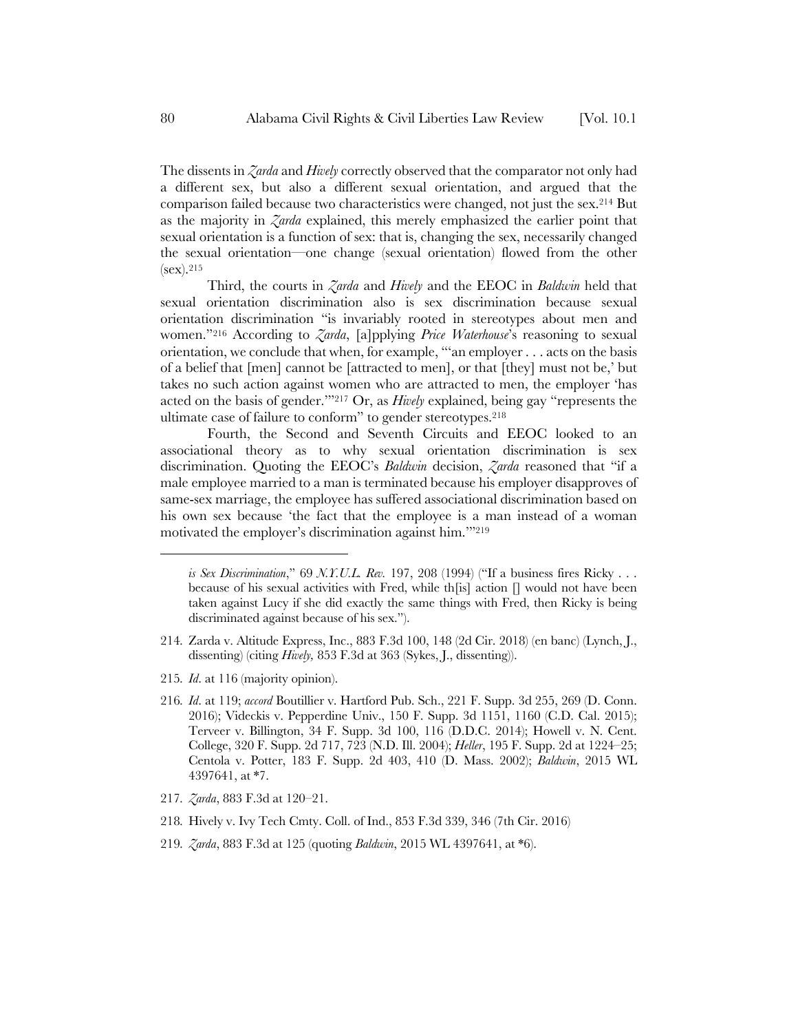The dissents in *Zarda* and *Hively* correctly observed that the comparator not only had a different sex, but also a different sexual orientation, and argued that the comparison failed because two characteristics were changed, not just the sex.214 But as the majority in *Zarda* explained, this merely emphasized the earlier point that sexual orientation is a function of sex: that is, changing the sex, necessarily changed the sexual orientation—one change (sexual orientation) flowed from the other  $(sex).^{215}$ 

Third, the courts in *Zarda* and *Hively* and the EEOC in *Baldwin* held that sexual orientation discrimination also is sex discrimination because sexual orientation discrimination "is invariably rooted in stereotypes about men and women."216 According to *Zarda*, [a]pplying *Price Waterhouse*'s reasoning to sexual orientation, we conclude that when, for example, "'an employer . . . acts on the basis of a belief that [men] cannot be [attracted to men], or that [they] must not be,' but takes no such action against women who are attracted to men, the employer 'has acted on the basis of gender.'"217 Or, as *Hively* explained, being gay "represents the ultimate case of failure to conform" to gender stereotypes.218

Fourth, the Second and Seventh Circuits and EEOC looked to an associational theory as to why sexual orientation discrimination is sex discrimination. Quoting the EEOC's *Baldwin* decision, *Zarda* reasoned that "if a male employee married to a man is terminated because his employer disapproves of same-sex marriage, the employee has suffered associational discrimination based on his own sex because 'the fact that the employee is a man instead of a woman motivated the employer's discrimination against him.'"219

- 214*.* Zarda v. Altitude Express, Inc., 883 F.3d 100, 148 (2d Cir. 2018) (en banc) (Lynch, J., dissenting) (citing *Hively,* 853 F.3d at 363 (Sykes, J., dissenting)).
- 215*. Id*. at 116 (majority opinion).
- 216*. Id*. at 119; *accord* Boutillier v. Hartford Pub. Sch., 221 F. Supp. 3d 255, 269 (D. Conn. 2016); Videckis v. Pepperdine Univ., 150 F. Supp. 3d 1151, 1160 (C.D. Cal. 2015); Terveer v. Billington, 34 F. Supp. 3d 100, 116 (D.D.C. 2014); Howell v. N. Cent. College, 320 F. Supp. 2d 717, 723 (N.D. Ill. 2004); *Heller*, 195 F. Supp. 2d at 1224–25; Centola v. Potter, 183 F. Supp. 2d 403, 410 (D. Mass. 2002); *Baldwin*, 2015 WL 4397641, at \*7.
- 217*. Zarda*, 883 F.3d at 120–21.
- 218*.* Hively v. Ivy Tech Cmty. Coll. of Ind., 853 F.3d 339, 346 (7th Cir. 2016)
- 219*. Zarda*, 883 F.3d at 125 (quoting *Baldwin*, 2015 WL 4397641, at \*6).

*is Sex Discrimination*," 69 *N.Y.U.L. Rev.* 197, 208 (1994) ("If a business fires Ricky . . . because of his sexual activities with Fred, while th[is] action [] would not have been taken against Lucy if she did exactly the same things with Fred, then Ricky is being discriminated against because of his sex.").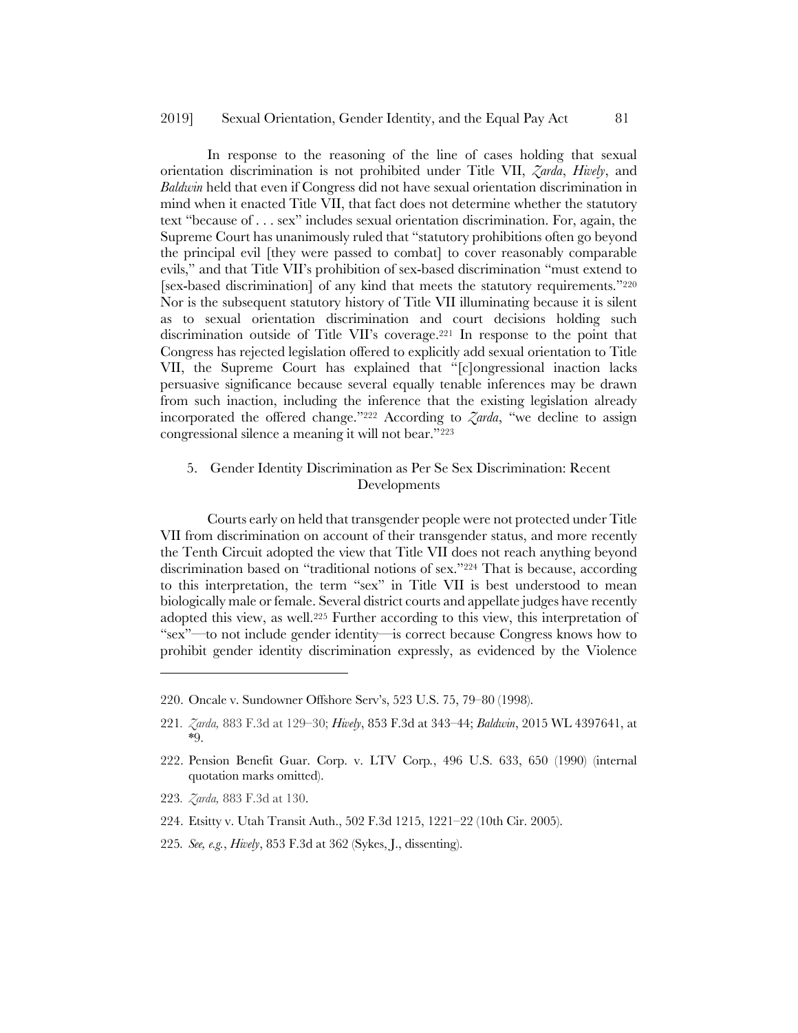In response to the reasoning of the line of cases holding that sexual orientation discrimination is not prohibited under Title VII, *Zarda*, *Hively*, and *Baldwin* held that even if Congress did not have sexual orientation discrimination in mind when it enacted Title VII, that fact does not determine whether the statutory text "because of . . . sex" includes sexual orientation discrimination. For, again, the Supreme Court has unanimously ruled that "statutory prohibitions often go beyond the principal evil [they were passed to combat] to cover reasonably comparable evils," and that Title VII's prohibition of sex-based discrimination "must extend to [sex-based discrimination] of any kind that meets the statutory requirements."220 Nor is the subsequent statutory history of Title VII illuminating because it is silent as to sexual orientation discrimination and court decisions holding such discrimination outside of Title VII's coverage.221 In response to the point that Congress has rejected legislation offered to explicitly add sexual orientation to Title VII, the Supreme Court has explained that "[c]ongressional inaction lacks persuasive significance because several equally tenable inferences may be drawn from such inaction, including the inference that the existing legislation already incorporated the offered change."222 According to *Zarda*, "we decline to assign congressional silence a meaning it will not bear."223

# 5. Gender Identity Discrimination as Per Se Sex Discrimination: Recent Developments

Courts early on held that transgender people were not protected under Title VII from discrimination on account of their transgender status, and more recently the Tenth Circuit adopted the view that Title VII does not reach anything beyond discrimination based on "traditional notions of sex."224 That is because, according to this interpretation, the term "sex" in Title VII is best understood to mean biologically male or female. Several district courts and appellate judges have recently adopted this view, as well.225 Further according to this view, this interpretation of "sex"—to not include gender identity—is correct because Congress knows how to prohibit gender identity discrimination expressly, as evidenced by the Violence

223*. Zarda,* 883 F.3d at 130.

- 224. Etsitty v. Utah Transit Auth., 502 F.3d 1215, 1221–22 (10th Cir. 2005).
- 225*. See, e.g.*, *Hively*, 853 F.3d at 362 (Sykes, J., dissenting).

<sup>220.</sup> Oncale v. Sundowner Offshore Serv's, 523 U.S. 75, 79–80 (1998).

<sup>221</sup>*. Zarda,* 883 F.3d at 129–30; *Hively*, 853 F.3d at 343–44; *Baldwin*, 2015 WL 4397641, at \*9.

<sup>222.</sup> Pension Benefit Guar. Corp. v. LTV Corp*.*, 496 U.S. 633, 650 (1990) (internal quotation marks omitted).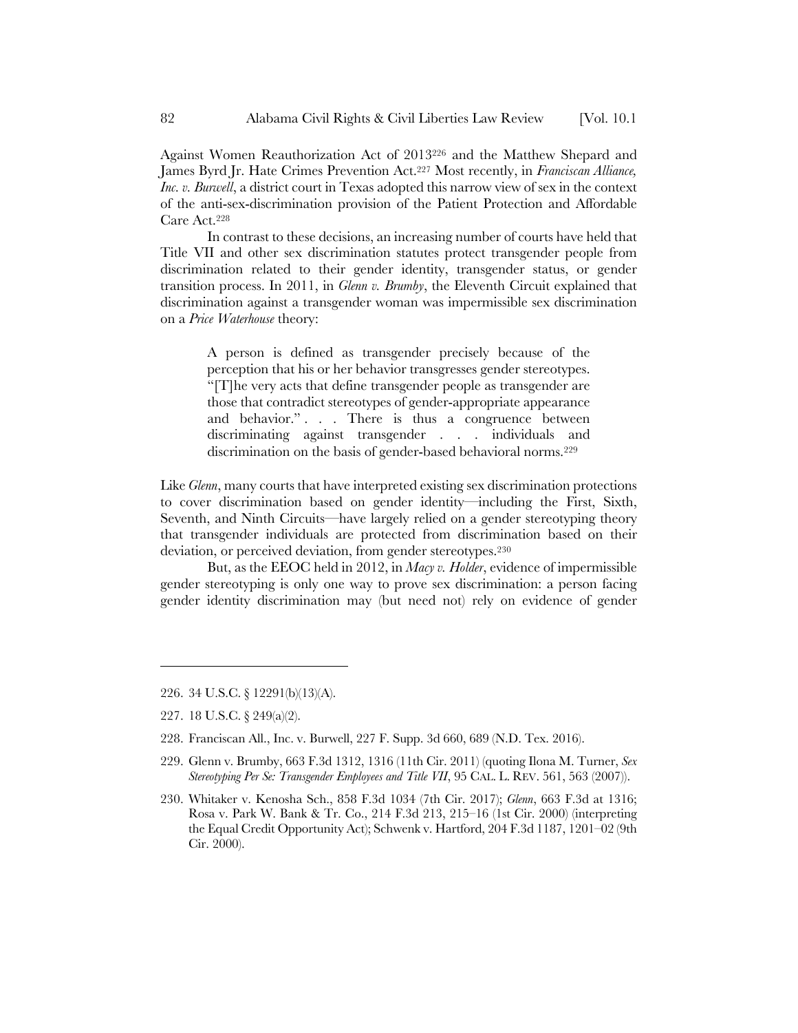Against Women Reauthorization Act of 2013226 and the Matthew Shepard and James Byrd Jr. Hate Crimes Prevention Act.227 Most recently, in *Franciscan Alliance, Inc. v. Burwell*, a district court in Texas adopted this narrow view of sex in the context of the anti-sex-discrimination provision of the Patient Protection and Affordable Care Act.228

In contrast to these decisions, an increasing number of courts have held that Title VII and other sex discrimination statutes protect transgender people from discrimination related to their gender identity, transgender status, or gender transition process. In 2011, in *Glenn v. Brumby*, the Eleventh Circuit explained that discrimination against a transgender woman was impermissible sex discrimination on a *Price Waterhouse* theory:

A person is defined as transgender precisely because of the perception that his or her behavior transgresses gender stereotypes. "[T]he very acts that define transgender people as transgender are those that contradict stereotypes of gender-appropriate appearance and behavior." . . . There is thus a congruence between discriminating against transgender . . . individuals and discrimination on the basis of gender-based behavioral norms.<sup>229</sup>

Like *Glenn*, many courts that have interpreted existing sex discrimination protections to cover discrimination based on gender identity—including the First, Sixth, Seventh, and Ninth Circuits—have largely relied on a gender stereotyping theory that transgender individuals are protected from discrimination based on their deviation, or perceived deviation, from gender stereotypes.230

But, as the EEOC held in 2012, in *Macy v. Holder*, evidence of impermissible gender stereotyping is only one way to prove sex discrimination: a person facing gender identity discrimination may (but need not) rely on evidence of gender

 $\overline{\phantom{a}}$ 

- 229. Glenn v. Brumby, 663 F.3d 1312, 1316 (11th Cir. 2011) (quoting Ilona M. Turner, *Sex Stereotyping Per Se: Transgender Employees and Title VII*, 95 CAL. L. REV. 561, 563 (2007)).
- 230. Whitaker v. Kenosha Sch., 858 F.3d 1034 (7th Cir. 2017); *Glenn*, 663 F.3d at 1316; Rosa v. Park W. Bank & Tr. Co., 214 F.3d 213, 215–16 (1st Cir. 2000) (interpreting the Equal Credit Opportunity Act); Schwenk v. Hartford, 204 F.3d 1187, 1201–02 (9th Cir. 2000).

<sup>226.</sup> 34 U.S.C. § 12291(b)(13)(A).

<sup>227.</sup> 18 U.S.C. § 249(a)(2).

<sup>228.</sup> Franciscan All., Inc. v. Burwell, 227 F. Supp. 3d 660, 689 (N.D. Tex. 2016).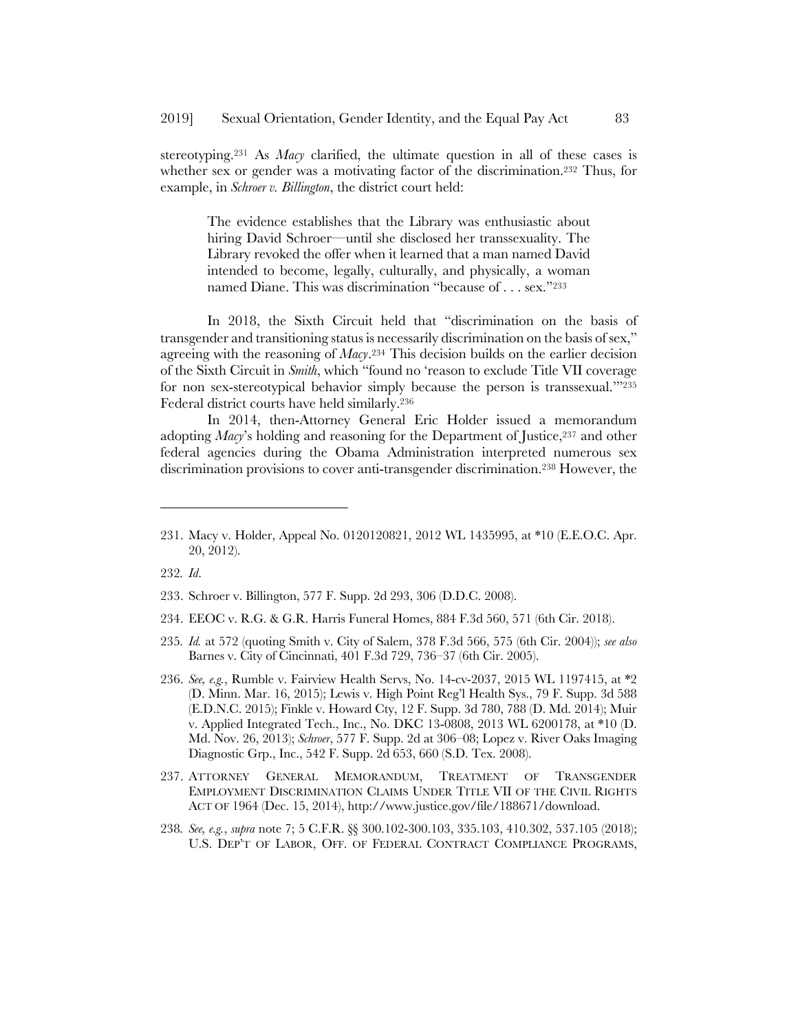stereotyping.231 As *Macy* clarified, the ultimate question in all of these cases is whether sex or gender was a motivating factor of the discrimination.<sup>232</sup> Thus, for example, in *Schroer v. Billington*, the district court held:

The evidence establishes that the Library was enthusiastic about hiring David Schroer—until she disclosed her transsexuality. The Library revoked the offer when it learned that a man named David intended to become, legally, culturally, and physically, a woman named Diane. This was discrimination "because of . . . sex."233

In 2018, the Sixth Circuit held that "discrimination on the basis of transgender and transitioning status is necessarily discrimination on the basis of sex," agreeing with the reasoning of *Macy*.234 This decision builds on the earlier decision of the Sixth Circuit in *Smith*, which "found no 'reason to exclude Title VII coverage for non sex-stereotypical behavior simply because the person is transsexual."<sup>235</sup> Federal district courts have held similarly.236

In 2014, then-Attorney General Eric Holder issued a memorandum adopting *Macy*'s holding and reasoning for the Department of Justice,<sup>237</sup> and other federal agencies during the Obama Administration interpreted numerous sex discrimination provisions to cover anti-transgender discrimination.238 However, the

232*. Id*.

- 234. EEOC v. R.G. & G.R. Harris Funeral Homes, 884 F.3d 560, 571 (6th Cir. 2018).
- 235*. Id.* at 572 (quoting Smith v. City of Salem, 378 F.3d 566, 575 (6th Cir. 2004)); *see also* Barnes v. City of Cincinnati, 401 F.3d 729, 736–37 (6th Cir. 2005).
- 236. *See, e.g.*, Rumble v. Fairview Health Servs, No. 14-cv-2037, 2015 WL 1197415, at \*2 (D. Minn. Mar. 16, 2015); Lewis v. High Point Reg'l Health Sys., 79 F. Supp. 3d 588 (E.D.N.C. 2015); Finkle v. Howard Cty, 12 F. Supp. 3d 780, 788 (D. Md. 2014); Muir v. Applied Integrated Tech., Inc., No. DKC 13-0808, 2013 WL 6200178, at \*10 (D. Md. Nov. 26, 2013); *Schroer*, 577 F. Supp. 2d at 306–08; Lopez v. River Oaks Imaging Diagnostic Grp., Inc., 542 F. Supp. 2d 653, 660 (S.D. Tex. 2008).
- 237. ATTORNEY GENERAL MEMORANDUM, TREATMENT OF TRANSGENDER EMPLOYMENT DISCRIMINATION CLAIMS UNDER TITLE VII OF THE CIVIL RIGHTS ACT OF 1964 (Dec. 15, 2014), http://www.justice.gov/file/188671/download.
- 238*. See, e.g.*, *supra* note 7; 5 C.F.R. §§ 300.102-300.103, 335.103, 410.302, 537.105 (2018); U.S. DEP'T OF LABOR, OFF. OF FEDERAL CONTRACT COMPLIANCE PROGRAMS,

<sup>231.</sup> Macy v. Holder, Appeal No. 0120120821, 2012 WL 1435995, at \*10 (E.E.O.C. Apr. 20, 2012).

<sup>233.</sup> Schroer v. Billington, 577 F. Supp. 2d 293, 306 (D.D.C. 2008).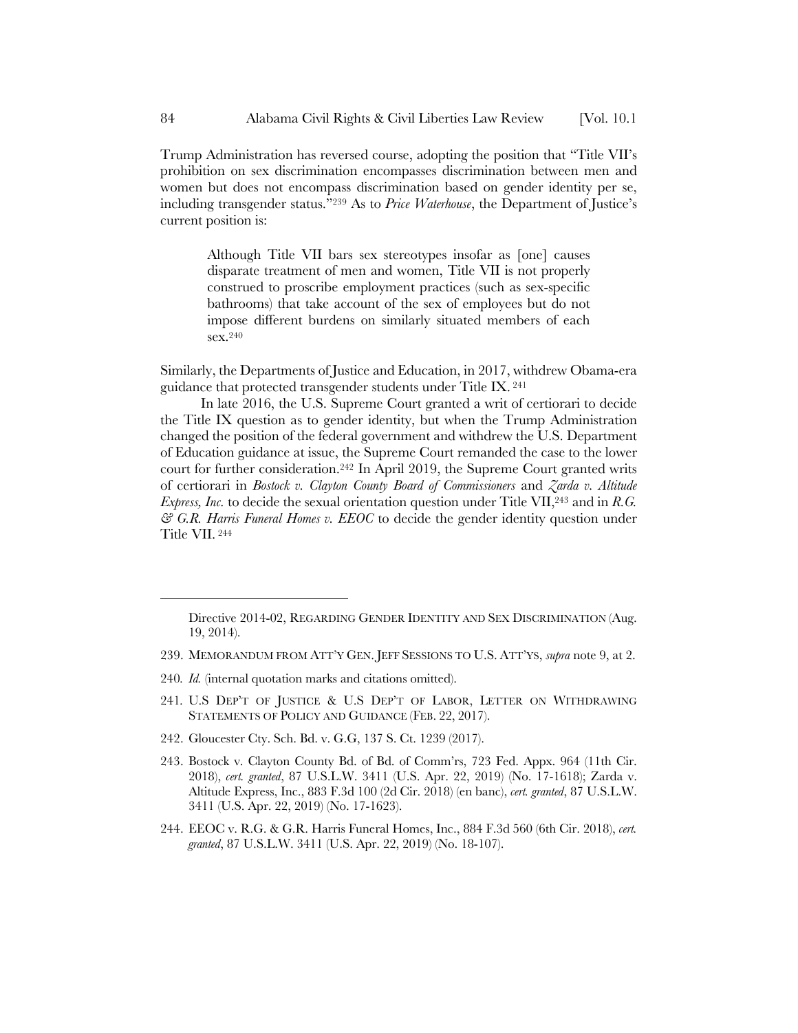Trump Administration has reversed course, adopting the position that "Title VII's prohibition on sex discrimination encompasses discrimination between men and women but does not encompass discrimination based on gender identity per se, including transgender status."239 As to *Price Waterhouse*, the Department of Justice's current position is:

Although Title VII bars sex stereotypes insofar as [one] causes disparate treatment of men and women, Title VII is not properly construed to proscribe employment practices (such as sex-specific bathrooms) that take account of the sex of employees but do not impose different burdens on similarly situated members of each sex.240

Similarly, the Departments of Justice and Education, in 2017, withdrew Obama-era guidance that protected transgender students under Title IX. <sup>241</sup>

In late 2016, the U.S. Supreme Court granted a writ of certiorari to decide the Title IX question as to gender identity, but when the Trump Administration changed the position of the federal government and withdrew the U.S. Department of Education guidance at issue, the Supreme Court remanded the case to the lower court for further consideration.242 In April 2019, the Supreme Court granted writs of certiorari in *Bostock v. Clayton County Board of Commissioners* and *Zarda v. Altitude Express, Inc.* to decide the sexual orientation question under Title VII,<sup>243</sup> and in *R.G. & G.R. Harris Funeral Homes v. EEOC* to decide the gender identity question under Title VII. <sup>244</sup>

- 240*. Id.* (internal quotation marks and citations omitted).
- 241*.* U.S DEP'T OF JUSTICE & U.S DEP'T OF LABOR, LETTER ON WITHDRAWING STATEMENTS OF POLICY AND GUIDANCE (FEB. 22, 2017).
- 242. Gloucester Cty. Sch. Bd. v. G.G, 137 S. Ct. 1239 (2017).
- 243. Bostock v. Clayton County Bd. of Bd. of Comm'rs, 723 Fed. Appx. 964 (11th Cir. 2018), *cert. granted*, 87 U.S.L.W. 3411 (U.S. Apr. 22, 2019) (No. 17-1618); Zarda v. Altitude Express, Inc., 883 F.3d 100 (2d Cir. 2018) (en banc), *cert. granted*, 87 U.S.L.W. 3411 (U.S. Apr. 22, 2019) (No. 17-1623).
- 244. EEOC v. R.G. & G.R. Harris Funeral Homes, Inc., 884 F.3d 560 (6th Cir. 2018), *cert. granted*, 87 U.S.L.W. 3411 (U.S. Apr. 22, 2019) (No. 18-107).

Directive 2014-02, REGARDING GENDER IDENTITY AND SEX DISCRIMINATION (Aug. 19, 2014).

<sup>239.</sup> MEMORANDUM FROM ATT'Y GEN. JEFF SESSIONS TO U.S. ATT'YS, *supra* note 9, at 2.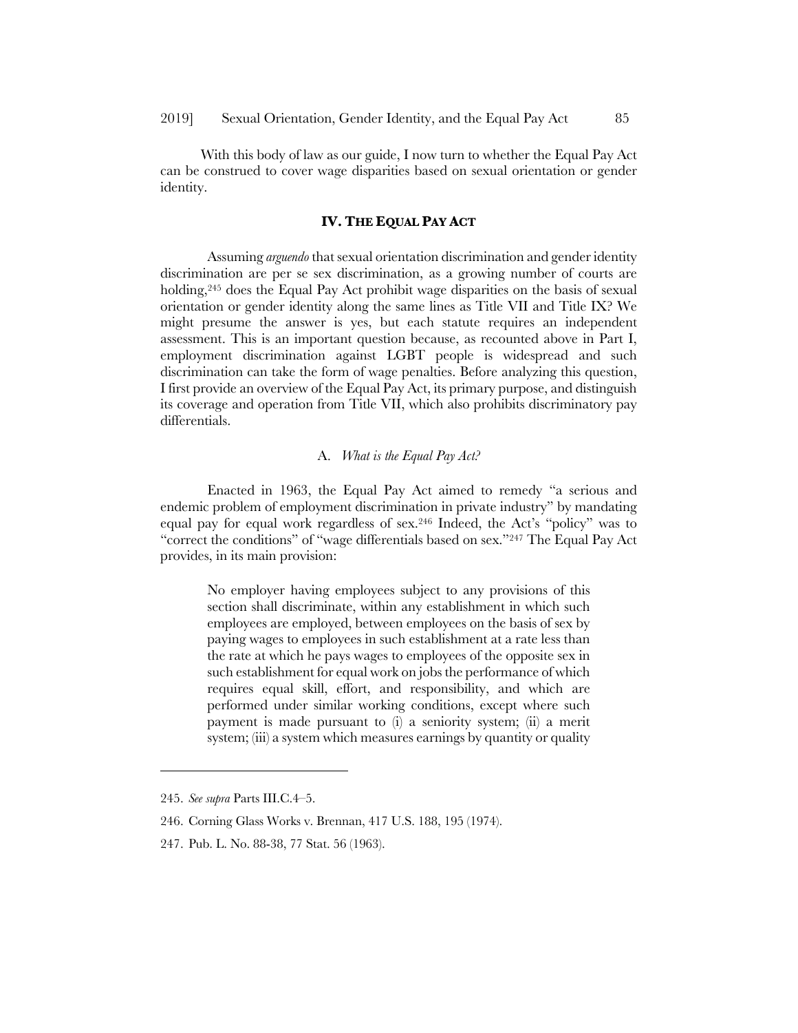With this body of law as our guide, I now turn to whether the Equal Pay Act can be construed to cover wage disparities based on sexual orientation or gender identity.

### **IV. THE EQUAL PAY ACT**

Assuming *arguendo* that sexual orientation discrimination and gender identity discrimination are per se sex discrimination, as a growing number of courts are holding,<sup>245</sup> does the Equal Pay Act prohibit wage disparities on the basis of sexual orientation or gender identity along the same lines as Title VII and Title IX? We might presume the answer is yes, but each statute requires an independent assessment. This is an important question because, as recounted above in Part I, employment discrimination against LGBT people is widespread and such discrimination can take the form of wage penalties. Before analyzing this question, I first provide an overview of the Equal Pay Act, its primary purpose, and distinguish its coverage and operation from Title VII, which also prohibits discriminatory pay differentials.

#### A. *What is the Equal Pay Act?*

Enacted in 1963, the Equal Pay Act aimed to remedy "a serious and endemic problem of employment discrimination in private industry" by mandating equal pay for equal work regardless of sex.246 Indeed, the Act's "policy" was to "correct the conditions" of "wage differentials based on sex."247 The Equal Pay Act provides, in its main provision:

No employer having employees subject to any provisions of this section shall discriminate, within any establishment in which such employees are employed, between employees on the basis of sex by paying wages to employees in such establishment at a rate less than the rate at which he pays wages to employees of the opposite sex in such establishment for equal work on jobs the performance of which requires equal skill, effort, and responsibility, and which are performed under similar working conditions, except where such payment is made pursuant to (i) a seniority system; (ii) a merit system; (iii) a system which measures earnings by quantity or quality

 $\overline{\phantom{a}}$ 

<sup>245.</sup> *See supra* Parts III.C.4–5.

<sup>246.</sup> Corning Glass Works v. Brennan, 417 U.S. 188, 195 (1974).

<sup>247.</sup> Pub. L. No. 88-38, 77 Stat. 56 (1963).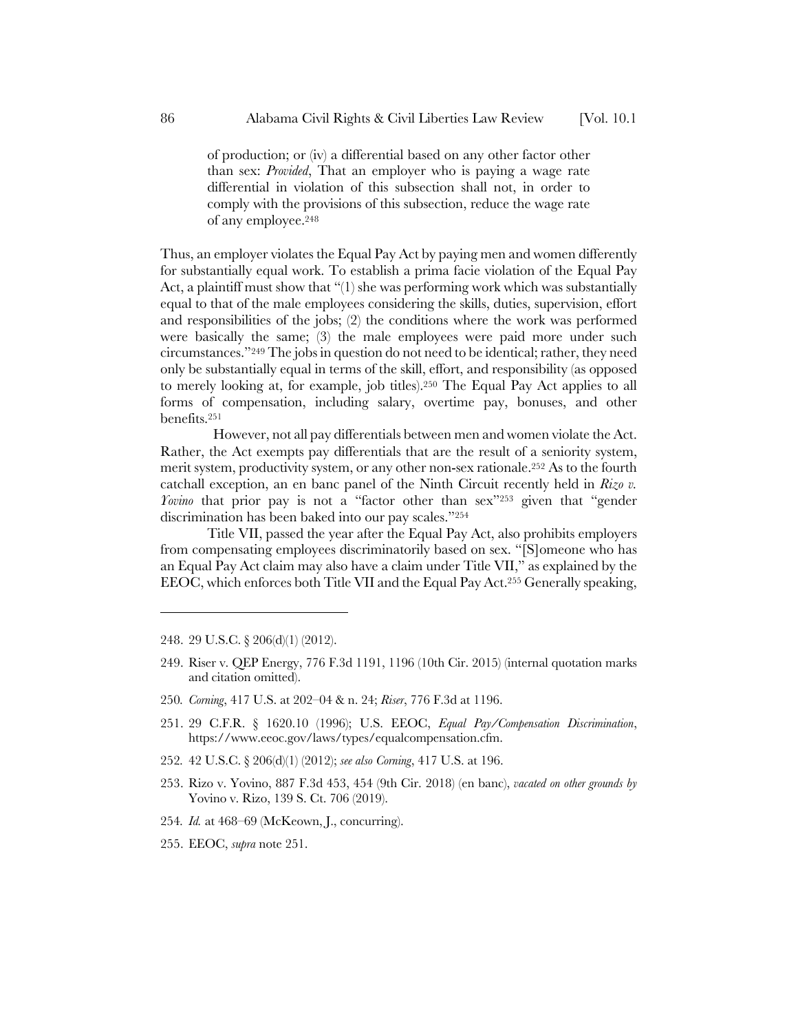of production; or (iv) a differential based on any other factor other than sex: *Provided*, That an employer who is paying a wage rate differential in violation of this subsection shall not, in order to comply with the provisions of this subsection, reduce the wage rate of any employee.248

Thus, an employer violates the Equal Pay Act by paying men and women differently for substantially equal work. To establish a prima facie violation of the Equal Pay Act, a plaintiff must show that "(1) she was performing work which was substantially equal to that of the male employees considering the skills, duties, supervision, effort and responsibilities of the jobs; (2) the conditions where the work was performed were basically the same; (3) the male employees were paid more under such circumstances."249 The jobs in question do not need to be identical; rather, they need only be substantially equal in terms of the skill, effort, and responsibility (as opposed to merely looking at, for example, job titles).250 The Equal Pay Act applies to all forms of compensation, including salary, overtime pay, bonuses, and other benefits.251

However, not all pay differentials between men and women violate the Act. Rather, the Act exempts pay differentials that are the result of a seniority system, merit system, productivity system, or any other non-sex rationale.252 As to the fourth catchall exception, an en banc panel of the Ninth Circuit recently held in *Rizo v. Yovino* that prior pay is not a "factor other than sex"<sup>253</sup> given that "gender" discrimination has been baked into our pay scales."254

Title VII, passed the year after the Equal Pay Act, also prohibits employers from compensating employees discriminatorily based on sex. "[S]omeone who has an Equal Pay Act claim may also have a claim under Title VII," as explained by the EEOC, which enforces both Title VII and the Equal Pay Act.255 Generally speaking,

248. 29 U.S.C. § 206(d)(1) (2012).

- 249. Riser v. QEP Energy, 776 F.3d 1191, 1196 (10th Cir. 2015) (internal quotation marks and citation omitted).
- 250*. Corning*, 417 U.S. at 202–04 & n. 24; *Riser*, 776 F.3d at 1196.
- 251. 29 C.F.R. § 1620.10 (1996); U.S. EEOC, *Equal Pay/Compensation Discrimination*, https://www.eeoc.gov/laws/types/equalcompensation.cfm.
- 252*.* 42 U.S.C. § 206(d)(1) (2012); *see also Corning*, 417 U.S. at 196.
- 253. Rizo v. Yovino, 887 F.3d 453, 454 (9th Cir. 2018) (en banc), *vacated on other grounds by* Yovino v. Rizo, 139 S. Ct. 706 (2019).
- 254*. Id.* at 468–69 (McKeown, J., concurring).
- 255. EEOC, *supra* note 251.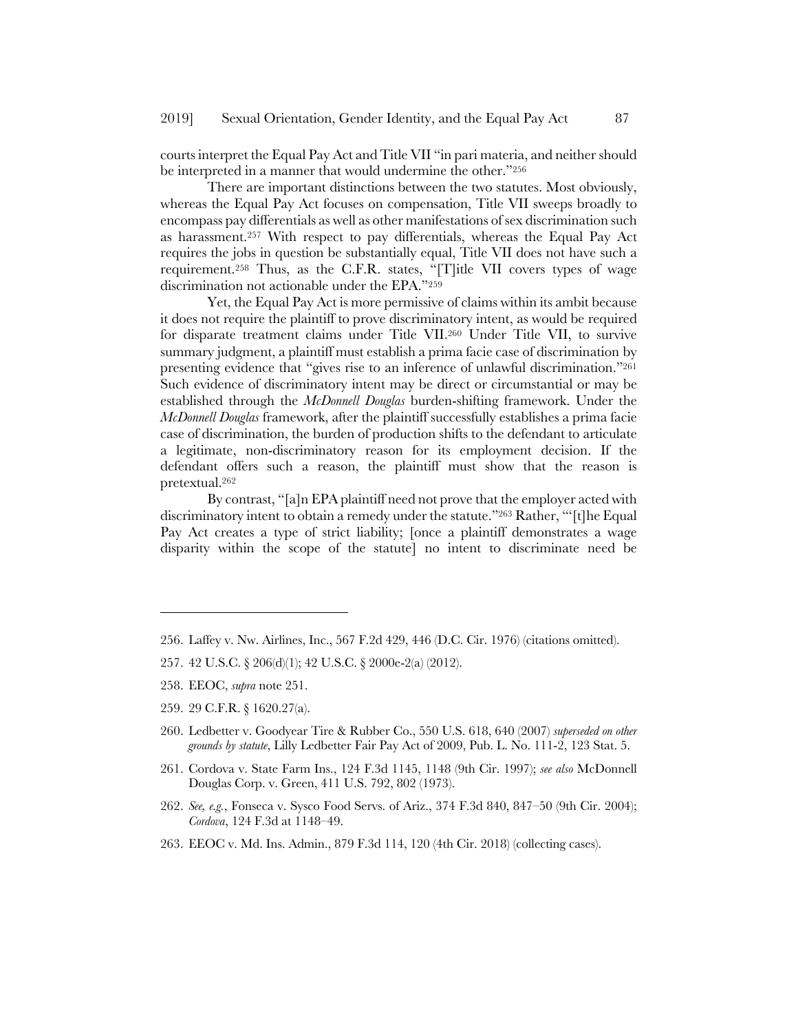courts interpret the Equal Pay Act and Title VII "in pari materia, and neither should be interpreted in a manner that would undermine the other."256

There are important distinctions between the two statutes. Most obviously, whereas the Equal Pay Act focuses on compensation, Title VII sweeps broadly to encompass pay differentials as well as other manifestations of sex discrimination such as harassment.257 With respect to pay differentials, whereas the Equal Pay Act requires the jobs in question be substantially equal, Title VII does not have such a requirement.258 Thus, as the C.F.R. states, "[T]itle VII covers types of wage discrimination not actionable under the EPA."259

Yet, the Equal Pay Act is more permissive of claims within its ambit because it does not require the plaintiff to prove discriminatory intent, as would be required for disparate treatment claims under Title VII.260 Under Title VII, to survive summary judgment, a plaintiff must establish a prima facie case of discrimination by presenting evidence that "gives rise to an inference of unlawful discrimination."261 Such evidence of discriminatory intent may be direct or circumstantial or may be established through the *McDonnell Douglas* burden-shifting framework. Under the *McDonnell Douglas* framework, after the plaintiff successfully establishes a prima facie case of discrimination, the burden of production shifts to the defendant to articulate a legitimate, non-discriminatory reason for its employment decision. If the defendant offers such a reason, the plaintiff must show that the reason is pretextual.262

By contrast, "[a]n EPA plaintiff need not prove that the employer acted with discriminatory intent to obtain a remedy under the statute."263 Rather, "'[t]he Equal Pay Act creates a type of strict liability; [once a plaintiff demonstrates a wage disparity within the scope of the statute] no intent to discriminate need be

- 257. 42 U.S.C. § 206(d)(1); 42 U.S.C. § 2000e-2(a) (2012).
- 258. EEOC, *supra* note 251.

- 259. 29 C.F.R. § 1620.27(a).
- 260. Ledbetter v. Goodyear Tire & Rubber Co., 550 U.S. 618, 640 (2007) *superseded on other grounds by statute*, Lilly Ledbetter Fair Pay Act of 2009, Pub. L. No. 111-2, 123 Stat. 5.
- 261. Cordova v. State Farm Ins., 124 F.3d 1145, 1148 (9th Cir. 1997); *see also* McDonnell Douglas Corp. v. Green, 411 U.S. 792, 802 (1973).
- 262. *See, e.g.*, Fonseca v. Sysco Food Servs. of Ariz., 374 F.3d 840, 847–50 (9th Cir. 2004); *Cordova*, 124 F.3d at 1148–49.
- 263. EEOC v. Md. Ins. Admin., 879 F.3d 114, 120 (4th Cir. 2018) (collecting cases).

<sup>256.</sup> Laffey v. Nw. Airlines, Inc., 567 F.2d 429, 446 (D.C. Cir. 1976) (citations omitted).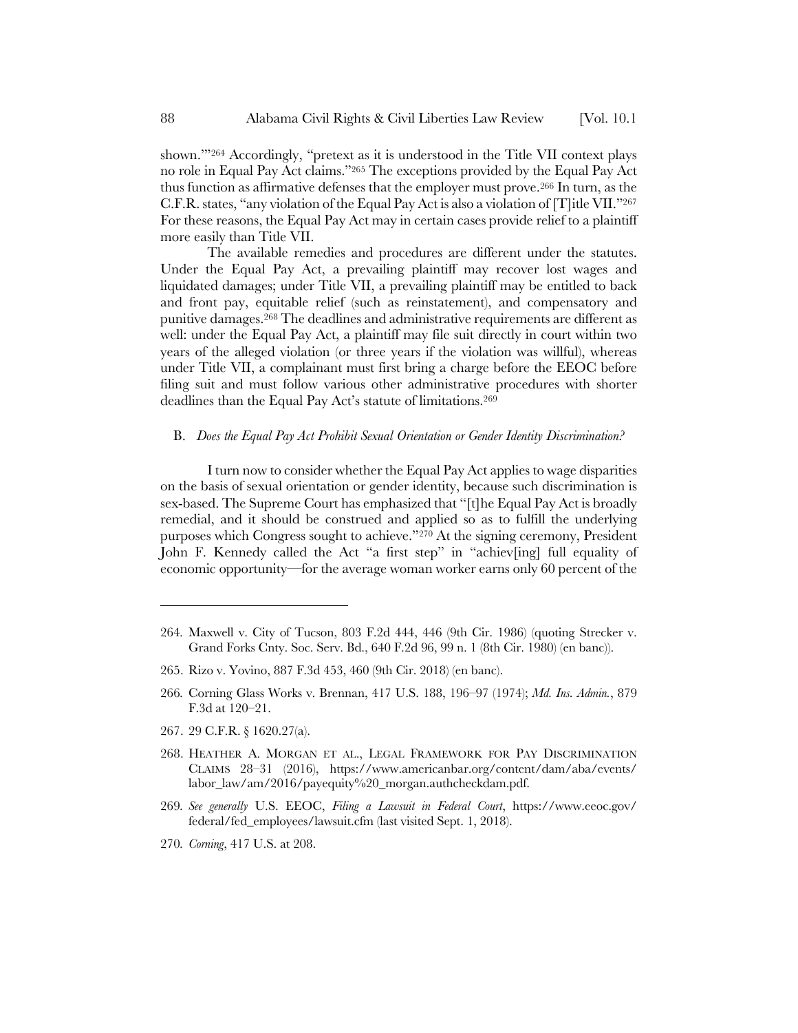shown.'"264 Accordingly, "pretext as it is understood in the Title VII context plays no role in Equal Pay Act claims."265 The exceptions provided by the Equal Pay Act thus function as affirmative defenses that the employer must prove.266 In turn, as the C.F.R. states, "any violation of the Equal Pay Act is also a violation of [T]itle VII."267 For these reasons, the Equal Pay Act may in certain cases provide relief to a plaintiff more easily than Title VII.

The available remedies and procedures are different under the statutes. Under the Equal Pay Act, a prevailing plaintiff may recover lost wages and liquidated damages; under Title VII, a prevailing plaintiff may be entitled to back and front pay, equitable relief (such as reinstatement), and compensatory and punitive damages.268 The deadlines and administrative requirements are different as well: under the Equal Pay Act, a plaintiff may file suit directly in court within two years of the alleged violation (or three years if the violation was willful), whereas under Title VII, a complainant must first bring a charge before the EEOC before filing suit and must follow various other administrative procedures with shorter deadlines than the Equal Pay Act's statute of limitations.269

#### B. *Does the Equal Pay Act Prohibit Sexual Orientation or Gender Identity Discrimination?*

I turn now to consider whether the Equal Pay Act applies to wage disparities on the basis of sexual orientation or gender identity, because such discrimination is sex-based. The Supreme Court has emphasized that "[t]he Equal Pay Act is broadly remedial, and it should be construed and applied so as to fulfill the underlying purposes which Congress sought to achieve."270 At the signing ceremony, President John F. Kennedy called the Act "a first step" in "achiev[ing] full equality of economic opportunity—for the average woman worker earns only 60 percent of the

- 265. Rizo v. Yovino, 887 F.3d 453, 460 (9th Cir. 2018) (en banc).
- 266*.* Corning Glass Works v. Brennan, 417 U.S. 188, 196–97 (1974); *Md. Ins. Admin.*, 879 F.3d at 120–21.
- 267. 29 C.F.R. § 1620.27(a).

- 268. HEATHER A. MORGAN ET AL., LEGAL FRAMEWORK FOR PAY DISCRIMINATION CLAIMS 28–31 (2016), https://www.americanbar.org/content/dam/aba/events/ labor\_law/am/2016/payequity%20\_morgan.authcheckdam.pdf.
- 269*. See generally* U.S. EEOC, *Filing a Lawsuit in Federal Court*, https://www.eeoc.gov/ federal/fed\_employees/lawsuit.cfm (last visited Sept. 1, 2018).
- 270*. Corning*, 417 U.S. at 208.

<sup>264</sup>*.* Maxwell v. City of Tucson, 803 F.2d 444, 446 (9th Cir. 1986) (quoting Strecker v. Grand Forks Cnty. Soc. Serv. Bd., 640 F.2d 96, 99 n. 1 (8th Cir. 1980) (en banc)).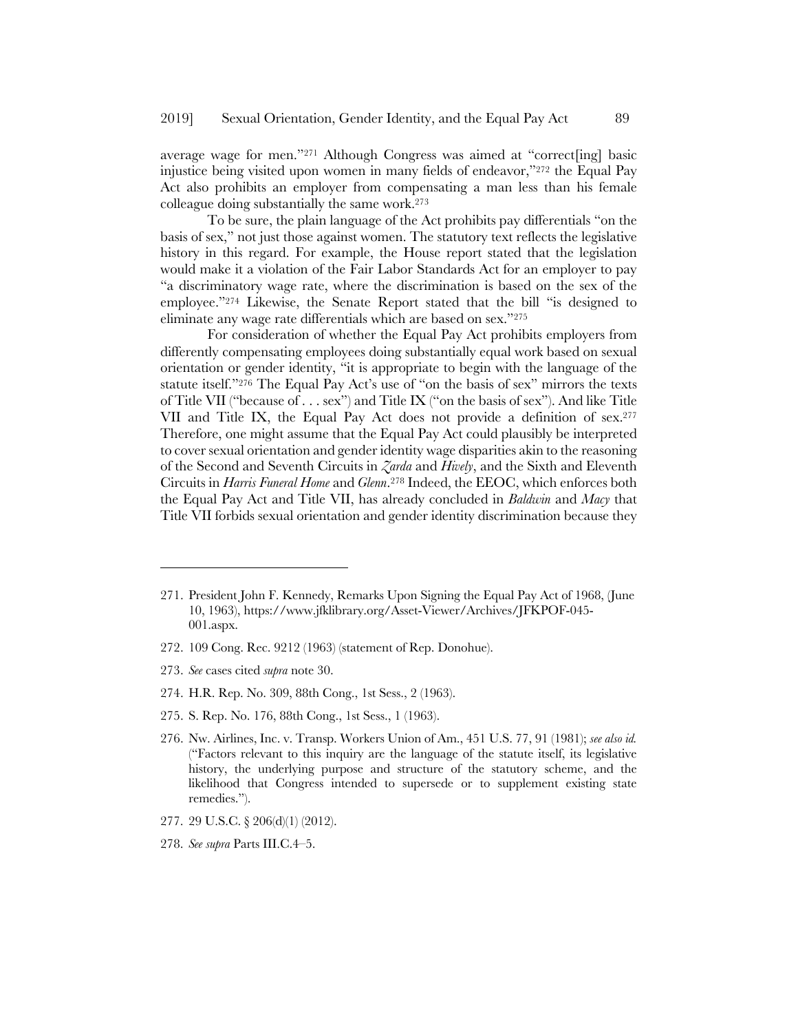average wage for men."271 Although Congress was aimed at "correct[ing] basic injustice being visited upon women in many fields of endeavor,"272 the Equal Pay Act also prohibits an employer from compensating a man less than his female colleague doing substantially the same work.273

To be sure, the plain language of the Act prohibits pay differentials "on the basis of sex," not just those against women. The statutory text reflects the legislative history in this regard. For example, the House report stated that the legislation would make it a violation of the Fair Labor Standards Act for an employer to pay "a discriminatory wage rate, where the discrimination is based on the sex of the employee."274 Likewise, the Senate Report stated that the bill "is designed to eliminate any wage rate differentials which are based on sex."275

For consideration of whether the Equal Pay Act prohibits employers from differently compensating employees doing substantially equal work based on sexual orientation or gender identity, "it is appropriate to begin with the language of the statute itself."276 The Equal Pay Act's use of "on the basis of sex" mirrors the texts of Title VII ("because of . . . sex") and Title IX ("on the basis of sex"). And like Title VII and Title IX, the Equal Pay Act does not provide a definition of sex.277 Therefore, one might assume that the Equal Pay Act could plausibly be interpreted to cover sexual orientation and gender identity wage disparities akin to the reasoning of the Second and Seventh Circuits in *Zarda* and *Hively*, and the Sixth and Eleventh Circuits in *Harris Funeral Home* and *Glenn*.278 Indeed, the EEOC, which enforces both the Equal Pay Act and Title VII, has already concluded in *Baldwin* and *Macy* that Title VII forbids sexual orientation and gender identity discrimination because they

- 272. 109 Cong. Rec. 9212 (1963) (statement of Rep. Donohue).
- 273. *See* cases cited *supra* note 30.

- 274. H.R. Rep. No. 309, 88th Cong., 1st Sess., 2 (1963).
- 275. S. Rep. No. 176, 88th Cong., 1st Sess., 1 (1963).
- 276. Nw. Airlines, Inc. v. Transp. Workers Union of Am., 451 U.S. 77, 91 (1981); *see also id.*  ("Factors relevant to this inquiry are the language of the statute itself, its legislative history, the underlying purpose and structure of the statutory scheme, and the likelihood that Congress intended to supersede or to supplement existing state remedies.").
- 277. 29 U.S.C. § 206(d)(1) (2012).
- 278. *See supra* Parts III.C.4–5.

<sup>271.</sup> President John F. Kennedy, Remarks Upon Signing the Equal Pay Act of 1968, (June 10, 1963), https://www.jfklibrary.org/Asset-Viewer/Archives/JFKPOF-045- 001.aspx.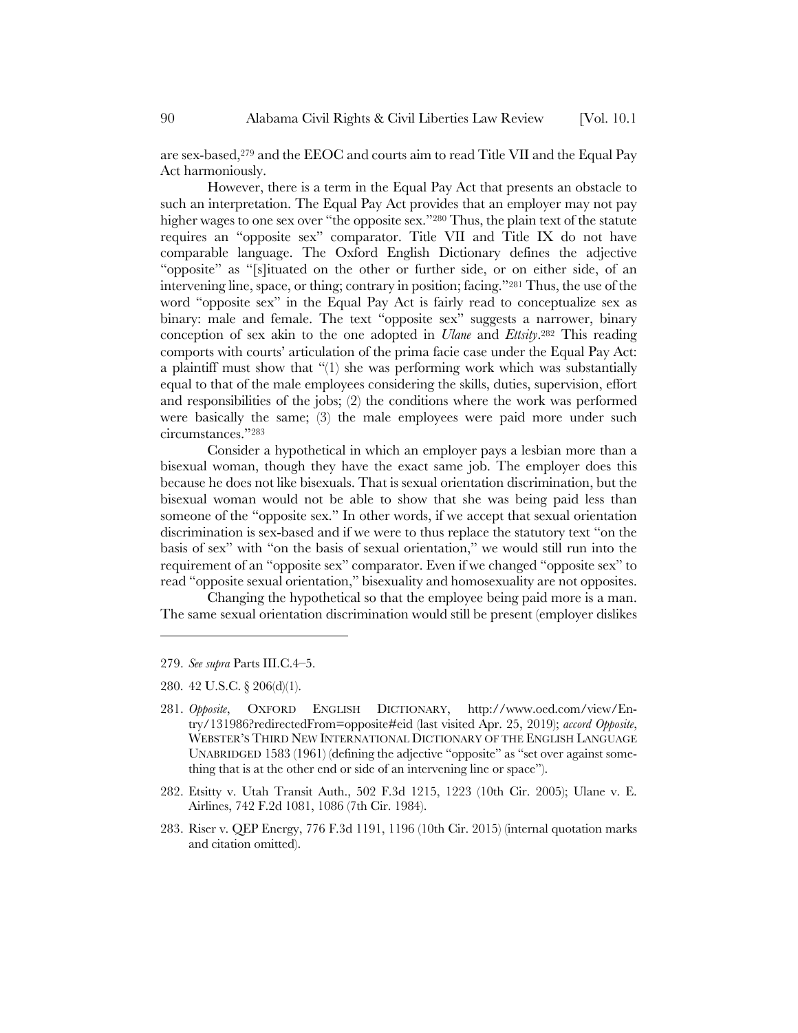are sex-based,279 and the EEOC and courts aim to read Title VII and the Equal Pay Act harmoniously.

However, there is a term in the Equal Pay Act that presents an obstacle to such an interpretation. The Equal Pay Act provides that an employer may not pay higher wages to one sex over "the opposite sex."280 Thus, the plain text of the statute requires an "opposite sex" comparator. Title VII and Title IX do not have comparable language. The Oxford English Dictionary defines the adjective "opposite" as "[s]ituated on the other or further side, or on either side, of an intervening line, space, or thing; contrary in position; facing."281 Thus, the use of the word "opposite sex" in the Equal Pay Act is fairly read to conceptualize sex as binary: male and female. The text "opposite sex" suggests a narrower, binary conception of sex akin to the one adopted in *Ulane* and *Ettsity*.282 This reading comports with courts' articulation of the prima facie case under the Equal Pay Act: a plaintiff must show that "(1) she was performing work which was substantially equal to that of the male employees considering the skills, duties, supervision, effort and responsibilities of the jobs; (2) the conditions where the work was performed were basically the same; (3) the male employees were paid more under such circumstances."283

Consider a hypothetical in which an employer pays a lesbian more than a bisexual woman, though they have the exact same job. The employer does this because he does not like bisexuals. That is sexual orientation discrimination, but the bisexual woman would not be able to show that she was being paid less than someone of the "opposite sex." In other words, if we accept that sexual orientation discrimination is sex-based and if we were to thus replace the statutory text "on the basis of sex" with "on the basis of sexual orientation," we would still run into the requirement of an "opposite sex" comparator. Even if we changed "opposite sex" to read "opposite sexual orientation," bisexuality and homosexuality are not opposites.

Changing the hypothetical so that the employee being paid more is a man. The same sexual orientation discrimination would still be present (employer dislikes

- 282. Etsitty v. Utah Transit Auth., 502 F.3d 1215, 1223 (10th Cir. 2005); Ulane v. E. Airlines, 742 F.2d 1081, 1086 (7th Cir. 1984).
- 283. Riser v. QEP Energy, 776 F.3d 1191, 1196 (10th Cir. 2015) (internal quotation marks and citation omitted).

<sup>279.</sup> *See supra* Parts III.C.4–5.

<sup>280.</sup> 42 U.S.C. § 206(d)(1).

<sup>281.</sup> *Opposite*, OXFORD ENGLISH DICTIONARY, http://www.oed.com/view/Entry/131986?redirectedFrom=opposite#eid (last visited Apr. 25, 2019); *accord Opposite*, WEBSTER'S THIRD NEW INTERNATIONAL DICTIONARY OF THE ENGLISH LANGUAGE UNABRIDGED 1583 (1961) (defining the adjective "opposite" as "set over against something that is at the other end or side of an intervening line or space").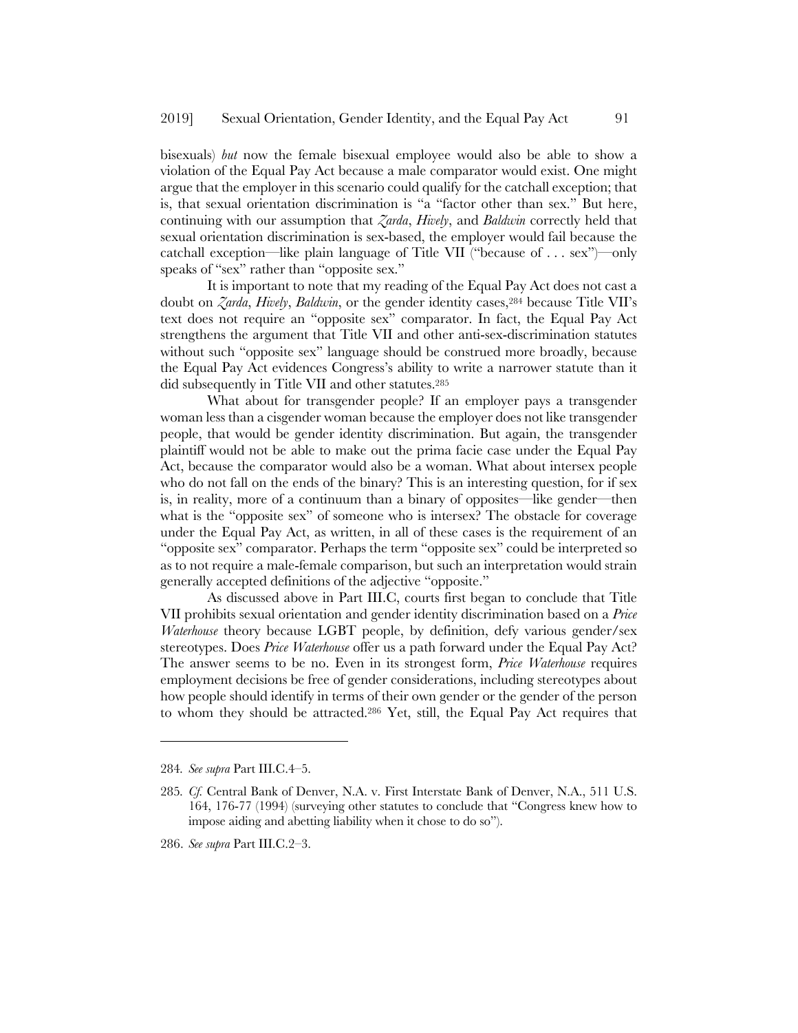bisexuals) *but* now the female bisexual employee would also be able to show a violation of the Equal Pay Act because a male comparator would exist. One might argue that the employer in this scenario could qualify for the catchall exception; that is, that sexual orientation discrimination is "a "factor other than sex." But here, continuing with our assumption that *Zarda*, *Hively*, and *Baldwin* correctly held that sexual orientation discrimination is sex-based, the employer would fail because the catchall exception—like plain language of Title VII ("because of . . . sex")—only speaks of "sex" rather than "opposite sex."

It is important to note that my reading of the Equal Pay Act does not cast a doubt on *Zarda*, *Hively*, *Baldwin*, or the gender identity cases,284 because Title VII's text does not require an "opposite sex" comparator. In fact, the Equal Pay Act strengthens the argument that Title VII and other anti-sex-discrimination statutes without such "opposite sex" language should be construed more broadly, because the Equal Pay Act evidences Congress's ability to write a narrower statute than it did subsequently in Title VII and other statutes.285

What about for transgender people? If an employer pays a transgender woman less than a cisgender woman because the employer does not like transgender people, that would be gender identity discrimination. But again, the transgender plaintiff would not be able to make out the prima facie case under the Equal Pay Act, because the comparator would also be a woman. What about intersex people who do not fall on the ends of the binary? This is an interesting question, for if sex is, in reality, more of a continuum than a binary of opposites—like gender—then what is the "opposite sex" of someone who is intersex? The obstacle for coverage under the Equal Pay Act, as written, in all of these cases is the requirement of an "opposite sex" comparator. Perhaps the term "opposite sex" could be interpreted so as to not require a male-female comparison, but such an interpretation would strain generally accepted definitions of the adjective "opposite."

As discussed above in Part III.C, courts first began to conclude that Title VII prohibits sexual orientation and gender identity discrimination based on a *Price Waterhouse* theory because LGBT people, by definition, defy various gender/sex stereotypes. Does *Price Waterhouse* offer us a path forward under the Equal Pay Act? The answer seems to be no. Even in its strongest form, *Price Waterhouse* requires employment decisions be free of gender considerations, including stereotypes about how people should identify in terms of their own gender or the gender of the person to whom they should be attracted.286 Yet, still, the Equal Pay Act requires that

<sup>284</sup>*. See supra* Part III.C.4–5.

<sup>285</sup>*. Cf.* Central Bank of Denver, N.A. v. First Interstate Bank of Denver, N.A., 511 U.S. 164, 176-77 (1994) (surveying other statutes to conclude that "Congress knew how to impose aiding and abetting liability when it chose to do so").

<sup>286.</sup> *See supra* Part III.C.2–3.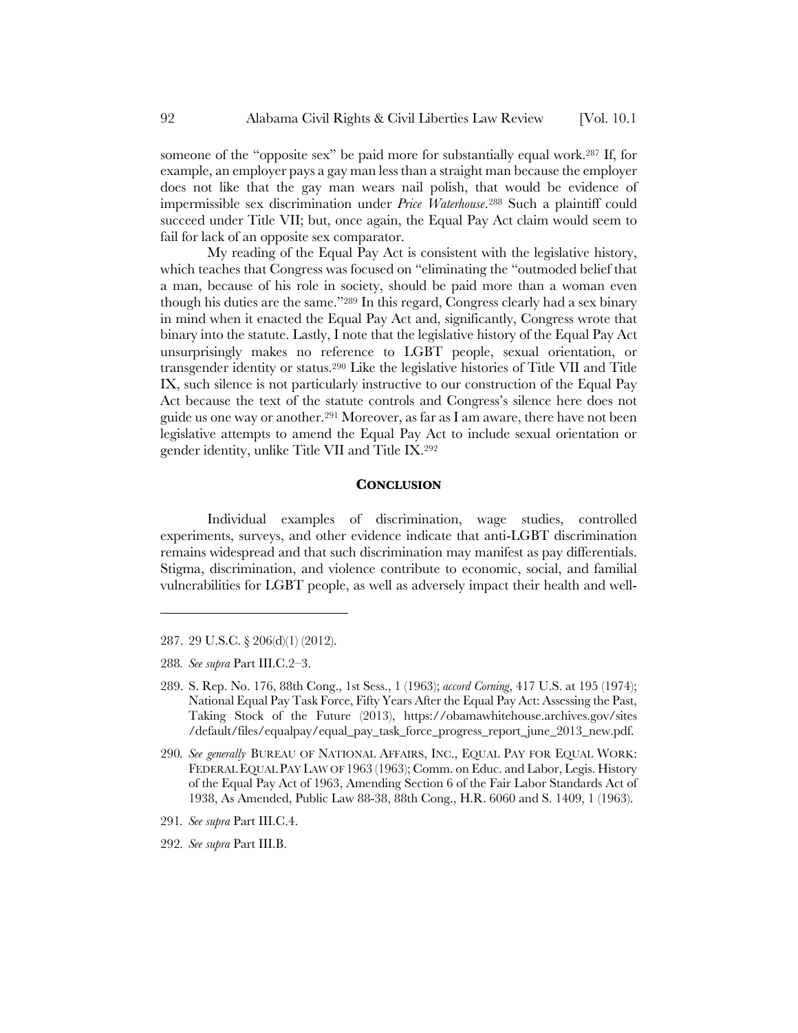someone of the "opposite sex" be paid more for substantially equal work.287 If, for example, an employer pays a gay man less than a straight man because the employer does not like that the gay man wears nail polish, that would be evidence of impermissible sex discrimination under *Price Waterhouse*.288 Such a plaintiff could succeed under Title VII; but, once again, the Equal Pay Act claim would seem to fail for lack of an opposite sex comparator.

My reading of the Equal Pay Act is consistent with the legislative history, which teaches that Congress was focused on "eliminating the "outmoded belief that a man, because of his role in society, should be paid more than a woman even though his duties are the same."289 In this regard, Congress clearly had a sex binary in mind when it enacted the Equal Pay Act and, significantly, Congress wrote that binary into the statute. Lastly, I note that the legislative history of the Equal Pay Act unsurprisingly makes no reference to LGBT people, sexual orientation, or transgender identity or status.290 Like the legislative histories of Title VII and Title IX, such silence is not particularly instructive to our construction of the Equal Pay Act because the text of the statute controls and Congress's silence here does not guide us one way or another.291 Moreover, as far as I am aware, there have not been legislative attempts to amend the Equal Pay Act to include sexual orientation or gender identity, unlike Title VII and Title IX.292

#### **CONCLUSION**

Individual examples of discrimination, wage studies, controlled experiments, surveys, and other evidence indicate that anti-LGBT discrimination remains widespread and that such discrimination may manifest as pay differentials. Stigma, discrimination, and violence contribute to economic, social, and familial vulnerabilities for LGBT people, as well as adversely impact their health and well-

287. 29 U.S.C. § 206(d)(1) (2012).

288*. See supra* Part III.C.2–3.

l

292*. See supra* Part III.B.

<sup>289.</sup> S. Rep. No. 176, 88th Cong., 1st Sess., 1 (1963); *accord Corning*, 417 U.S. at 195 (1974); National Equal Pay Task Force, Fifty Years After the Equal Pay Act: Assessing the Past, Taking Stock of the Future (2013), https://obamawhitehouse.archives.gov/sites /default/files/equalpay/equal\_pay\_task\_force\_progress\_report\_june\_2013\_new.pdf.

<sup>290</sup>*. See generally* BUREAU OF NATIONAL AFFAIRS, INC., EQUAL PAY FOR EQUAL WORK: FEDERAL EQUAL PAY LAW OF 1963 (1963); Comm. on Educ. and Labor, Legis. History of the Equal Pay Act of 1963, Amending Section 6 of the Fair Labor Standards Act of 1938, As Amended, Public Law 88-38, 88th Cong., H.R. 6060 and S. 1409, 1 (1963).

<sup>291</sup>*. See supra* Part III.C.4.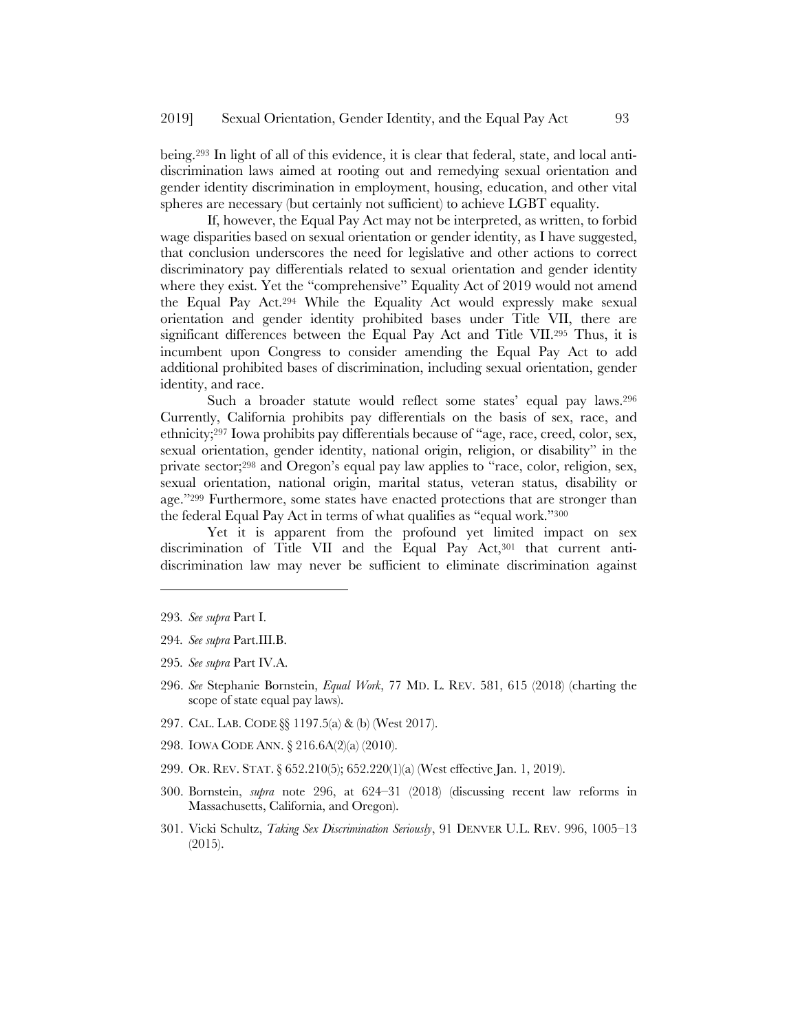being.293 In light of all of this evidence, it is clear that federal, state, and local antidiscrimination laws aimed at rooting out and remedying sexual orientation and gender identity discrimination in employment, housing, education, and other vital spheres are necessary (but certainly not sufficient) to achieve LGBT equality.

If, however, the Equal Pay Act may not be interpreted, as written, to forbid wage disparities based on sexual orientation or gender identity, as I have suggested, that conclusion underscores the need for legislative and other actions to correct discriminatory pay differentials related to sexual orientation and gender identity where they exist. Yet the "comprehensive" Equality Act of 2019 would not amend the Equal Pay Act.294 While the Equality Act would expressly make sexual orientation and gender identity prohibited bases under Title VII, there are significant differences between the Equal Pay Act and Title VII.295 Thus, it is incumbent upon Congress to consider amending the Equal Pay Act to add additional prohibited bases of discrimination, including sexual orientation, gender identity, and race.

Such a broader statute would reflect some states' equal pay laws.296 Currently, California prohibits pay differentials on the basis of sex, race, and ethnicity;297 Iowa prohibits pay differentials because of "age, race, creed, color, sex, sexual orientation, gender identity, national origin, religion, or disability" in the private sector;298 and Oregon's equal pay law applies to "race, color, religion, sex, sexual orientation, national origin, marital status, veteran status, disability or age."299 Furthermore, some states have enacted protections that are stronger than the federal Equal Pay Act in terms of what qualifies as "equal work."300

Yet it is apparent from the profound yet limited impact on sex discrimination of Title VII and the Equal Pay Act,<sup>301</sup> that current antidiscrimination law may never be sufficient to eliminate discrimination against

- 295*. See supra* Part IV.A.
- 296. *See* Stephanie Bornstein, *Equal Work*, 77 MD. L. REV. 581, 615 (2018) (charting the scope of state equal pay laws).
- 297. CAL. LAB. CODE §§ 1197.5(a) & (b) (West 2017).
- 298. IOWA CODE ANN. § 216.6A(2)(a) (2010).
- 299. OR. REV. STAT.§ 652.210(5); 652.220(1)(a) (West effective Jan. 1, 2019).
- 300. Bornstein, *supra* note 296, at 624–31 (2018) (discussing recent law reforms in Massachusetts, California, and Oregon).
- 301. Vicki Schultz, *Taking Sex Discrimination Seriously*, 91 DENVER U.L. REV. 996, 1005–13 (2015).

<sup>293</sup>*. See supra* Part I.

<sup>294</sup>*. See supra* Part.III.B.